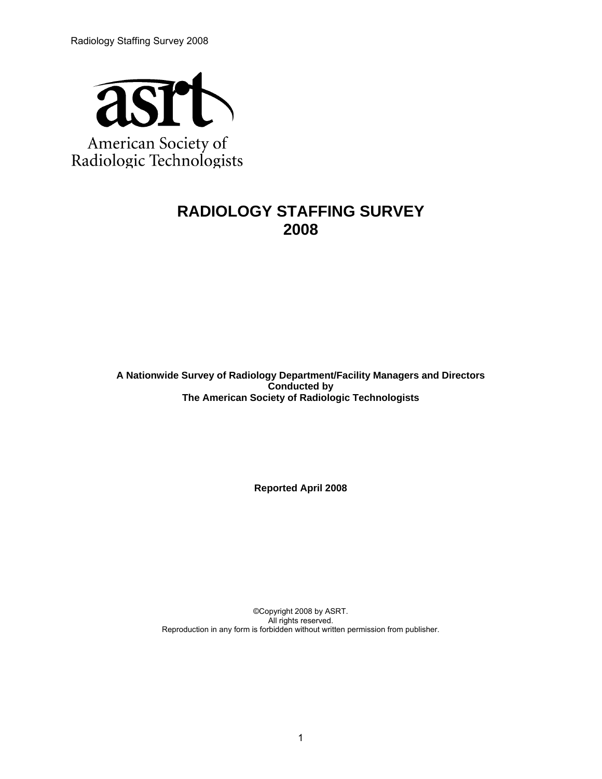Radiology Staffing Survey 2008



# **RADIOLOGY STAFFING SURVEY 2008**

**A Nationwide Survey of Radiology Department/Facility Managers and Directors Conducted by The American Society of Radiologic Technologists** 

**Reported April 2008** 

©Copyright 2008 by ASRT. All rights reserved. Reproduction in any form is forbidden without written permission from publisher.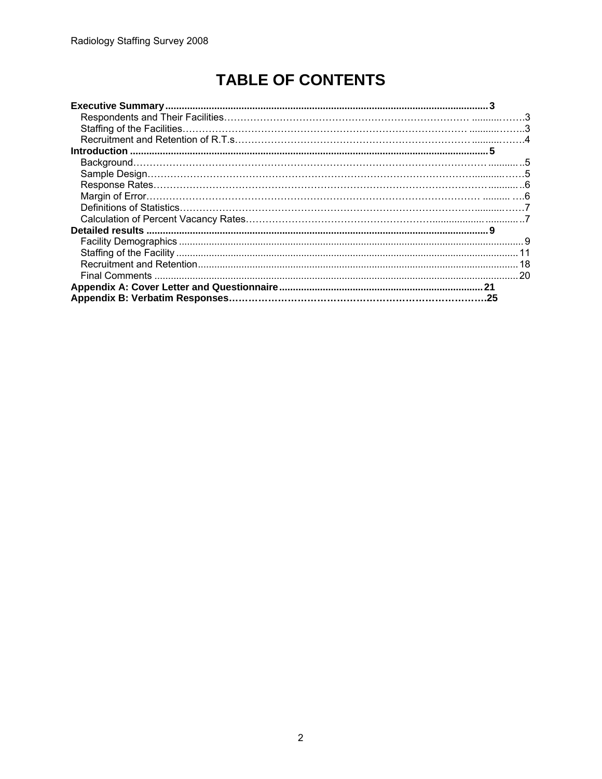# **TABLE OF CONTENTS**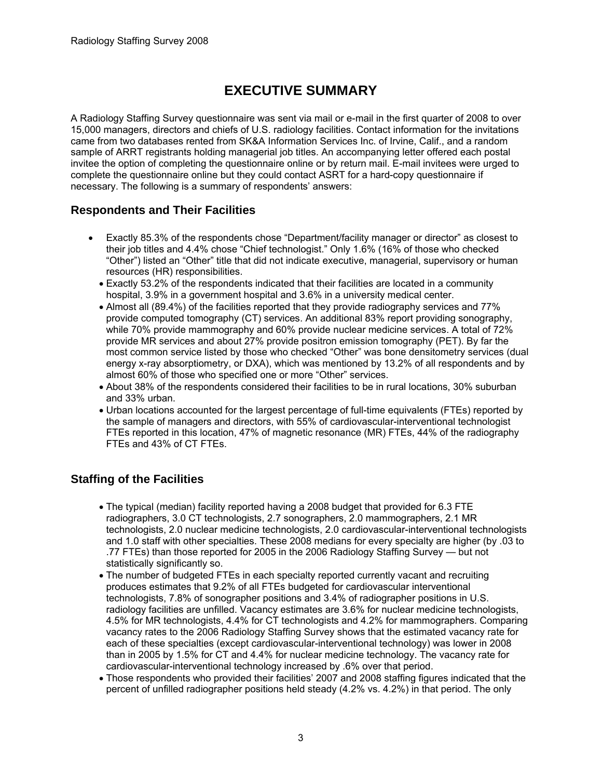# **EXECUTIVE SUMMARY**

A Radiology Staffing Survey questionnaire was sent via mail or e-mail in the first quarter of 2008 to over 15,000 managers, directors and chiefs of U.S. radiology facilities. Contact information for the invitations came from two databases rented from SK&A Information Services Inc. of Irvine, Calif., and a random sample of ARRT registrants holding managerial job titles. An accompanying letter offered each postal invitee the option of completing the questionnaire online or by return mail. E-mail invitees were urged to complete the questionnaire online but they could contact ASRT for a hard-copy questionnaire if necessary. The following is a summary of respondents' answers:

## **Respondents and Their Facilities**

- Exactly 85.3% of the respondents chose "Department/facility manager or director" as closest to their job titles and 4.4% chose "Chief technologist." Only 1.6% (16% of those who checked "Other") listed an "Other" title that did not indicate executive, managerial, supervisory or human resources (HR) responsibilities.
	- Exactly 53.2% of the respondents indicated that their facilities are located in a community hospital, 3.9% in a government hospital and 3.6% in a university medical center.
	- Almost all (89.4%) of the facilities reported that they provide radiography services and 77% provide computed tomography (CT) services. An additional 83% report providing sonography, while 70% provide mammography and 60% provide nuclear medicine services. A total of 72% provide MR services and about 27% provide positron emission tomography (PET). By far the most common service listed by those who checked "Other" was bone densitometry services (dual energy x-ray absorptiometry, or DXA), which was mentioned by 13.2% of all respondents and by almost 60% of those who specified one or more "Other" services.
	- About 38% of the respondents considered their facilities to be in rural locations, 30% suburban and 33% urban.
	- Urban locations accounted for the largest percentage of full-time equivalents (FTEs) reported by the sample of managers and directors, with 55% of cardiovascular-interventional technologist FTEs reported in this location, 47% of magnetic resonance (MR) FTEs, 44% of the radiography FTEs and 43% of CT FTEs.

## **Staffing of the Facilities**

- The typical (median) facility reported having a 2008 budget that provided for 6.3 FTE radiographers, 3.0 CT technologists, 2.7 sonographers, 2.0 mammographers, 2.1 MR technologists, 2.0 nuclear medicine technologists, 2.0 cardiovascular-interventional technologists and 1.0 staff with other specialties. These 2008 medians for every specialty are higher (by .03 to .77 FTEs) than those reported for 2005 in the 2006 Radiology Staffing Survey — but not statistically significantly so.
- The number of budgeted FTEs in each specialty reported currently vacant and recruiting produces estimates that 9.2% of all FTEs budgeted for cardiovascular interventional technologists, 7.8% of sonographer positions and 3.4% of radiographer positions in U.S. radiology facilities are unfilled. Vacancy estimates are 3.6% for nuclear medicine technologists, 4.5% for MR technologists, 4.4% for CT technologists and 4.2% for mammographers. Comparing vacancy rates to the 2006 Radiology Staffing Survey shows that the estimated vacancy rate for each of these specialties (except cardiovascular-interventional technology) was lower in 2008 than in 2005 by 1.5% for CT and 4.4% for nuclear medicine technology. The vacancy rate for cardiovascular-interventional technology increased by .6% over that period.
- Those respondents who provided their facilities' 2007 and 2008 staffing figures indicated that the percent of unfilled radiographer positions held steady (4.2% vs. 4.2%) in that period. The only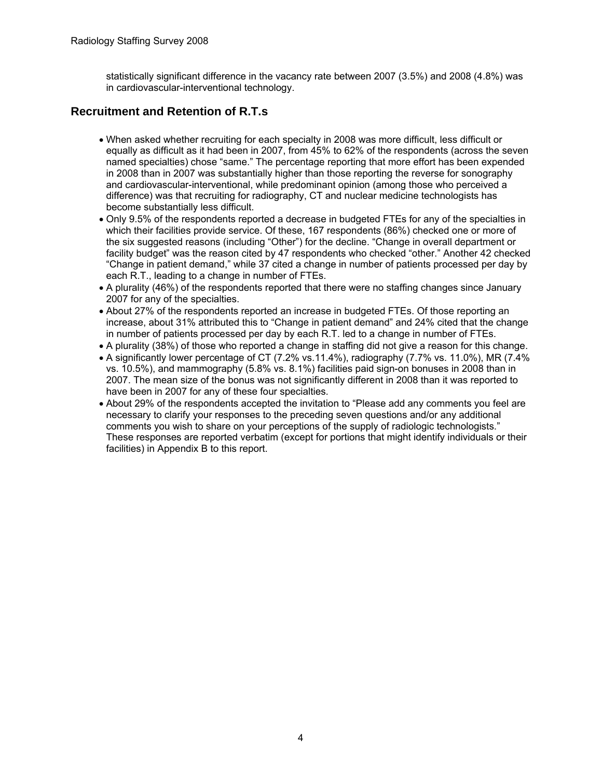statistically significant difference in the vacancy rate between 2007 (3.5%) and 2008 (4.8%) was in cardiovascular-interventional technology.

## **Recruitment and Retention of R.T.s**

- When asked whether recruiting for each specialty in 2008 was more difficult, less difficult or equally as difficult as it had been in 2007, from 45% to 62% of the respondents (across the seven named specialties) chose "same." The percentage reporting that more effort has been expended in 2008 than in 2007 was substantially higher than those reporting the reverse for sonography and cardiovascular-interventional, while predominant opinion (among those who perceived a difference) was that recruiting for radiography, CT and nuclear medicine technologists has become substantially less difficult.
- Only 9.5% of the respondents reported a decrease in budgeted FTEs for any of the specialties in which their facilities provide service. Of these, 167 respondents (86%) checked one or more of the six suggested reasons (including "Other") for the decline. "Change in overall department or facility budget" was the reason cited by 47 respondents who checked "other." Another 42 checked "Change in patient demand," while 37 cited a change in number of patients processed per day by each R.T., leading to a change in number of FTEs.
- A plurality (46%) of the respondents reported that there were no staffing changes since January 2007 for any of the specialties.
- About 27% of the respondents reported an increase in budgeted FTEs. Of those reporting an increase, about 31% attributed this to "Change in patient demand" and 24% cited that the change in number of patients processed per day by each R.T. led to a change in number of FTEs.
- A plurality (38%) of those who reported a change in staffing did not give a reason for this change.
- A significantly lower percentage of CT (7.2% vs.11.4%), radiography (7.7% vs. 11.0%), MR (7.4% vs. 10.5%), and mammography (5.8% vs. 8.1%) facilities paid sign-on bonuses in 2008 than in 2007. The mean size of the bonus was not significantly different in 2008 than it was reported to have been in 2007 for any of these four specialties.
- About 29% of the respondents accepted the invitation to "Please add any comments you feel are necessary to clarify your responses to the preceding seven questions and/or any additional comments you wish to share on your perceptions of the supply of radiologic technologists." These responses are reported verbatim (except for portions that might identify individuals or their facilities) in Appendix B to this report.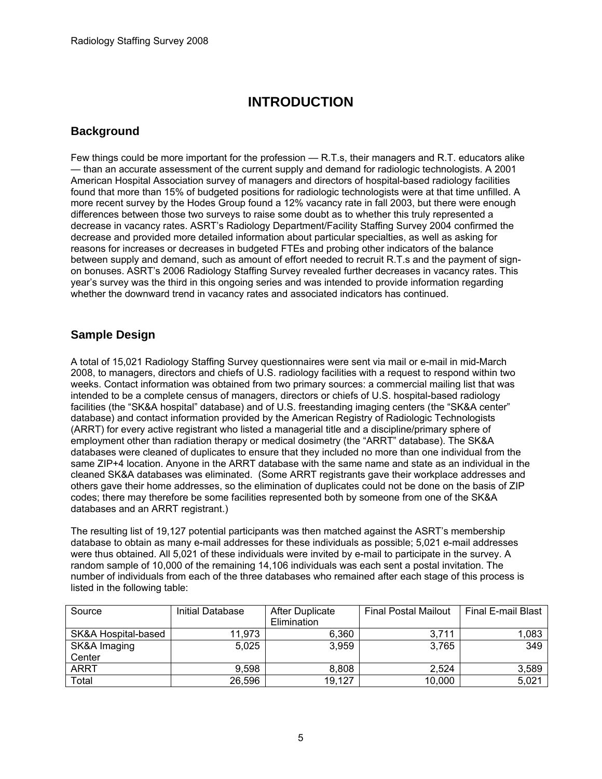# **INTRODUCTION**

## **Background**

Few things could be more important for the profession — R.T.s, their managers and R.T. educators alike — than an accurate assessment of the current supply and demand for radiologic technologists. A 2001 American Hospital Association survey of managers and directors of hospital-based radiology facilities found that more than 15% of budgeted positions for radiologic technologists were at that time unfilled. A more recent survey by the Hodes Group found a 12% vacancy rate in fall 2003, but there were enough differences between those two surveys to raise some doubt as to whether this truly represented a decrease in vacancy rates. ASRT's Radiology Department/Facility Staffing Survey 2004 confirmed the decrease and provided more detailed information about particular specialties, as well as asking for reasons for increases or decreases in budgeted FTEs and probing other indicators of the balance between supply and demand, such as amount of effort needed to recruit R.T.s and the payment of signon bonuses. ASRT's 2006 Radiology Staffing Survey revealed further decreases in vacancy rates. This year's survey was the third in this ongoing series and was intended to provide information regarding whether the downward trend in vacancy rates and associated indicators has continued.

## **Sample Design**

A total of 15,021 Radiology Staffing Survey questionnaires were sent via mail or e-mail in mid-March 2008, to managers, directors and chiefs of U.S. radiology facilities with a request to respond within two weeks. Contact information was obtained from two primary sources: a commercial mailing list that was intended to be a complete census of managers, directors or chiefs of U.S. hospital-based radiology facilities (the "SK&A hospital" database) and of U.S. freestanding imaging centers (the "SK&A center" database) and contact information provided by the American Registry of Radiologic Technologists (ARRT) for every active registrant who listed a managerial title and a discipline/primary sphere of employment other than radiation therapy or medical dosimetry (the "ARRT" database). The SK&A databases were cleaned of duplicates to ensure that they included no more than one individual from the same ZIP+4 location. Anyone in the ARRT database with the same name and state as an individual in the cleaned SK&A databases was eliminated. (Some ARRT registrants gave their workplace addresses and others gave their home addresses, so the elimination of duplicates could not be done on the basis of ZIP codes; there may therefore be some facilities represented both by someone from one of the SK&A databases and an ARRT registrant.)

The resulting list of 19,127 potential participants was then matched against the ASRT's membership database to obtain as many e-mail addresses for these individuals as possible; 5,021 e-mail addresses were thus obtained. All 5,021 of these individuals were invited by e-mail to participate in the survey. A random sample of 10,000 of the remaining 14,106 individuals was each sent a postal invitation. The number of individuals from each of the three databases who remained after each stage of this process is listed in the following table:

| Source              | Initial Database | After Duplicate | <b>Final Postal Mailout</b> | Final E-mail Blast |
|---------------------|------------------|-----------------|-----------------------------|--------------------|
|                     |                  | Elimination     |                             |                    |
| SK&A Hospital-based | 11.973           | 6.360           | 3.711                       | 1,083              |
| SK&A Imaging        | 5,025            | 3,959           | 3,765                       | 349                |
| Center              |                  |                 |                             |                    |
| <b>ARRT</b>         | 9,598            | 8,808           | 2.524                       | 3,589              |
| Total               | 26,596           | 19,127          | 10,000                      | 5,021              |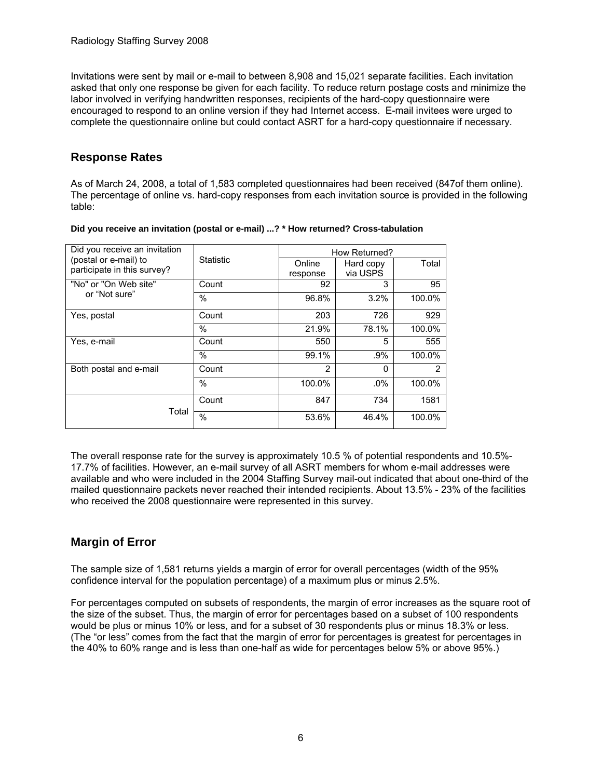Invitations were sent by mail or e-mail to between 8,908 and 15,021 separate facilities. Each invitation asked that only one response be given for each facility. To reduce return postage costs and minimize the labor involved in verifying handwritten responses, recipients of the hard-copy questionnaire were encouraged to respond to an online version if they had Internet access. E-mail invitees were urged to complete the questionnaire online but could contact ASRT for a hard-copy questionnaire if necessary.

## **Response Rates**

As of March 24, 2008, a total of 1,583 completed questionnaires had been received (847of them online). The percentage of online vs. hard-copy responses from each invitation source is provided in the following table:

| Did you receive an invitation                        |               | How Returned?      |                       |        |  |
|------------------------------------------------------|---------------|--------------------|-----------------------|--------|--|
| (postal or e-mail) to<br>participate in this survey? | Statistic     | Online<br>response | Hard copy<br>via USPS | Total  |  |
| "No" or "On Web site"                                | Count         | 92                 | 3                     | 95     |  |
| or "Not sure"                                        | $\frac{0}{0}$ | 96.8%              | 3.2%                  | 100.0% |  |
| Yes, postal                                          | Count         | 203                | 726                   | 929    |  |
|                                                      | $\%$          | 21.9%              | 78.1%                 | 100.0% |  |
| Yes, e-mail                                          | Count         | 550                | 5                     | 555    |  |
|                                                      | $\frac{0}{0}$ | 99.1%              | .9%                   | 100.0% |  |
| Both postal and e-mail                               | Count         | $\overline{2}$     | $\Omega$              | 2      |  |
|                                                      | $\%$          | 100.0%             | $.0\%$                | 100.0% |  |
| Total                                                | Count         | 847                | 734                   | 1581   |  |
|                                                      | %             | 53.6%              | 46.4%                 | 100.0% |  |

|  | Did you receive an invitation (postal or e-mail) ? * How returned? Cross-tabulation |
|--|-------------------------------------------------------------------------------------|
|  |                                                                                     |

The overall response rate for the survey is approximately 10.5 % of potential respondents and 10.5%- 17.7% of facilities. However, an e-mail survey of all ASRT members for whom e-mail addresses were available and who were included in the 2004 Staffing Survey mail-out indicated that about one-third of the mailed questionnaire packets never reached their intended recipients. About 13.5% - 23% of the facilities who received the 2008 questionnaire were represented in this survey.

## **Margin of Error**

The sample size of 1,581 returns yields a margin of error for overall percentages (width of the 95% confidence interval for the population percentage) of a maximum plus or minus 2.5%.

For percentages computed on subsets of respondents, the margin of error increases as the square root of the size of the subset. Thus, the margin of error for percentages based on a subset of 100 respondents would be plus or minus 10% or less, and for a subset of 30 respondents plus or minus 18.3% or less. (The "or less" comes from the fact that the margin of error for percentages is greatest for percentages in the 40% to 60% range and is less than one-half as wide for percentages below 5% or above 95%.)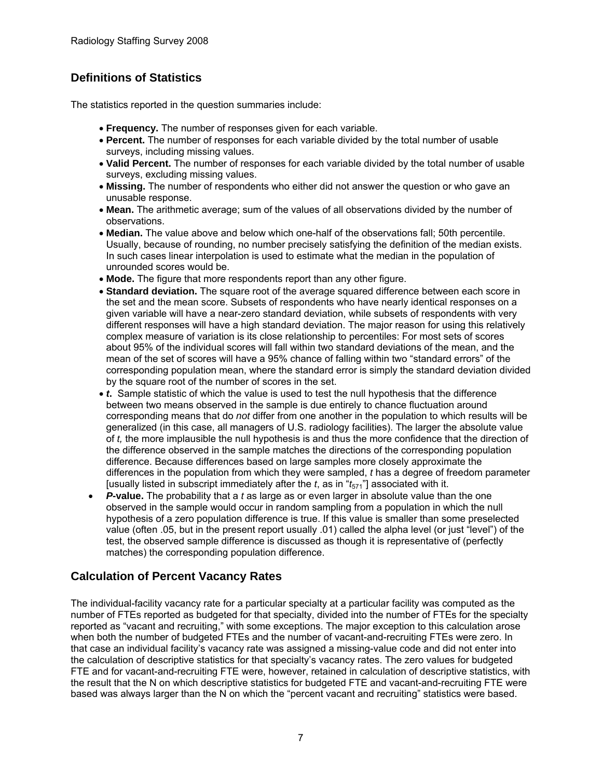## **Definitions of Statistics**

The statistics reported in the question summaries include:

- **Frequency.** The number of responses given for each variable.
- **Percent.** The number of responses for each variable divided by the total number of usable surveys, including missing values.
- **Valid Percent.** The number of responses for each variable divided by the total number of usable surveys, excluding missing values.
- **Missing.** The number of respondents who either did not answer the question or who gave an unusable response.
- **Mean.** The arithmetic average; sum of the values of all observations divided by the number of observations.
- **Median.** The value above and below which one-half of the observations fall; 50th percentile. Usually, because of rounding, no number precisely satisfying the definition of the median exists. In such cases linear interpolation is used to estimate what the median in the population of unrounded scores would be.
- **Mode.** The figure that more respondents report than any other figure.
- **Standard deviation.** The square root of the average squared difference between each score in the set and the mean score. Subsets of respondents who have nearly identical responses on a given variable will have a near-zero standard deviation, while subsets of respondents with very different responses will have a high standard deviation. The major reason for using this relatively complex measure of variation is its close relationship to percentiles: For most sets of scores about 95% of the individual scores will fall within two standard deviations of the mean, and the mean of the set of scores will have a 95% chance of falling within two "standard errors" of the corresponding population mean, where the standard error is simply the standard deviation divided by the square root of the number of scores in the set.
- *t***.** Sample statistic of which the value is used to test the null hypothesis that the difference between two means observed in the sample is due entirely to chance fluctuation around corresponding means that do *not* differ from one another in the population to which results will be generalized (in this case, all managers of U.S. radiology facilities). The larger the absolute value of *t,* the more implausible the null hypothesis is and thus the more confidence that the direction of the difference observed in the sample matches the directions of the corresponding population difference. Because differences based on large samples more closely approximate the differences in the population from which they were sampled, *t* has a degree of freedom parameter [usually listed in subscript immediately after the *t*, as in "*t*571"] associated with it.
- *P***-value.** The probability that a *t* as large as or even larger in absolute value than the one observed in the sample would occur in random sampling from a population in which the null hypothesis of a zero population difference is true. If this value is smaller than some preselected value (often .05, but in the present report usually .01) called the alpha level (or just "level") of the test, the observed sample difference is discussed as though it is representative of (perfectly matches) the corresponding population difference.

## **Calculation of Percent Vacancy Rates**

The individual-facility vacancy rate for a particular specialty at a particular facility was computed as the number of FTEs reported as budgeted for that specialty, divided into the number of FTEs for the specialty reported as "vacant and recruiting," with some exceptions. The major exception to this calculation arose when both the number of budgeted FTEs and the number of vacant-and-recruiting FTEs were zero. In that case an individual facility's vacancy rate was assigned a missing-value code and did not enter into the calculation of descriptive statistics for that specialty's vacancy rates. The zero values for budgeted FTE and for vacant-and-recruiting FTE were, however, retained in calculation of descriptive statistics, with the result that the N on which descriptive statistics for budgeted FTE and vacant-and-recruiting FTE were based was always larger than the N on which the "percent vacant and recruiting" statistics were based.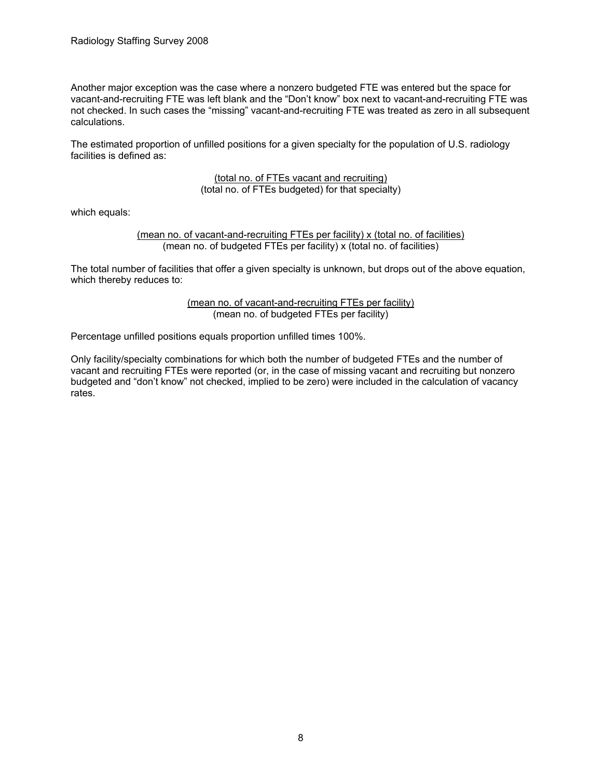Another major exception was the case where a nonzero budgeted FTE was entered but the space for vacant-and-recruiting FTE was left blank and the "Don't know" box next to vacant-and-recruiting FTE was not checked. In such cases the "missing" vacant-and-recruiting FTE was treated as zero in all subsequent calculations.

The estimated proportion of unfilled positions for a given specialty for the population of U.S. radiology facilities is defined as:

> (total no. of FTEs vacant and recruiting) (total no. of FTEs budgeted) for that specialty)

which equals:

(mean no. of vacant-and-recruiting FTEs per facility) x (total no. of facilities) (mean no. of budgeted FTEs per facility) x (total no. of facilities)

The total number of facilities that offer a given specialty is unknown, but drops out of the above equation, which thereby reduces to:

> (mean no. of vacant-and-recruiting FTEs per facility) (mean no. of budgeted FTEs per facility)

Percentage unfilled positions equals proportion unfilled times 100%.

Only facility/specialty combinations for which both the number of budgeted FTEs and the number of vacant and recruiting FTEs were reported (or, in the case of missing vacant and recruiting but nonzero budgeted and "don't know" not checked, implied to be zero) were included in the calculation of vacancy rates.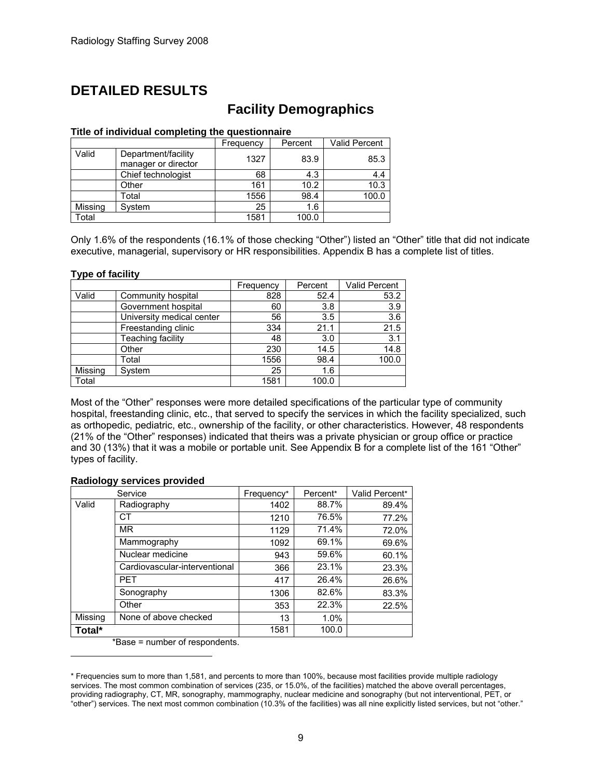# **DETAILED RESULTS**

# **Facility Demographics**

#### **Title of individual completing the questionnaire**

|         |                                            | Frequency | Percent | Valid Percent |
|---------|--------------------------------------------|-----------|---------|---------------|
| Valid   | Department/facility<br>manager or director | 1327      | 83.9    | 85.3          |
|         | Chief technologist                         | 68        | 4.3     | 4.4           |
|         | Other                                      | 161       | 10.2    | 10.3          |
|         | Total                                      | 1556      | 98.4    | 100.0         |
| Missing | System                                     | 25        | 1.6     |               |
| Total   |                                            | 1581      | 100.0   |               |

Only 1.6% of the respondents (16.1% of those checking "Other") listed an "Other" title that did not indicate executive, managerial, supervisory or HR responsibilities. Appendix B has a complete list of titles.

### **Type of facility**

|         |                           | Frequency | Percent | Valid Percent |
|---------|---------------------------|-----------|---------|---------------|
| Valid   | Community hospital        | 828       | 52.4    | 53.2          |
|         | Government hospital       | 60        | 3.8     | 3.9           |
|         | University medical center | 56        | 3.5     | 3.6           |
|         | Freestanding clinic       | 334       | 21.1    | 21.5          |
|         | Teaching facility         | 48        | 3.0     | 3.1           |
|         | Other                     | 230       | 14.5    | 14.8          |
|         | Total                     | 1556      | 98.4    | 100.0         |
| Missing | System                    | 25        | 1.6     |               |
| Total   |                           | 1581      | 100.0   |               |

Most of the "Other" responses were more detailed specifications of the particular type of community hospital, freestanding clinic, etc., that served to specify the services in which the facility specialized, such as orthopedic, pediatric, etc., ownership of the facility, or other characteristics. However, 48 respondents (21% of the "Other" responses) indicated that theirs was a private physician or group office or practice and 30 (13%) that it was a mobile or portable unit. See Appendix B for a complete list of the 161 "Other" types of facility.

#### **Radiology services provided**

l

|         | Service                       | Frequency* | Percent* | Valid Percent* |
|---------|-------------------------------|------------|----------|----------------|
| Valid   | Radiography                   | 1402       | 88.7%    | 89.4%          |
|         | СT                            | 1210       | 76.5%    | 77.2%          |
|         | MR                            | 1129       | 71.4%    | 72.0%          |
|         | Mammography                   | 1092       | 69.1%    | 69.6%          |
|         | Nuclear medicine              | 943        | 59.6%    | 60.1%          |
|         | Cardiovascular-interventional | 366        | 23.1%    | 23.3%          |
|         | <b>PFT</b>                    | 417        | 26.4%    | 26.6%          |
|         | Sonography                    | 1306       | 82.6%    | 83.3%          |
|         | Other                         | 353        | 22.3%    | 22.5%          |
| Missing | None of above checked         | 13         | 1.0%     |                |
| Total*  |                               | 1581       | 100.0    |                |

\*Base = number of respondents.

<sup>\*</sup> Frequencies sum to more than 1,581, and percents to more than 100%, because most facilities provide multiple radiology services. The most common combination of services (235, or 15.0%, of the facilities) matched the above overall percentages, providing radiography, CT, MR, sonography, mammography, nuclear medicine and sonography (but not interventional, PET, or "other") services. The next most common combination (10.3% of the facilities) was all nine explicitly listed services, but not "other."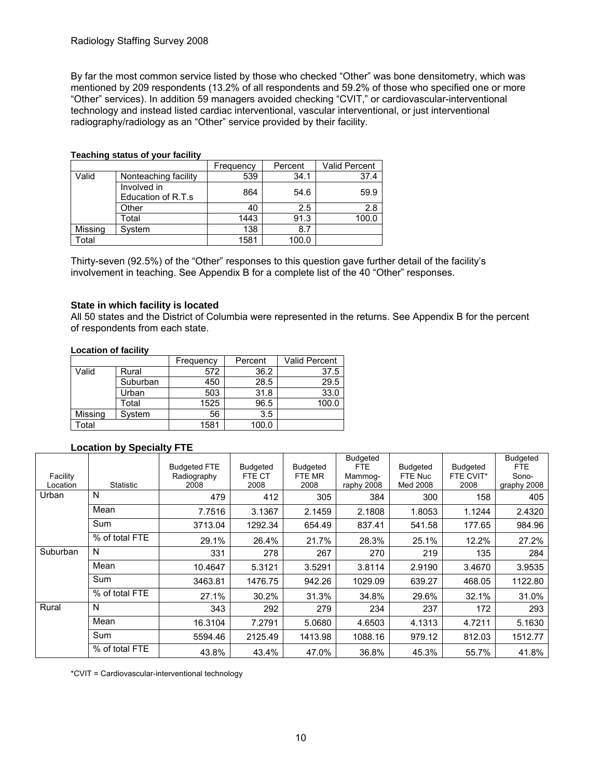By far the most common service listed by those who checked "Other" was bone densitometry, which was mentioned by 209 respondents (13.2% of all respondents and 59.2% of those who specified one or more "Other" services). In addition 59 managers avoided checking "CVIT," or cardiovascular-interventional technology and instead listed cardiac interventional, vascular interventional, or just interventional radiography/radiology as an "Other" service provided by their facility.

#### **Teaching status of your facility**

|         |                                   | Frequency | Percent | Valid Percent |
|---------|-----------------------------------|-----------|---------|---------------|
| Valid   | Nonteaching facility              | 539       | 34.1    | 37.4          |
|         | Involved in<br>Education of R.T.s | 864       | 54.6    | 59.9          |
|         | Other                             | 40        | 2.5     | 2.8           |
|         | Total                             | 1443      | 91.3    | 100.0         |
| Missing | System                            | 138       | 8.7     |               |
| Total   |                                   | 1581      | 100.0   |               |

Thirty-seven (92.5%) of the "Other" responses to this question gave further detail of the facility's involvement in teaching. See Appendix B for a complete list of the 40 "Other" responses.

#### **State in which facility is located**

All 50 states and the District of Columbia were represented in the returns. See Appendix B for the percent of respondents from each state.

#### **Location of facility**

|                |          | Frequency | Percent | Valid Percent |
|----------------|----------|-----------|---------|---------------|
| Valid<br>Rural |          | 572       | 36.2    | 37.5          |
|                | Suburban | 450       | 28.5    | 29.5          |
|                | Urban    | 503       | 31.8    | 33.0          |
|                | Total    | 1525      | 96.5    | 100.0         |
| Missing        | Svstem   | 56        | 3.5     |               |
| Total          |          | 1581      | 100.0   |               |

#### **Location by Specialty FTE**

|          |                |                     |                 |                 | <b>Budgeted</b> |                 |                 | <b>Budgeted</b> |
|----------|----------------|---------------------|-----------------|-----------------|-----------------|-----------------|-----------------|-----------------|
|          |                | <b>Budgeted FTE</b> | <b>Budgeted</b> | <b>Budgeted</b> | <b>FTE</b>      | <b>Budgeted</b> | <b>Budgeted</b> | FTE.            |
| Facility |                | Radiography         | FTE CT          | FTE MR          | Mammog-         | FTE Nuc         | FTE CVIT*       | Sono-           |
| Location | Statistic      | 2008                | 2008            | 2008            | raphy 2008      | Med 2008        | 2008            | graphy 2008     |
| Urban    | N              | 479                 | 412             | 305             | 384             | 300             | 158             | 405             |
|          | Mean           | 7.7516              | 3.1367          | 2.1459          | 2.1808          | 1.8053          | 1.1244          | 2.4320          |
|          | Sum            | 3713.04             | 1292.34         | 654.49          | 837.41          | 541.58          | 177.65          | 984.96          |
|          | % of total FTE | 29.1%               | 26.4%           | 21.7%           | 28.3%           | 25.1%           | 12.2%           | 27.2%           |
| Suburban | N              | 331                 | 278             | 267             | 270             | 219             | 135             | 284             |
|          | Mean           | 10.4647             | 5.3121          | 3.5291          | 3.8114          | 2.9190          | 3.4670          | 3.9535          |
|          | Sum            | 3463.81             | 1476.75         | 942.26          | 1029.09         | 639.27          | 468.05          | 1122.80         |
|          | % of total FTE | 27.1%               | 30.2%           | 31.3%           | 34.8%           | 29.6%           | 32.1%           | 31.0%           |
| Rural    | N              | 343                 | 292             | 279             | 234             | 237             | 172             | 293             |
|          | Mean           | 16.3104             | 7.2791          | 5.0680          | 4.6503          | 4.1313          | 4.7211          | 5.1630          |
|          | Sum            | 5594.46             | 2125.49         | 1413.98         | 1088.16         | 979.12          | 812.03          | 1512.77         |
|          | % of total FTE | 43.8%               | 43.4%           | 47.0%           | 36.8%           | 45.3%           | 55.7%           | 41.8%           |

\*CVIT = Cardiovascular-interventional technology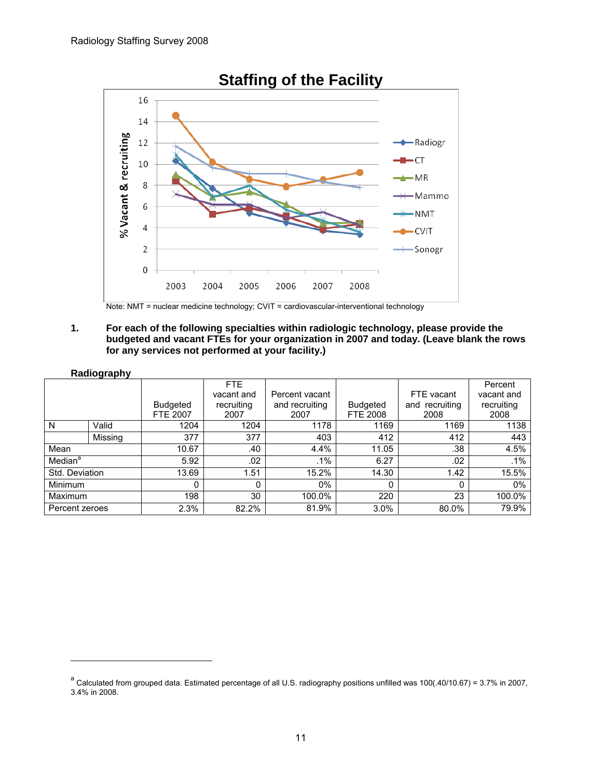

# **Staffing of the Facility**

Note: NMT = nuclear medicine technology; CVIT = cardiovascular-interventional technology

**1. For each of the following specialties within radiologic technology, please provide the budgeted and vacant FTEs for your organization in 2007 and today. (Leave blank the rows for any services not performed at your facility.)** 

### **Radiography**

l

|                     | .       |                 | FTE        |                |                 |                   | Percent    |
|---------------------|---------|-----------------|------------|----------------|-----------------|-------------------|------------|
|                     |         |                 | vacant and | Percent vacant |                 | FTE vacant        | vacant and |
|                     |         | <b>Budgeted</b> | recruiting | and recruiting | <b>Budgeted</b> | recruiting<br>and | recruiting |
|                     |         | <b>FTE 2007</b> | 2007       | 2007           | <b>FTE 2008</b> | 2008              | 2008       |
| N                   | Valid   | 1204            | 1204       | 1178           | 1169            | 1169              | 1138       |
|                     | Missing | 377             | 377        | 403            | 412             | 412               | 443        |
| Mean                |         | 10.67           | .40        | 4.4%           | 11.05           | .38               | 4.5%       |
| Median <sup>a</sup> |         | 5.92            | .02        | .1%            | 6.27            | .02               | $.1\%$     |
| Std. Deviation      |         | 13.69           | 1.51       | 15.2%          | 14.30           | 1.42              | 15.5%      |
| <b>Minimum</b>      |         | 0               | 0          | 0%             | 0               | $\mathbf{0}$      | 0%         |
| <b>Maximum</b>      |         | 198             | 30         | 100.0%         | 220             | 23                | 100.0%     |
| Percent zeroes      |         | 2.3%            | 82.2%      | 81.9%          | $3.0\%$         | 80.0%             | 79.9%      |

a<br>Calculated from grouped data. Estimated percentage of all U.S. radiography positions unfilled was 100(.40/10.67) = 3.7% in 2007, 3.4% in 2008.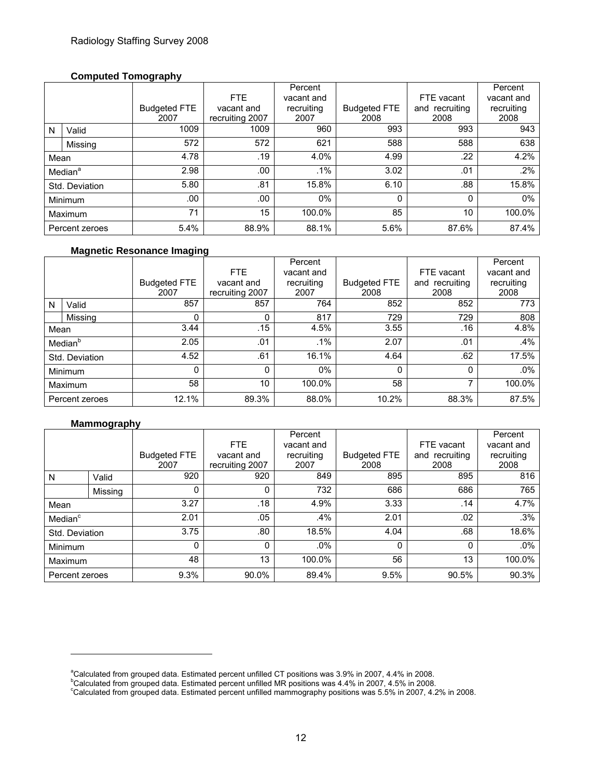### **Computed Tomography**

|      |                     |                     |                  | Percent    |                     |                   | Percent    |
|------|---------------------|---------------------|------------------|------------|---------------------|-------------------|------------|
|      |                     |                     | <b>FTE</b>       | vacant and |                     | FTE vacant        | vacant and |
|      |                     | <b>Budgeted FTE</b> | vacant and       | recruiting | <b>Budgeted FTE</b> | recruiting<br>and | recruiting |
|      |                     | 2007                | recruiting 2007  | 2007       | 2008                | 2008              | 2008       |
| N    | Valid               | 1009                | 1009             | 960        | 993                 | 993               | 943        |
|      | Missing             | 572                 | 572              | 621        | 588                 | 588               | 638        |
| Mean |                     | 4.78                | $\overline{.19}$ | 4.0%       | 4.99                | .22               | 4.2%       |
|      | Median <sup>a</sup> | 2.98                | .00              | .1%        | 3.02                | .01               | .2%        |
|      | Std. Deviation      | 5.80                | .81              | 15.8%      | 6.10                | .88               | 15.8%      |
|      | Minimum             | .00                 | .00              | 0%         | 0                   | 0                 | $0\%$      |
|      | <b>Maximum</b>      | 71                  | 15               | 100.0%     | 85                  | 10                | 100.0%     |
|      | Percent zeroes      | 5.4%                | 88.9%            | 88.1%      | 5.6%                | 87.6%             | 87.4%      |

### **Magnetic Resonance Imaging**

|                | . .                 |                     |                 | Percent    |                     |                   | Percent    |
|----------------|---------------------|---------------------|-----------------|------------|---------------------|-------------------|------------|
|                |                     |                     | <b>FTE</b>      | vacant and |                     | FTE vacant        | vacant and |
|                |                     | <b>Budgeted FTE</b> | vacant and      | recruiting | <b>Budgeted FTE</b> | recruiting<br>and | recruiting |
|                |                     | 2007                | recruiting 2007 | 2007       | 2008                | 2008              | 2008       |
| N              | Valid               | 857                 | 857             | 764        | 852                 | 852               | 773        |
|                | Missing             |                     | 0               | 817        | 729                 | 729               | 808        |
| Mean           |                     | 3.44                | .15             | 4.5%       | 3.55                | .16               | 4.8%       |
|                | Median <sup>b</sup> | 2.05                | .01             | $.1\%$     | 2.07                | .01               | .4%        |
|                | Std. Deviation      | 4.52                | .61             | 16.1%      | 4.64                | .62               | 17.5%      |
| Minimum        |                     | 0                   | 0               | 0%         | 0                   | 0                 | .0%        |
| Maximum        |                     | 58                  | 10              | 100.0%     | 58                  | 7                 | 100.0%     |
| Percent zeroes |                     | 12.1%               | 89.3%           | 88.0%      | 10.2%               | 88.3%             | 87.5%      |

#### **Mammography**

l

|                     |         |                     |                 | Percent    |                     |                   | Percent    |
|---------------------|---------|---------------------|-----------------|------------|---------------------|-------------------|------------|
|                     |         |                     | FTE             | vacant and |                     | FTE vacant        | vacant and |
|                     |         | <b>Budgeted FTE</b> | vacant and      | recruiting | <b>Budgeted FTE</b> | recruiting<br>and | recruiting |
|                     |         | 2007                | recruiting 2007 | 2007       | 2008                | 2008              | 2008       |
| N                   | Valid   | 920                 | 920             | 849        | 895                 | 895               | 816        |
|                     | Missing | 0                   | 0               | 732        | 686                 | 686               | 765        |
| Mean                |         | 3.27                | .18             | 4.9%       | 3.33                | .14               | 4.7%       |
| Median <sup>c</sup> |         | 2.01                | .05             | .4%        | 2.01                | .02               | .3%        |
| Std. Deviation      |         | 3.75                | .80             | 18.5%      | 4.04                | .68               | 18.6%      |
| Minimum             |         | 0                   | 0               | $.0\%$     | 0                   | 0                 | $.0\%$     |
| Maximum             |         | 48                  | 13              | 100.0%     | 56                  | 13                | 100.0%     |
| Percent zeroes      |         | 9.3%                | 90.0%           | 89.4%      | 9.5%                | 90.5%             | 90.3%      |

<sup>&</sup>lt;sup>a</sup>Calculated from grouped data. Estimated percent unfilled CT positions was 3.9% in 2007, 4.4% in 2008.<br><sup>b</sup>Colculated from grouped data. Estimated percent unfilled MD positions was 4.4% in 2007, 4.5% in 2009.

<sup>°</sup>Calculated from grouped data. Estimated percent unfilled MR positions was 4.4% in 2007, 4.5% in 2008.<br>°Calculated from grouped data. Estimated percent unfilled mammography positions was 5.5% in 2007, 4.2% in 2008.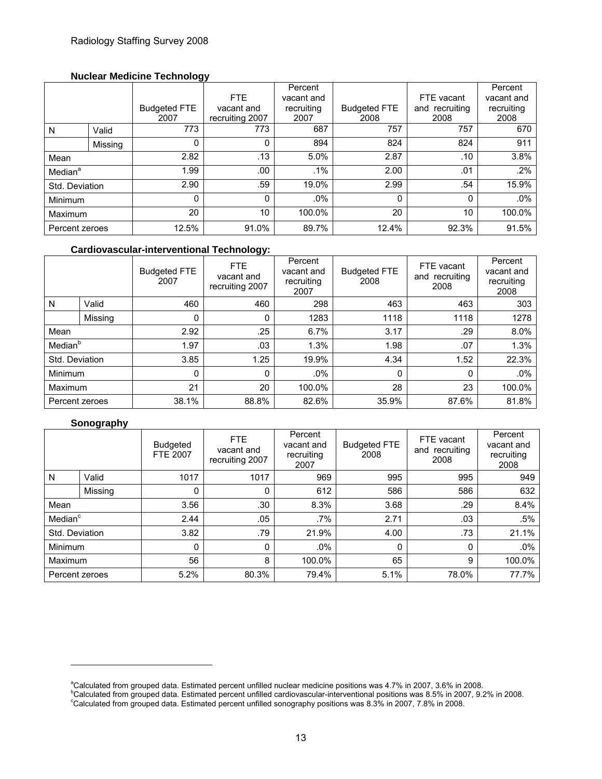### **Nuclear Medicine Technology**

|                     |         |                     |                 | Percent    |                     |                | Percent    |
|---------------------|---------|---------------------|-----------------|------------|---------------------|----------------|------------|
|                     |         |                     | FTE             | vacant and |                     | FTE vacant     | vacant and |
|                     |         | <b>Budgeted FTE</b> | vacant and      | recruiting | <b>Budgeted FTE</b> | and recruiting | recruiting |
|                     |         | 2007                | recruiting 2007 | 2007       | 2008                | 2008           | 2008       |
| N                   | Valid   | 773                 | 773             | 687        | 757                 | 757            | 670        |
|                     | Missing | 0                   | 0               | 894        | 824                 | 824            | 911        |
| Mean                |         | 2.82                | .13             | 5.0%       | 2.87                | .10            | 3.8%       |
| Median <sup>a</sup> |         | 1.99                | .00.            | .1%        | 2.00                | .01            | .2%        |
| Std. Deviation      |         | 2.90                | .59             | 19.0%      | 2.99                | .54            | 15.9%      |
| <b>Minimum</b>      |         | 0                   | 0               | $.0\%$     | 0                   | 0              | .0%        |
| Maximum             |         | 20                  | 10              | 100.0%     | 20                  | 10             | 100.0%     |
| Percent zeroes      |         | 12.5%               | 91.0%           | 89.7%      | 12.4%               | 92.3%          | 91.5%      |

### **Cardiovascular-interventional Technology:**

|                     |                | <b>Budgeted FTE</b><br>2007 | FTE<br>vacant and<br>recruiting 2007 | Percent<br>vacant and<br>recruiting<br>2007 | <b>Budgeted FTE</b><br>2008 | FTE vacant<br>and recruiting<br>2008 | Percent<br>vacant and<br>recruiting<br>2008 |
|---------------------|----------------|-----------------------------|--------------------------------------|---------------------------------------------|-----------------------------|--------------------------------------|---------------------------------------------|
| N<br>Valid          |                | 460                         | 460                                  | 298                                         | 463                         | 463                                  | 303                                         |
|                     | Missing        | 0                           | 0                                    | 1283                                        | 1118                        | 1118                                 | 1278                                        |
| Mean                |                | 2.92                        | .25                                  | 6.7%                                        | 3.17                        | .29                                  | 8.0%                                        |
| Median <sup>b</sup> |                | 1.97                        | .03                                  | 1.3%                                        | 1.98                        | .07                                  | 1.3%                                        |
|                     | Std. Deviation | 3.85                        | 1.25                                 | 19.9%                                       | 4.34                        | 1.52                                 | 22.3%                                       |
| Minimum             |                | 0                           | 0                                    | $.0\%$                                      | 0                           | 0                                    | $.0\%$                                      |
| Maximum             |                | 21                          | 20                                   | 100.0%                                      | 28                          | 23                                   | 100.0%                                      |
| Percent zeroes      |                | 38.1%                       | 88.8%                                | 82.6%                                       | 35.9%                       | 87.6%                                | 81.8%                                       |

### **Sonography**

l

|                     |         | <b>Budgeted</b><br><b>FTE 2007</b> | FTE.<br>vacant and<br>recruiting 2007 | Percent<br>vacant and<br>recruiting<br>2007 | <b>Budgeted FTE</b><br>2008 | FTE vacant<br>and recruiting<br>2008 | Percent<br>vacant and<br>recruiting<br>2008 |
|---------------------|---------|------------------------------------|---------------------------------------|---------------------------------------------|-----------------------------|--------------------------------------|---------------------------------------------|
| N<br>Valid          |         | 1017                               | 1017                                  | 969                                         | 995                         | 995                                  | 949                                         |
|                     | Missing |                                    | 0                                     | 612                                         | 586                         | 586                                  | 632                                         |
| Mean                |         | 3.56                               | .30                                   | 8.3%                                        | 3.68                        | .29                                  | 8.4%                                        |
| Median <sup>c</sup> |         | 2.44                               | .05                                   | $.7\%$                                      | 2.71                        | .03                                  | .5%                                         |
| Std. Deviation      |         | 3.82                               | .79                                   | 21.9%                                       | 4.00                        | .73                                  | 21.1%                                       |
| <b>Minimum</b>      |         | 0                                  | 0                                     | $.0\%$                                      | 0                           | 0                                    | $.0\%$                                      |
| Maximum             |         | 56                                 | 8                                     | 100.0%                                      | 65                          | 9                                    | 100.0%                                      |
| Percent zeroes      |         | 5.2%                               | 80.3%                                 | 79.4%                                       | 5.1%                        | 78.0%                                | 77.7%                                       |

<sup>&</sup>lt;sup>a</sup>Calculated from grouped data. Estimated percent unfilled nuclear medicine positions was 4.7% in 2007, 3.6% in 2008.<br><sup>b</sup>Calculated from grouped data. Estimated percent unfilled estribuographe interventional positions us

<sup>&</sup>lt;sup>o</sup>Calculated from grouped data. Estimated percent unfilled cardiovascular-interventional positions was 8.5% in 2007, 9.2% in 2008.<br><sup>c</sup>Colculated from grouped data. Estimated percent unfilled capacraphy positions was 8.3%

Calculated from grouped data. Estimated percent unfilled sonography positions was 8.3% in 2007, 7.8% in 2008.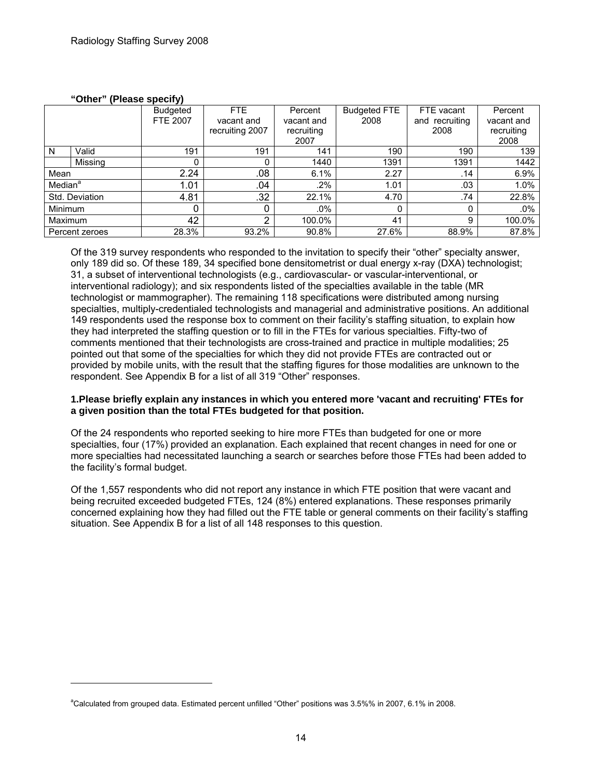|                     | -----          | ----- <i></i> ,                    |                                       |                                             |                             |                                         |                                             |
|---------------------|----------------|------------------------------------|---------------------------------------|---------------------------------------------|-----------------------------|-----------------------------------------|---------------------------------------------|
|                     |                | <b>Budgeted</b><br><b>FTE 2007</b> | FTE.<br>vacant and<br>recruiting 2007 | Percent<br>vacant and<br>recruiting<br>2007 | <b>Budgeted FTE</b><br>2008 | FTE vacant<br>recruiting<br>and<br>2008 | Percent<br>vacant and<br>recruiting<br>2008 |
|                     |                |                                    |                                       |                                             |                             |                                         |                                             |
| N                   | Valid          | 191                                | 191                                   | 141                                         | 190                         | 190                                     | 139                                         |
|                     | Missing        |                                    |                                       | 1440                                        | 1391                        | 1391                                    | 1442                                        |
| Mean                |                | 2.24                               | .08                                   | 6.1%                                        | 2.27                        | .14                                     | 6.9%                                        |
| Median <sup>a</sup> |                | 1.01                               | .04                                   | $.2\%$                                      | 1.01                        | .03                                     | 1.0%                                        |
|                     | Std. Deviation | 4.81                               | .32                                   | 22.1%                                       | 4.70                        | .74                                     | 22.8%                                       |
| Minimum             |                |                                    |                                       | $.0\%$                                      |                             | 0                                       | .0%                                         |
|                     | Maximum        | 42                                 | ⌒                                     | 100.0%                                      | 41                          | 9                                       | 100.0%                                      |
| Percent zeroes      |                | 28.3%                              | 93.2%                                 | 90.8%                                       | 27.6%                       | 88.9%                                   | 87.8%                                       |

### **"Other" (Please specify)**

-

Of the 319 survey respondents who responded to the invitation to specify their "other" specialty answer, only 189 did so. Of these 189, 34 specified bone densitometrist or dual energy x-ray (DXA) technologist; 31, a subset of interventional technologists (e.g., cardiovascular- or vascular-interventional, or interventional radiology); and six respondents listed of the specialties available in the table (MR technologist or mammographer). The remaining 118 specifications were distributed among nursing specialties, multiply-credentialed technologists and managerial and administrative positions. An additional 149 respondents used the response box to comment on their facility's staffing situation, to explain how they had interpreted the staffing question or to fill in the FTEs for various specialties. Fifty-two of comments mentioned that their technologists are cross-trained and practice in multiple modalities; 25 pointed out that some of the specialties for which they did not provide FTEs are contracted out or provided by mobile units, with the result that the staffing figures for those modalities are unknown to the respondent. See Appendix B for a list of all 319 "Other" responses.

#### **1.Please briefly explain any instances in which you entered more 'vacant and recruiting' FTEs for a given position than the total FTEs budgeted for that position.**

Of the 24 respondents who reported seeking to hire more FTEs than budgeted for one or more specialties, four (17%) provided an explanation. Each explained that recent changes in need for one or more specialties had necessitated launching a search or searches before those FTEs had been added to the facility's formal budget.

Of the 1,557 respondents who did not report any instance in which FTE position that were vacant and being recruited exceeded budgeted FTEs, 124 (8%) entered explanations. These responses primarily concerned explaining how they had filled out the FTE table or general comments on their facility's staffing situation. See Appendix B for a list of all 148 responses to this question.

a Calculated from grouped data. Estimated percent unfilled "Other" positions was 3.5%% in 2007, 6.1% in 2008.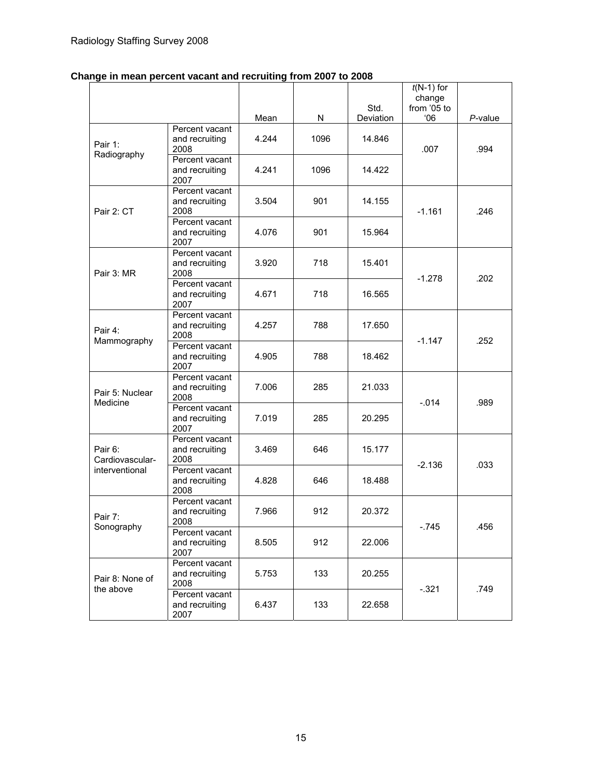| Change in mean percent vacant and recruiting from 2007 to 2008 |  |  |
|----------------------------------------------------------------|--|--|
|                                                                |  |  |

|                              |                                          | Mean  | N    | Std.<br>Deviation | $t(N-1)$ for<br>change<br>from '05 to<br>06 | P-value |
|------------------------------|------------------------------------------|-------|------|-------------------|---------------------------------------------|---------|
|                              | Percent vacant                           |       |      |                   |                                             |         |
| Pair 1:<br>Radiography       | and recruiting<br>2008                   | 4.244 | 1096 | 14.846            | .007                                        | .994    |
|                              | Percent vacant<br>and recruiting<br>2007 | 4.241 | 1096 | 14.422            |                                             |         |
| Pair 2: CT                   | Percent vacant<br>and recruiting<br>2008 | 3.504 | 901  | 14.155            | $-1.161$                                    | .246    |
|                              | Percent vacant<br>and recruiting<br>2007 | 4.076 | 901  | 15.964            |                                             |         |
| Pair 3: MR                   | Percent vacant<br>and recruiting<br>2008 | 3.920 | 718  | 15.401            | $-1.278$                                    | .202    |
|                              | Percent vacant<br>and recruiting<br>2007 | 4.671 | 718  | 16.565            |                                             |         |
| Pair 4:<br>Mammography       | Percent vacant<br>and recruiting<br>2008 | 4.257 | 788  | 17.650            | $-1.147$                                    | .252    |
|                              | Percent vacant<br>and recruiting<br>2007 | 4.905 | 788  | 18.462            |                                             |         |
| Pair 5: Nuclear<br>Medicine  | Percent vacant<br>and recruiting<br>2008 | 7.006 | 285  | 21.033            | $-.014$                                     | .989    |
|                              | Percent vacant<br>and recruiting<br>2007 | 7.019 | 285  | 20.295            |                                             |         |
| Pair 6:<br>Cardiovascular-   | Percent vacant<br>and recruiting<br>2008 | 3.469 | 646  | 15.177            | $-2.136$                                    | .033    |
| interventional               | Percent vacant<br>and recruiting<br>2008 | 4.828 | 646  | 18.488            |                                             |         |
| Pair 7:                      | Percent vacant<br>and recruiting<br>2008 | 7.966 | 912  | 20.372            | $-745$                                      | .456    |
| sonograpny                   | Percent vacant<br>and recruiting<br>2007 | 8.505 | 912  | 22.006            |                                             |         |
| Pair 8: None of<br>the above | Percent vacant<br>and recruiting<br>2008 | 5.753 | 133  | 20.255            | $-.321$                                     | .749    |
|                              | Percent vacant<br>and recruiting<br>2007 | 6.437 | 133  | 22.658            |                                             |         |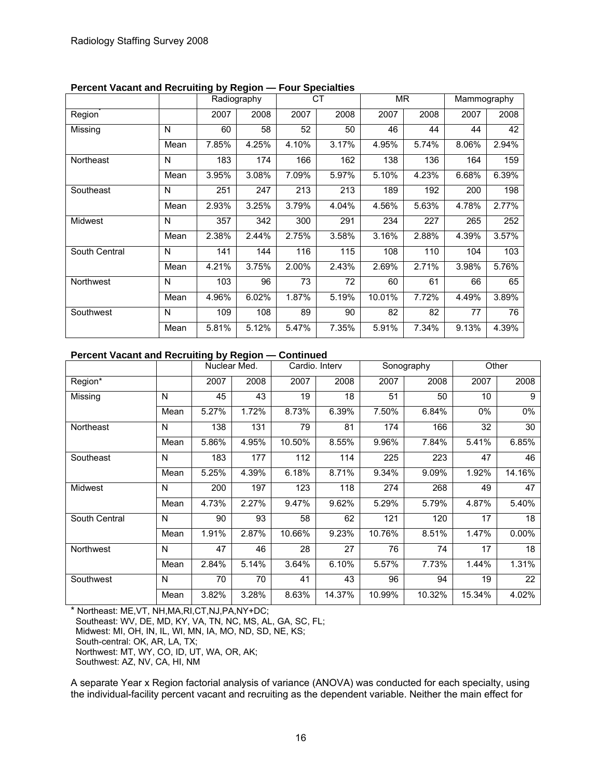|               |      | Radiography |       |       | <b>CT</b> | <b>MR</b> |       | Mammography |       |
|---------------|------|-------------|-------|-------|-----------|-----------|-------|-------------|-------|
| Region        |      | 2007        | 2008  | 2007  | 2008      | 2007      | 2008  | 2007        | 2008  |
| Missing       | N    | 60          | 58    | 52    | 50        | 46        | 44    | 44          | 42    |
|               | Mean | 7.85%       | 4.25% | 4.10% | 3.17%     | 4.95%     | 5.74% | 8.06%       | 2.94% |
| Northeast     | N    | 183         | 174   | 166   | 162       | 138       | 136   | 164         | 159   |
|               | Mean | 3.95%       | 3.08% | 7.09% | 5.97%     | 5.10%     | 4.23% | 6.68%       | 6.39% |
| Southeast     | N    | 251         | 247   | 213   | 213       | 189       | 192   | 200         | 198   |
|               | Mean | 2.93%       | 3.25% | 3.79% | 4.04%     | 4.56%     | 5.63% | 4.78%       | 2.77% |
| Midwest       | N    | 357         | 342   | 300   | 291       | 234       | 227   | 265         | 252   |
|               | Mean | 2.38%       | 2.44% | 2.75% | 3.58%     | 3.16%     | 2.88% | 4.39%       | 3.57% |
| South Central | N    | 141         | 144   | 116   | 115       | 108       | 110   | 104         | 103   |
|               | Mean | 4.21%       | 3.75% | 2.00% | 2.43%     | 2.69%     | 2.71% | 3.98%       | 5.76% |
| Northwest     | N    | 103         | 96    | 73    | 72        | 60        | 61    | 66          | 65    |
|               | Mean | 4.96%       | 6.02% | 1.87% | 5.19%     | 10.01%    | 7.72% | 4.49%       | 3.89% |
| Southwest     | N    | 109         | 108   | 89    | 90        | 82        | 82    | 77          | 76    |
|               | Mean | 5.81%       | 5.12% | 5.47% | 7.35%     | 5.91%     | 7.34% | 9.13%       | 4.39% |

### **Percent Vacant and Recruiting by Region — Four Specialties**

### **Percent Vacant and Recruiting by Region — Continued**

|                  |      | Nuclear Med. |       |        | Cardio, Interv |        | Sonography | Other  |          |
|------------------|------|--------------|-------|--------|----------------|--------|------------|--------|----------|
| Region*          |      | 2007         | 2008  | 2007   | 2008           | 2007   | 2008       | 2007   | 2008     |
| Missing          | N    | 45           | 43    | 19     | 18             | 51     | 50         | 10     | 9        |
|                  | Mean | 5.27%        | 1.72% | 8.73%  | 6.39%          | 7.50%  | 6.84%      | 0%     | 0%       |
| <b>Northeast</b> | N    | 138          | 131   | 79     | 81             | 174    | 166        | 32     | 30       |
|                  | Mean | 5.86%        | 4.95% | 10.50% | 8.55%          | 9.96%  | 7.84%      | 5.41%  | 6.85%    |
| Southeast        | N    | 183          | 177   | 112    | 114            | 225    | 223        | 47     | 46       |
|                  | Mean | 5.25%        | 4.39% | 6.18%  | 8.71%          | 9.34%  | 9.09%      | 1.92%  | 14.16%   |
| <b>Midwest</b>   | N    | 200          | 197   | 123    | 118            | 274    | 268        | 49     | 47       |
|                  | Mean | 4.73%        | 2.27% | 9.47%  | 9.62%          | 5.29%  | 5.79%      | 4.87%  | 5.40%    |
| South Central    | N    | 90           | 93    | 58     | 62             | 121    | 120        | 17     | 18       |
|                  | Mean | 1.91%        | 2.87% | 10.66% | 9.23%          | 10.76% | 8.51%      | 1.47%  | $0.00\%$ |
| <b>Northwest</b> | N    | 47           | 46    | 28     | 27             | 76     | 74         | 17     | 18       |
|                  | Mean | 2.84%        | 5.14% | 3.64%  | 6.10%          | 5.57%  | 7.73%      | 1.44%  | 1.31%    |
| Southwest        | N    | 70           | 70    | 41     | 43             | 96     | 94         | 19     | 22       |
|                  | Mean | 3.82%        | 3.28% | 8.63%  | 14.37%         | 10.99% | 10.32%     | 15.34% | 4.02%    |

\* Northeast: ME,VT, NH,MA,RI,CT,NJ,PA,NY+DC; Southeast: WV, DE, MD, KY, VA, TN, NC, MS, AL, GA, SC, FL; Midwest: MI, OH, IN, IL, WI, MN, IA, MO, ND, SD, NE, KS; South-central: OK, AR, LA, TX; Northwest: MT, WY, CO, ID, UT, WA, OR, AK; Southwest: AZ, NV, CA, HI, NM

A separate Year x Region factorial analysis of variance (ANOVA) was conducted for each specialty, using the individual-facility percent vacant and recruiting as the dependent variable. Neither the main effect for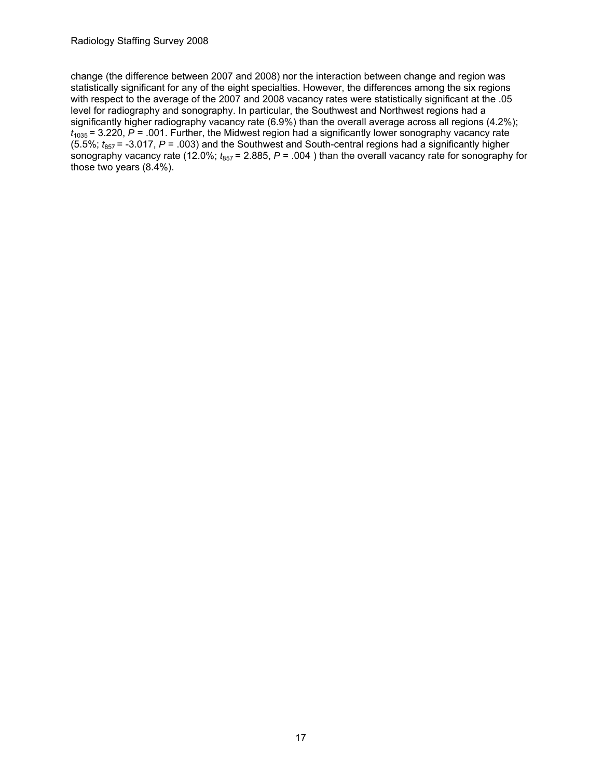change (the difference between 2007 and 2008) nor the interaction between change and region was statistically significant for any of the eight specialties. However, the differences among the six regions with respect to the average of the 2007 and 2008 vacancy rates were statistically significant at the .05 level for radiography and sonography. In particular, the Southwest and Northwest regions had a significantly higher radiography vacancy rate (6.9%) than the overall average across all regions (4.2%);  $t_{1035}$  = 3.220,  $P$  = .001. Further, the Midwest region had a significantly lower sonography vacancy rate  $(5.5\%$ ;  $t_{857}$  = -3.017, *P* = .003) and the Southwest and South-central regions had a significantly higher sonography vacancy rate (12.0%;  $t_{857}$  = 2.885,  $P$  = .004) than the overall vacancy rate for sonography for those two years (8.4%).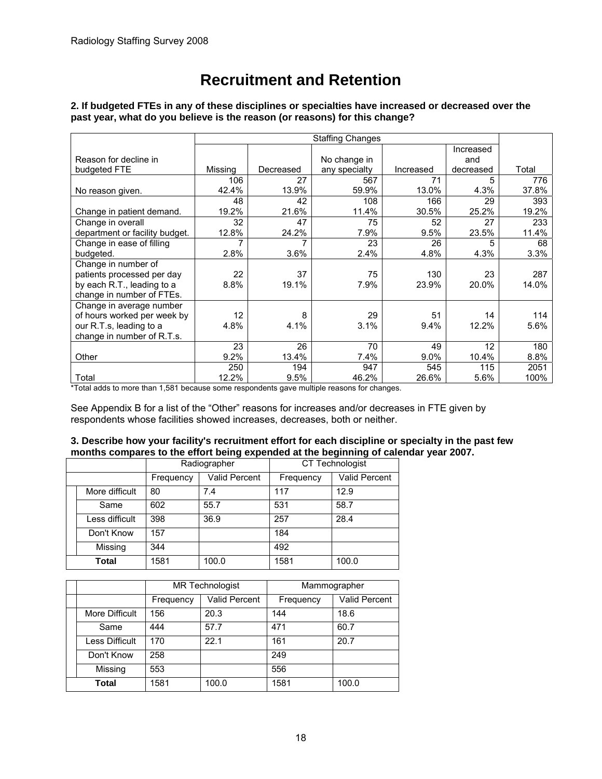# **Recruitment and Retention**

**2. If budgeted FTEs in any of these disciplines or specialties have increased or decreased over the past year, what do you believe is the reason (or reasons) for this change?**

|                                |         |           | <b>Staffing Changes</b> |           |           |       |
|--------------------------------|---------|-----------|-------------------------|-----------|-----------|-------|
|                                |         |           |                         |           | Increased |       |
| Reason for decline in          |         |           | No change in            |           | and       |       |
| budgeted FTE                   | Missing | Decreased | any specialty           | Increased | decreased | Total |
|                                | 106     | 27        | 567                     | 71        | 5         | 776   |
| No reason given.               | 42.4%   | 13.9%     | 59.9%                   | 13.0%     | 4.3%      | 37.8% |
|                                | 48      | 42        | 108                     | 166       | 29        | 393   |
| Change in patient demand.      | 19.2%   | 21.6%     | 11.4%                   | 30.5%     | 25.2%     | 19.2% |
| Change in overall              | 32      | 47        | 75                      | 52        | 27        | 233   |
| department or facility budget. | 12.8%   | 24.2%     | 7.9%                    | 9.5%      | 23.5%     | 11.4% |
| Change in ease of filling      | 7       | 7         | 23                      | 26        | 5         | 68    |
| budgeted.                      | 2.8%    | 3.6%      | 2.4%                    | 4.8%      | 4.3%      | 3.3%  |
| Change in number of            |         |           |                         |           |           |       |
| patients processed per day     | 22      | 37        | 75                      | 130       | 23        | 287   |
| by each R.T., leading to a     | 8.8%    | 19.1%     | 7.9%                    | 23.9%     | 20.0%     | 14.0% |
| change in number of FTEs.      |         |           |                         |           |           |       |
| Change in average number       |         |           |                         |           |           |       |
| of hours worked per week by    | 12      | 8         | 29                      | 51        | 14        | 114   |
| our R.T.s, leading to a        | 4.8%    | 4.1%      | 3.1%                    | 9.4%      | 12.2%     | 5.6%  |
| change in number of R.T.s.     |         |           |                         |           |           |       |
|                                | 23      | 26        | 70                      | 49        | 12        | 180   |
| Other                          | 9.2%    | 13.4%     | 7.4%                    | $9.0\%$   | 10.4%     | 8.8%  |
|                                | 250     | 194       | 947                     | 545       | 115       | 2051  |
| Total                          | 12.2%   | 9.5%      | 46.2%                   | 26.6%     | 5.6%      | 100%  |

\*Total adds to more than 1,581 because some respondents gave multiple reasons for changes.

See Appendix B for a list of the "Other" reasons for increases and/or decreases in FTE given by respondents whose facilities showed increases, decreases, both or neither.

### **3. Describe how your facility's recruitment effort for each discipline or specialty in the past few months compares to the effort being expended at the beginning of calendar year 2007.**

|  |                |           | Radiographer         | <b>CT Technologist</b> |               |  |
|--|----------------|-----------|----------------------|------------------------|---------------|--|
|  |                | Frequency | <b>Valid Percent</b> | Frequency              | Valid Percent |  |
|  | More difficult | 80        | 7.4                  | 117                    | 12.9          |  |
|  | Same           | 602       | 55.7                 | 531                    | 58.7          |  |
|  | Less difficult | 398       | 36.9                 | 257                    | 28.4          |  |
|  | Don't Know     | 157       |                      | 184                    |               |  |
|  | Missing        | 344       |                      | 492                    |               |  |
|  | Total          | 1581      | 100.0                | 1581                   | 100.0         |  |

|                |                |           | <b>MR Technologist</b> | Mammographer |                      |  |  |  |
|----------------|----------------|-----------|------------------------|--------------|----------------------|--|--|--|
|                |                | Frequency | Valid Percent          | Frequency    | <b>Valid Percent</b> |  |  |  |
|                | More Difficult | 156       | 20.3                   | 144          | 18.6                 |  |  |  |
|                | Same           | 444       | 57.7                   | 471          | 60.7                 |  |  |  |
|                | Less Difficult | 170       | 22.1                   | 161          | 20.7                 |  |  |  |
|                | Don't Know     | 258       |                        | 249          |                      |  |  |  |
| Missing<br>553 |                |           | 556                    |              |                      |  |  |  |
| Total          |                | 1581      | 100.0                  | 1581         | 100.0                |  |  |  |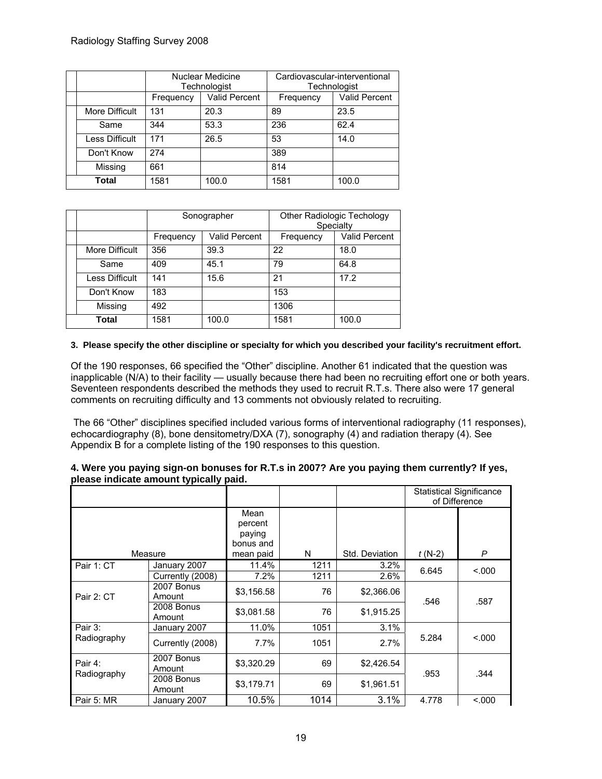|       |                |                                   | <b>Nuclear Medicine</b><br>Technologist | Cardiovascular-interventional<br>Technologist |                      |  |
|-------|----------------|-----------------------------------|-----------------------------------------|-----------------------------------------------|----------------------|--|
|       |                | <b>Valid Percent</b><br>Frequency |                                         | Frequency                                     | <b>Valid Percent</b> |  |
|       | More Difficult | 131                               | 20.3                                    | 89                                            | 23.5                 |  |
|       | Same           | 344                               | 53.3                                    | 236                                           | 62.4                 |  |
|       | Less Difficult | 171                               | 26.5                                    | 53                                            | 14.0                 |  |
|       | Don't Know     | 274                               |                                         | 389                                           |                      |  |
|       | Missing        | 661                               |                                         | 814                                           |                      |  |
| Total |                | 1581                              | 100.0                                   | 1581                                          | 100.0                |  |

|                |                |                                   | Sonographer | Other Radiologic Techology<br>Specialty |                      |  |  |  |
|----------------|----------------|-----------------------------------|-------------|-----------------------------------------|----------------------|--|--|--|
|                |                | <b>Valid Percent</b><br>Frequency |             | Frequency                               | <b>Valid Percent</b> |  |  |  |
|                | More Difficult | 356                               | 39.3        | 22                                      | 18.0                 |  |  |  |
|                | Same           | 409                               | 45.1        | 79                                      | 64.8                 |  |  |  |
|                | Less Difficult | 141                               | 15.6        | 21                                      | 17.2                 |  |  |  |
|                | Don't Know     | 183                               |             | 153                                     |                      |  |  |  |
| 492<br>Missing |                |                                   | 1306        |                                         |                      |  |  |  |
| Total          |                | 1581                              | 100.0       | 1581                                    | 100.0                |  |  |  |

#### **3. Please specify the other discipline or specialty for which you described your facility's recruitment effort.**

Of the 190 responses, 66 specified the "Other" discipline. Another 61 indicated that the question was inapplicable (N/A) to their facility — usually because there had been no recruiting effort one or both years. Seventeen respondents described the methods they used to recruit R.T.s. There also were 17 general comments on recruiting difficulty and 13 comments not obviously related to recruiting.

 The 66 "Other" disciplines specified included various forms of interventional radiography (11 responses), echocardiography (8), bone densitometry/DXA (7), sonography (4) and radiation therapy (4). See Appendix B for a complete listing of the 190 responses to this question.

|             |                                  |                                                     |              |                | <b>Statistical Significance</b><br>of Difference |              |
|-------------|----------------------------------|-----------------------------------------------------|--------------|----------------|--------------------------------------------------|--------------|
| Measure     |                                  | Mean<br>percent<br>paying<br>bonus and<br>mean paid | N            | Std. Deviation | $t(N-2)$                                         | $\mathsf{P}$ |
|             |                                  |                                                     |              |                |                                                  |              |
| Pair 1: CT  | January 2007<br>Currently (2008) | 11.4%<br>7.2%                                       | 1211<br>1211 | 3.2%<br>2.6%   | 6.645                                            | < 0.000      |
| Pair 2: CT  | 2007 Bonus<br>Amount             | \$3,156.58                                          | 76           | \$2,366.06     |                                                  | .587         |
|             | 2008 Bonus<br>Amount             | \$3,081.58                                          | 76           | \$1,915.25     | .546                                             |              |
| Pair 3:     | January 2007                     | 11.0%                                               | 1051         | 3.1%           |                                                  |              |
| Radiography | Currently (2008)                 | 7.7%                                                | 1051         | 2.7%           | 5.284                                            | < 0.000      |
| Pair 4:     | 2007 Bonus<br>Amount             | \$3,320.29                                          | 69           | \$2,426.54     | .953                                             | .344         |
| Radiography | 2008 Bonus<br>Amount             | \$3,179.71                                          | 69           | \$1,961.51     |                                                  |              |
| Pair 5: MR  | January 2007                     | 10.5%                                               | 1014         | 3.1%           | 4.778                                            | < 0.000      |

| 4. Were you paying sign-on bonuses for R.T.s in 2007? Are you paying them currently? If yes, |  |
|----------------------------------------------------------------------------------------------|--|
| please indicate amount typically paid.                                                       |  |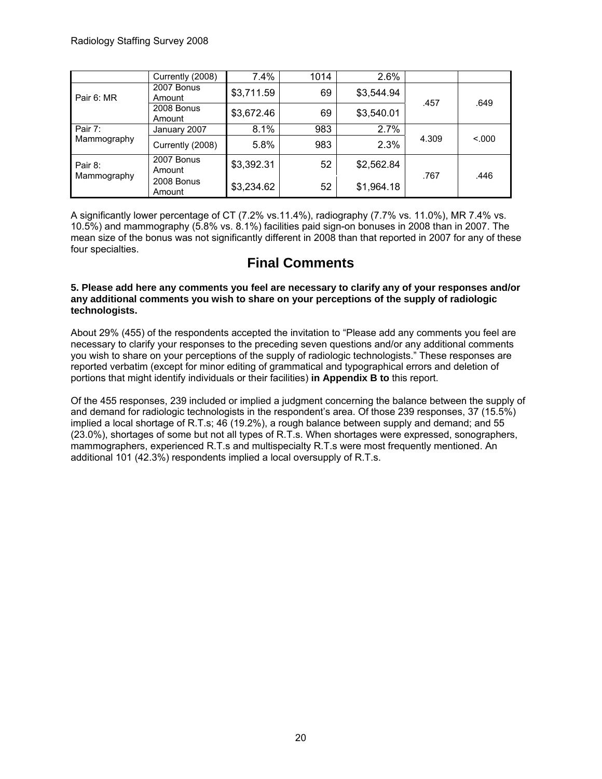|             | Currently (2008)     | 7.4%       | 1014 | 2.6%       |       |        |
|-------------|----------------------|------------|------|------------|-------|--------|
| Pair 6: MR  | 2007 Bonus<br>Amount | \$3,711.59 | 69   | \$3,544.94 | .457  | .649   |
|             | 2008 Bonus<br>Amount | \$3,672.46 | 69   | \$3,540.01 |       |        |
| Pair 7:     | January 2007         | 8.1%       | 983  | 2.7%       |       | < 0.00 |
| Mammography | Currently (2008)     | 5.8%       | 983  | 2.3%       | 4.309 |        |
| Pair 8:     | 2007 Bonus<br>Amount | \$3,392.31 | 52   | \$2,562.84 | .767  | .446   |
| Mammography | 2008 Bonus<br>Amount | \$3,234.62 | 52   | \$1,964.18 |       |        |

A significantly lower percentage of CT (7.2% vs.11.4%), radiography (7.7% vs. 11.0%), MR 7.4% vs. 10.5%) and mammography (5.8% vs. 8.1%) facilities paid sign-on bonuses in 2008 than in 2007. The mean size of the bonus was not significantly different in 2008 than that reported in 2007 for any of these four specialties.

## **Final Comments**

**5. Please add here any comments you feel are necessary to clarify any of your responses and/or any additional comments you wish to share on your perceptions of the supply of radiologic technologists.** 

About 29% (455) of the respondents accepted the invitation to "Please add any comments you feel are necessary to clarify your responses to the preceding seven questions and/or any additional comments you wish to share on your perceptions of the supply of radiologic technologists." These responses are reported verbatim (except for minor editing of grammatical and typographical errors and deletion of portions that might identify individuals or their facilities) **in Appendix B to** this report.

Of the 455 responses, 239 included or implied a judgment concerning the balance between the supply of and demand for radiologic technologists in the respondent's area. Of those 239 responses, 37 (15.5%) implied a local shortage of R.T.s; 46 (19.2%), a rough balance between supply and demand; and 55 (23.0%), shortages of some but not all types of R.T.s. When shortages were expressed, sonographers, mammographers, experienced R.T.s and multispecialty R.T.s were most frequently mentioned. An additional 101 (42.3%) respondents implied a local oversupply of R.T.s.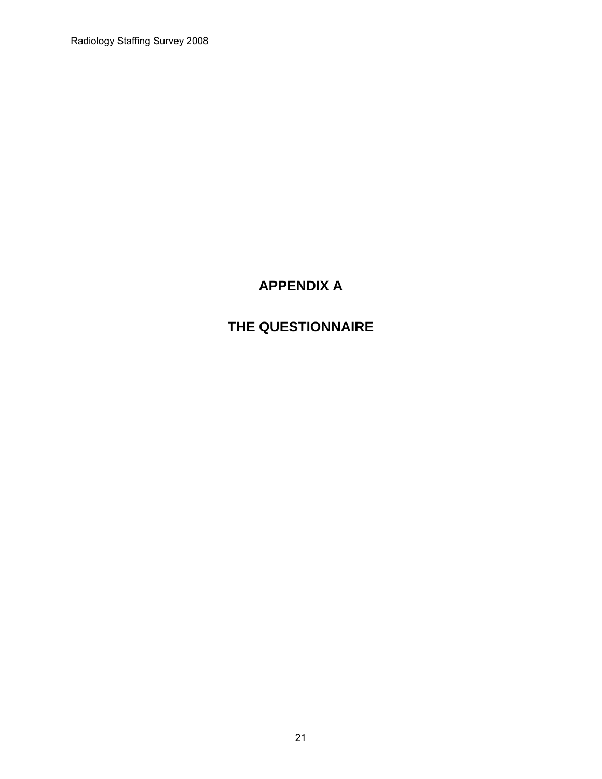Radiology Staffing Survey 2008

# **APPENDIX A**

# **THE QUESTIONNAIRE**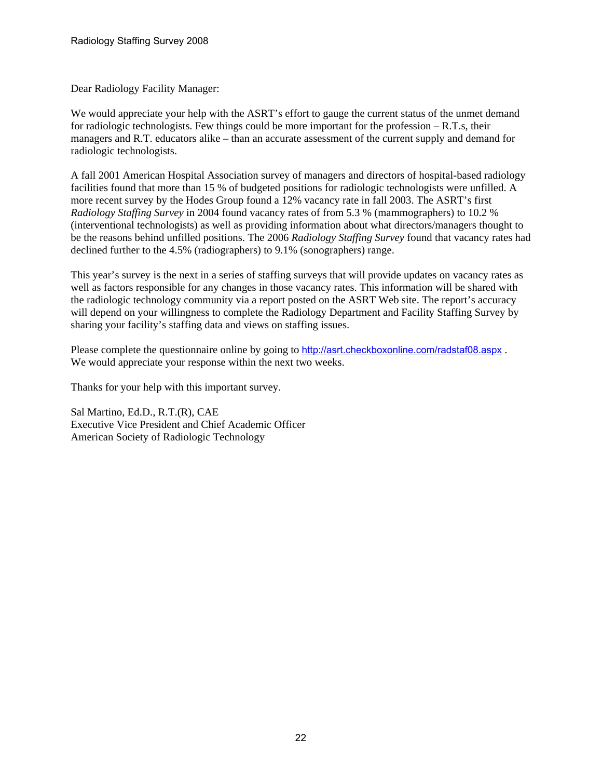Dear Radiology Facility Manager:

We would appreciate your help with the ASRT's effort to gauge the current status of the unmet demand for radiologic technologists. Few things could be more important for the profession  $-R.T.s.$  their managers and R.T. educators alike – than an accurate assessment of the current supply and demand for radiologic technologists.

A fall 2001 American Hospital Association survey of managers and directors of hospital-based radiology facilities found that more than 15 % of budgeted positions for radiologic technologists were unfilled. A more recent survey by the Hodes Group found a 12% vacancy rate in fall 2003. The ASRT's first *Radiology Staffing Survey* in 2004 found vacancy rates of from 5.3 % (mammographers) to 10.2 % (interventional technologists) as well as providing information about what directors/managers thought to be the reasons behind unfilled positions. The 2006 *Radiology Staffing Survey* found that vacancy rates had declined further to the 4.5% (radiographers) to 9.1% (sonographers) range.

This year's survey is the next in a series of staffing surveys that will provide updates on vacancy rates as well as factors responsible for any changes in those vacancy rates. This information will be shared with the radiologic technology community via a report posted on the ASRT Web site. The report's accuracy will depend on your willingness to complete the Radiology Department and Facility Staffing Survey by sharing your facility's staffing data and views on staffing issues.

Please complete the questionnaire online by going to http://asrt.checkboxonline.com/radstaf08.aspx. We would appreciate your response within the next two weeks.

Thanks for your help with this important survey.

Sal Martino, Ed.D., R.T.(R), CAE Executive Vice President and Chief Academic Officer American Society of Radiologic Technology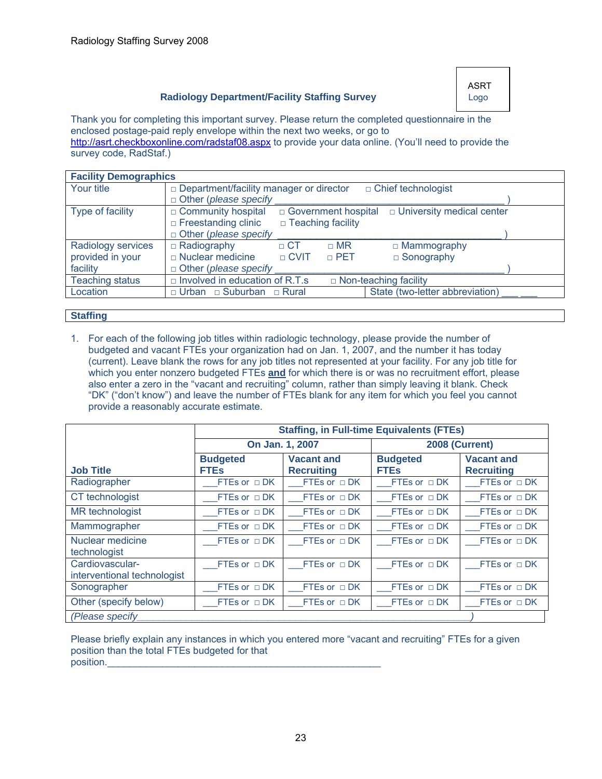### **Radiology Department/Facility Staffing Survey**

| <b>Radiology Department/Facility Staffing Survey</b> | <b>ASRT</b><br>Logo |
|------------------------------------------------------|---------------------|
|                                                      |                     |

Thank you for completing this important survey. Please return the completed questionnaire in the enclosed postage-paid reply envelope within the next two weeks, or go to http://asrt.checkboxonline.com/radstaf08.aspx to provide your data online. (You'll need to provide the survey code, RadStaf.)

| <b>Facility Demographics</b> |                                       |                                                                      |                          |                                 |  |  |  |  |  |
|------------------------------|---------------------------------------|----------------------------------------------------------------------|--------------------------|---------------------------------|--|--|--|--|--|
| Your title                   |                                       | Department/facility manager or director<br>$\Box$ Chief technologist |                          |                                 |  |  |  |  |  |
|                              | □ Other (please specify)              |                                                                      |                          |                                 |  |  |  |  |  |
| Type of facility             | $\Box$ Community hospital             | □ Government hospital<br>$\Box$ University medical center            |                          |                                 |  |  |  |  |  |
|                              | $\Box$ Freestanding clinic            |                                                                      | $\Box$ Teaching facility |                                 |  |  |  |  |  |
|                              | $\Box$ Other (please specify          |                                                                      |                          |                                 |  |  |  |  |  |
| Radiology services           | $\Box$ Radiography                    | $\Box$ CT                                                            | $\Box$ MR                | $\Box$ Mammography              |  |  |  |  |  |
| provided in your             | $\Box$ Nuclear medicine               | $\sqcap$ CVIT                                                        | $\Box$ PET               | $\Box$ Sonography               |  |  |  |  |  |
| facility                     | $\Box$ Other (please specify          |                                                                      |                          |                                 |  |  |  |  |  |
| <b>Teaching status</b>       | $\Box$ Involved in education of R.T.s |                                                                      |                          | □ Non-teaching facility         |  |  |  |  |  |
| Location                     | □ Urban □ Suburban □ Rural            |                                                                      |                          | State (two-letter abbreviation) |  |  |  |  |  |
|                              |                                       |                                                                      |                          |                                 |  |  |  |  |  |

#### **Staffing**

1. For each of the following job titles within radiologic technology, please provide the number of budgeted and vacant FTEs your organization had on Jan. 1, 2007, and the number it has today (current). Leave blank the rows for any job titles not represented at your facility. For any job title for which you enter nonzero budgeted FTEs **and** for which there is or was no recruitment effort, please also enter a zero in the "vacant and recruiting" column, rather than simply leaving it blank. Check "DK" ("don't know") and leave the number of FTEs blank for any item for which you feel you cannot provide a reasonably accurate estimate.

|                                                | <b>Staffing, in Full-time Equivalents (FTEs)</b> |                                        |                                |                                        |  |  |
|------------------------------------------------|--------------------------------------------------|----------------------------------------|--------------------------------|----------------------------------------|--|--|
|                                                |                                                  | On Jan. 1, 2007                        | 2008 (Current)                 |                                        |  |  |
| <b>Job Title</b>                               | <b>Budgeted</b><br><b>FTEs</b>                   | <b>Vacant and</b><br><b>Recruiting</b> | <b>Budgeted</b><br><b>FTEs</b> | <b>Vacant and</b><br><b>Recruiting</b> |  |  |
| Radiographer                                   | FTEs or $\Box$ DK                                | FTEs or $\Box$ DK                      | FTEs or $\Box$ DK              | FTEs or $\Box$ DK                      |  |  |
| CT technologist                                | FTEs or $\Box$ DK                                | FTEs or $\Box$ DK                      | FTEs or $\Box$ DK              | FTEs or $\Box$ DK                      |  |  |
| MR technologist                                | FTEs or $\Box$ DK                                | $FTEs$ or $\Box$ DK                    | $FTEs$ or $\Box$ DK            | $FTEs$ or $\Box$ DK                    |  |  |
| Mammographer                                   | FTEs or $\Box$ DK                                | FTEs or $\Box$ DK                      | FTEs or $\Box$ DK              | $FTEs$ or $\Box$ DK                    |  |  |
| Nuclear medicine<br>technologist               | FTEs or $\Box$ DK                                | FTEs or $\Box$ DK                      | $FTEs$ or $\Box$ DK            | $FTEs$ or $\Box$ DK                    |  |  |
| Cardiovascular-<br>interventional technologist | FTEs or $\Box$ DK                                | FTEs or $\Box$ DK                      | $FTEs$ or $\Box$ DK            | $FTEs$ or $\Box$ DK                    |  |  |
| Sonographer                                    | FTEs or $\Box$ DK                                | FTEs or $\Box$ DK                      | $FTEs$ or $\Box$ DK            | FTEs or $\Box$ DK                      |  |  |
| Other (specify below)                          | FTEs or $\Box$ DK                                | FTEs or $\Box$ DK                      | $FTEs$ or $\Box$ DK            | FTEs or $\Box$ DK                      |  |  |
| (Please specify)                               |                                                  |                                        |                                |                                        |  |  |

Please briefly explain any instances in which you entered more "vacant and recruiting" FTEs for a given position than the total FTEs budgeted for that position.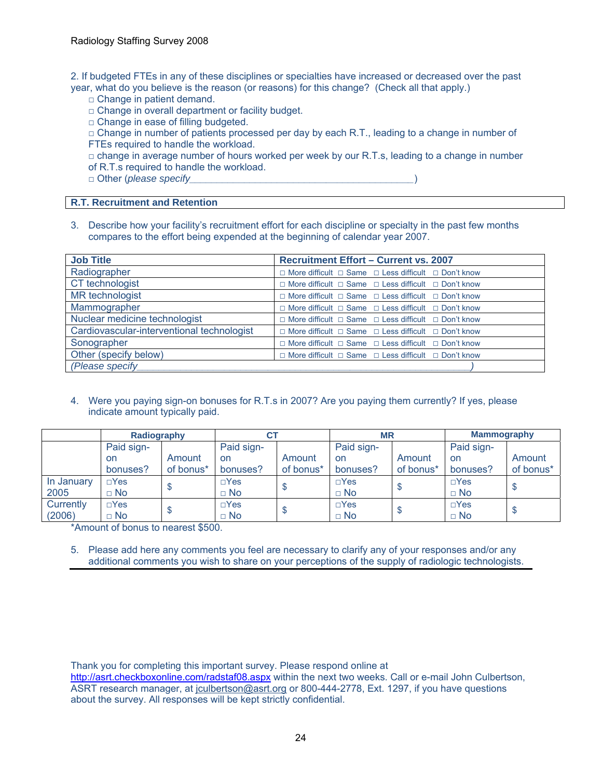2. If budgeted FTEs in any of these disciplines or specialties have increased or decreased over the past year, what do you believe is the reason (or reasons) for this change? (Check all that apply.)

- □ Change in patient demand.
- □ Change in overall department or facility budget.
- □ Change in ease of filling budgeted.

 $\Box$  Change in number of patients processed per day by each R.T., leading to a change in number of FTEs required to handle the workload.

 $\Box$  change in average number of hours worked per week by our R.T.s, leading to a change in number of R.T.s required to handle the workload.

□ Other (*please specify\_\_\_\_\_\_\_\_\_\_\_\_\_\_\_\_\_\_\_\_\_\_\_\_\_\_\_\_\_\_\_\_\_\_\_\_\_\_\_\_\_*)

**R.T. Recruitment and Retention** 

3. Describe how your facility's recruitment effort for each discipline or specialty in the past few months compares to the effort being expended at the beginning of calendar year 2007.

| <b>Job Title</b>                           | <b>Recruitment Effort - Current vs. 2007</b>                              |
|--------------------------------------------|---------------------------------------------------------------------------|
| Radiographer                               | □ More difficult □ Same □ Less difficult □ Don't know                     |
| CT technologist                            | $\Box$ More difficult $\Box$ Same $\Box$ Less difficult $\Box$ Don't know |
| MR technologist                            | $\Box$ More difficult $\Box$ Same $\Box$ Less difficult $\Box$ Don't know |
| Mammographer                               | □ More difficult □ Same □ Less difficult □ Don't know                     |
| Nuclear medicine technologist              | $\Box$ More difficult $\Box$ Same $\Box$ Less difficult $\Box$ Don't know |
| Cardiovascular-interventional technologist | $\Box$ More difficult $\Box$ Same $\Box$ Less difficult $\Box$ Don't know |
| Sonographer                                | $\Box$ More difficult $\Box$ Same $\Box$ Less difficult $\Box$ Don't know |
| Other (specify below)                      | $\Box$ More difficult $\Box$ Same $\Box$ Less difficult $\Box$ Don't know |
| (Please specify                            |                                                                           |

4. Were you paying sign-on bonuses for R.T.s in 2007? Are you paying them currently? If yes, please indicate amount typically paid.

|            | Radiography |           | <b>CT</b>  | <b>MR</b> |            |           |            | <b>Mammography</b> |
|------------|-------------|-----------|------------|-----------|------------|-----------|------------|--------------------|
|            | Paid sign-  |           | Paid sign- |           | Paid sign- |           | Paid sign- |                    |
|            | on          | Amount    | on         | Amount    | on         | Amount    | on         | Amount             |
|            | bonuses?    | of bonus* | bonuses?   | of bonus* | bonuses?   | of bonus* | bonuses?   | of bonus*          |
| In January | $\Box$ Yes  |           | $\Box$ Yes |           | $\Box$ Yes |           | $\Box$ Yes | \$                 |
| 2005       | $\Box$ No   | S.        | $\Box$ No  |           | $\Box$ No  |           | $\Box$ No  |                    |
| Currently  | $\Box$ Yes  | S         | $\Box$ Yes |           | $\Box$ Yes |           | $\Box$ Yes | \$                 |
| (2006)     | $\Box$ No   |           | $\Box$ No  |           | $\Box$ No  |           | $\Box$ No  |                    |

\*Amount of bonus to nearest \$500.

5. Please add here any comments you feel are necessary to clarify any of your responses and/or any additional comments you wish to share on your perceptions of the supply of radiologic technologists.

Thank you for completing this important survey. Please respond online at

http://asrt.checkboxonline.com/radstaf08.aspx within the next two weeks. Call or e-mail John Culbertson, ASRT research manager, at jculbertson@asrt.org or 800-444-2778, Ext. 1297, if you have questions about the survey. All responses will be kept strictly confidential.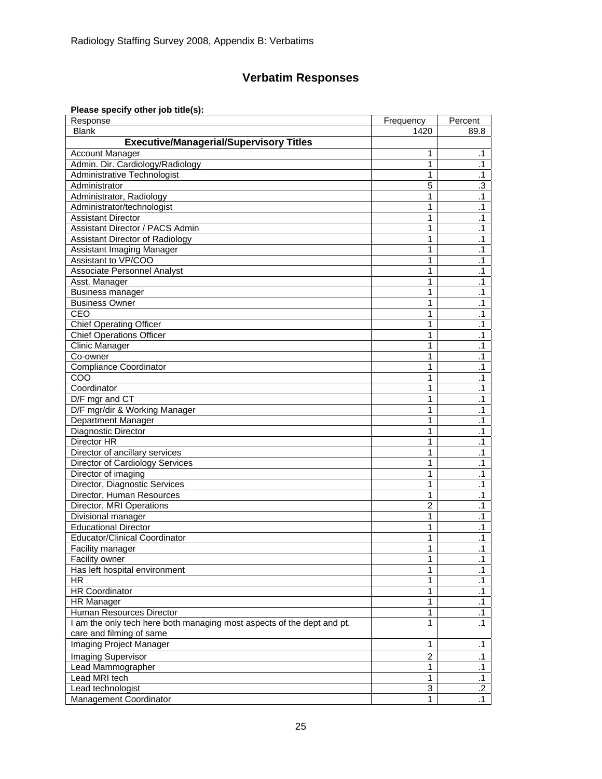## **Verbatim Responses**

#### **Please specify other job title(s):**

| Response                                                               | Frequency      | Percent   |
|------------------------------------------------------------------------|----------------|-----------|
| <b>Blank</b>                                                           | 1420           | 89.8      |
| <b>Executive/Managerial/Supervisory Titles</b>                         |                |           |
| <b>Account Manager</b>                                                 | 1              | $\cdot$ 1 |
| Admin. Dir. Cardiology/Radiology                                       | 1              | $\cdot$ 1 |
| Administrative Technologist                                            | 1              | $\cdot$ 1 |
| Administrator                                                          | 5              | $\cdot$ 3 |
| Administrator, Radiology                                               | 1              | $\cdot$ 1 |
| Administrator/technologist                                             | 1              | $\cdot$ 1 |
| <b>Assistant Director</b>                                              | 1              | $\cdot$ 1 |
| <b>Assistant Director / PACS Admin</b>                                 | 1              | $\cdot$ 1 |
| Assistant Director of Radiology                                        | 1              | $\cdot$ 1 |
| Assistant Imaging Manager                                              | 1              | $\cdot$ 1 |
| Assistant to VP/COO                                                    | 1              | $\cdot$ 1 |
| <b>Associate Personnel Analyst</b>                                     | 1              | $\cdot$ 1 |
| Asst. Manager                                                          | 1              | $\cdot$ 1 |
| <b>Business manager</b>                                                | 1              | $\cdot$ 1 |
| <b>Business Owner</b>                                                  | 1              | $\cdot$ 1 |
| CEO                                                                    | 1              | $\cdot$ 1 |
| <b>Chief Operating Officer</b>                                         | 1              | $\cdot$ 1 |
| <b>Chief Operations Officer</b>                                        | 1              | $\cdot$ 1 |
| Clinic Manager                                                         | 1              | $\cdot$ 1 |
| Co-owner                                                               | 1              | $\cdot$ 1 |
| <b>Compliance Coordinator</b>                                          | 1              | $\cdot$ 1 |
| $\overline{COO}$                                                       | 1              | $\cdot$ 1 |
| Coordinator                                                            | 1              | $\cdot$ 1 |
| D/F mgr and CT                                                         | 1              | $\cdot$ 1 |
| D/F mgr/dir & Working Manager                                          | 1              | $\cdot$ 1 |
| Department Manager                                                     | 1              | $\cdot$ 1 |
| Diagnostic Director                                                    | 1              | $\cdot$ 1 |
| Director HR                                                            | 1              | $\cdot$ 1 |
| Director of ancillary services                                         | 1              | $\cdot$ 1 |
| Director of Cardiology Services                                        | 1              | $\cdot$ 1 |
| Director of imaging                                                    | $\mathbf{1}$   | $\cdot$ 1 |
| Director, Diagnostic Services                                          | 1              | $\cdot$ 1 |
| Director, Human Resources                                              | 1              | $\cdot$ 1 |
| Director, MRI Operations                                               | $\overline{c}$ | $\cdot$ 1 |
| Divisional manager                                                     | 1              | $\cdot$ 1 |
| Educational Director                                                   | 1              | $\cdot$ 1 |
| <b>Educator/Clinical Coordinator</b>                                   | 1              | $\cdot$ 1 |
| Facility manager                                                       | 1              | $\cdot$ 1 |
| Facility owner                                                         | 1              | $\cdot$ 1 |
| Has left hospital environment                                          | 1              | $\cdot$ 1 |
| <b>HR</b>                                                              | 1              | $\cdot$ 1 |
| <b>HR Coordinator</b>                                                  | 1              | .1        |
| <b>HR Manager</b>                                                      | 1              | $\cdot$ 1 |
| Human Resources Director                                               | 1              | $\cdot$ 1 |
| I am the only tech here both managing most aspects of the dept and pt. | 1              | .1        |
| care and filming of same                                               |                |           |
| Imaging Project Manager                                                | 1              | $\cdot$ 1 |
| <b>Imaging Supervisor</b>                                              | $\overline{2}$ | $\cdot$ 1 |
| Lead Mammographer                                                      | 1              | $\cdot$ 1 |
| Lead MRI tech                                                          | 1              | $\cdot$ 1 |
| Lead technologist                                                      | 3              | .2        |
| Management Coordinator                                                 | 1              | $\cdot$ 1 |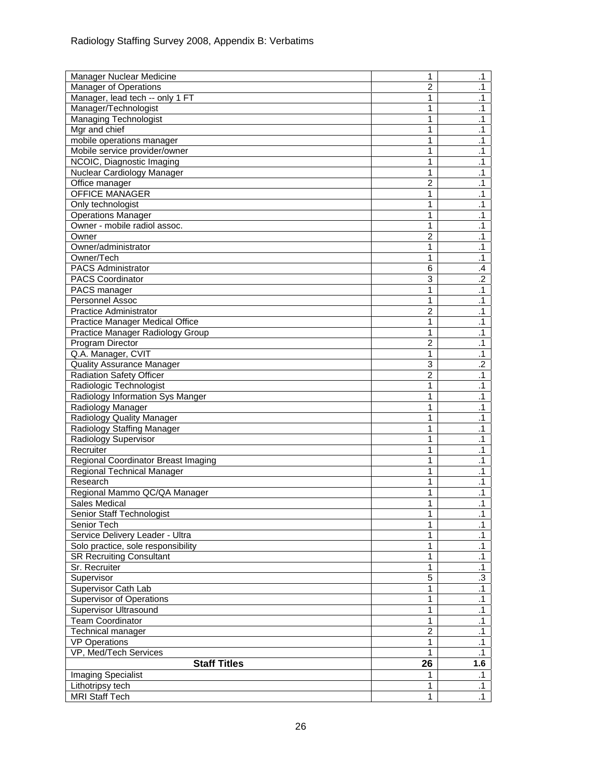| Manager Nuclear Medicine            | 1              | $\cdot$ 1       |
|-------------------------------------|----------------|-----------------|
| <b>Manager of Operations</b>        | 2              | $\overline{.1}$ |
| Manager, lead tech -- only 1 FT     | 1              | $\cdot$ 1       |
| Manager/Technologist                | 1              | $\cdot$ 1       |
| Managing Technologist               | 1              | $\cdot$ 1       |
| Mgr and chief                       | 1              | $\overline{.1}$ |
| mobile operations manager           | 1              | $\cdot$ 1       |
| Mobile service provider/owner       | 1              | $\cdot$ 1       |
|                                     |                |                 |
| NCOIC, Diagnostic Imaging           | 1              | $\cdot$ 1       |
| Nuclear Cardiology Manager          | 1              | $\cdot$ 1       |
| Office manager                      | $\overline{c}$ | $\cdot$ 1       |
| <b>OFFICE MANAGER</b>               | 1              | $\cdot$ 1       |
| Only technologist                   | 1              | $\cdot$ 1       |
| <b>Operations Manager</b>           | 1              | $\cdot$ 1       |
| Owner - mobile radiol assoc.        | 1              | $\cdot$ 1       |
| Owner                               | 2              | $\cdot$ 1       |
| Owner/administrator                 | 1              | $\overline{.1}$ |
| Owner/Tech                          | 1              | $\cdot$ 1       |
| PACS Administrator                  | 6              | $\mathbf{.4}$   |
| PACS Coordinator                    | 3              | $\cdot$ .2      |
| PACS manager                        | 1              | $\cdot$ 1       |
| <b>Personnel Assoc</b>              | 1              | $\cdot$ 1       |
| Practice Administrator              | 2              | $\cdot$ 1       |
| Practice Manager Medical Office     | 1              | $\cdot$ 1       |
| Practice Manager Radiology Group    | 1              | $\cdot$ 1       |
| Program Director                    | $\overline{2}$ | $\cdot$ 1       |
| Q.A. Manager, CVIT                  | 1              | $\cdot$ 1       |
| <b>Quality Assurance Manager</b>    | 3              | $\overline{.2}$ |
| <b>Radiation Safety Officer</b>     | 2              | $\cdot$ 1       |
| Radiologic Technologist             |                |                 |
|                                     | 1              | $\cdot$ 1       |
| Radiology Information Sys Manger    | 1              | $\cdot$ 1       |
| Radiology Manager                   | 1              | $\cdot$ 1       |
| Radiology Quality Manager           | 1              | $\cdot$ 1       |
| Radiology Staffing Manager          | 1              | $\cdot$ 1       |
| Radiology Supervisor                | 1              | $\cdot$ 1       |
| Recruiter                           | 1              | $\cdot$ 1       |
| Regional Coordinator Breast Imaging | 1              | $\cdot$ 1       |
| Regional Technical Manager          | 1              | $\cdot$ 1       |
| Research                            | 1              | $\cdot$ 1       |
| Regional Mammo QC/QA Manager        | 1              | $\cdot$ 1       |
| <b>Sales Medical</b>                | 1              | $\cdot$ 1       |
| Senior Staff Technologist           | 1              | $\cdot$ 1       |
| Senior Tech                         | 1              | $\cdot$ 1       |
| Service Delivery Leader - Ultra     | 1              | $\cdot$ 1       |
| Solo practice, sole responsibility  | 1              | $\cdot$ 1       |
| <b>SR Recruiting Consultant</b>     | 1              | $\cdot$ 1       |
| Sr. Recruiter                       | 1              | $\cdot$ 1       |
| Supervisor                          | 5              | $\cdot$ 3       |
| Supervisor Cath Lab                 | 1              | $\overline{.1}$ |
| <b>Supervisor of Operations</b>     | 1              | $\cdot$ 1       |
| Supervisor Ultrasound               | 1              | $\cdot$ 1       |
| <b>Team Coordinator</b>             | 1              | $\cdot$ 1       |
| Technical manager                   | $\overline{2}$ | $\overline{.1}$ |
|                                     |                |                 |
| <b>VP Operations</b>                | 1              | $\cdot$ 1       |
| VP, Med/Tech Services               | 1              | $\cdot$ 1       |
| <b>Staff Titles</b>                 | 26             | 1.6             |
| Imaging Specialist                  | 1              | $\cdot$ 1       |
| Lithotripsy tech                    | 1              | $\cdot$ 1       |
| <b>MRI Staff Tech</b>               | 1              | $\cdot$ 1       |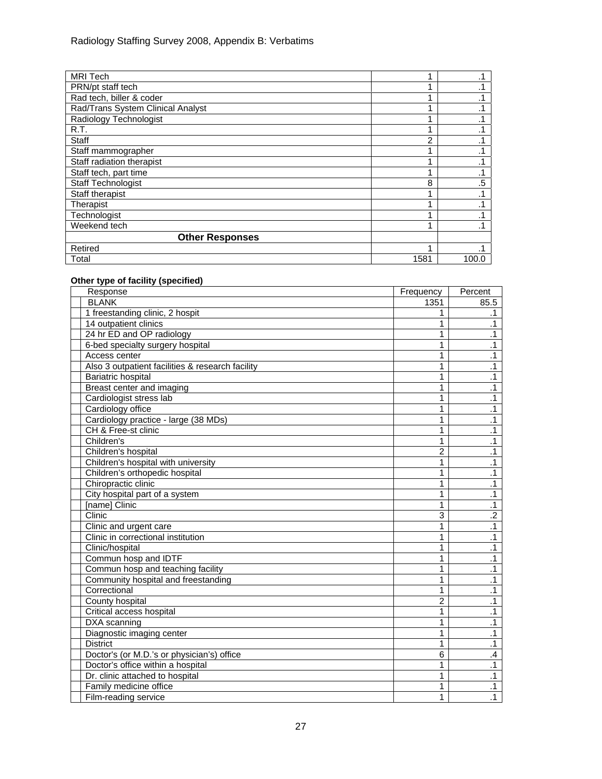| <b>MRI</b> Tech                   |      | .1        |
|-----------------------------------|------|-----------|
| PRN/pt staff tech                 |      | . .       |
| Rad tech, biller & coder          |      | .1        |
| Rad/Trans System Clinical Analyst |      | $\cdot$ 1 |
| Radiology Technologist            |      |           |
| R.T.                              |      |           |
| <b>Staff</b>                      | 2    | $\cdot$ 1 |
| Staff mammographer                |      | .1        |
| Staff radiation therapist         |      | .1        |
| Staff tech, part time             |      | .1        |
| <b>Staff Technologist</b>         | 8    | .5        |
| Staff therapist                   |      |           |
| Therapist                         | ۸    |           |
| Technologist                      |      |           |
| Weekend tech                      |      | .1        |
| <b>Other Responses</b>            |      |           |
| Retired                           | ۸    |           |
| Total                             | 1581 | 100.0     |

### **Other type of facility (specified)**

| Response                                         | Frequency      | Percent         |
|--------------------------------------------------|----------------|-----------------|
| <b>BLANK</b>                                     | 1351           | 85.5            |
| 1 freestanding clinic, 2 hospit                  | 1              | .1              |
| 14 outpatient clinics                            | 1              | $\cdot$ 1       |
| 24 hr ED and OP radiology                        | 1              | $\cdot$ 1       |
| 6-bed specialty surgery hospital                 | 1              | $\cdot$ 1       |
| Access center                                    | 1              | $\cdot$ 1       |
| Also 3 outpatient facilities & research facility | 1              | $\cdot$ 1       |
| Bariatric hospital                               | 1              | $\overline{.1}$ |
| Breast center and imaging                        | 1              | $\cdot$ 1       |
| Cardiologist stress lab                          | 1              | $\cdot$ 1       |
| Cardiology office                                | 1              | $\cdot$ 1       |
| Cardiology practice - large (38 MDs)             | $\mathbf{1}$   | $\cdot$ 1       |
| CH & Free-st clinic                              | 1              | $\cdot$ 1       |
| Children's                                       | 1              | $\cdot$ 1       |
| Children's hospital                              | $\overline{2}$ | $\cdot$ 1       |
| Children's hospital with university              | 1              | $\cdot$ 1       |
| Children's orthopedic hospital                   | 1              | $\cdot$ 1       |
| Chiropractic clinic                              | 1              | $\cdot$ 1       |
| City hospital part of a system                   | 1              | $\cdot$ 1       |
| [name] Clinic                                    | 1              | $\cdot$ 1       |
| Clinic                                           | 3              | $\overline{.2}$ |
| Clinic and urgent care                           | $\mathbf{1}$   | $\overline{.1}$ |
| Clinic in correctional institution               | 1              | $\cdot$ 1       |
| Clinic/hospital                                  | $\mathbf{1}$   | $\cdot$ 1       |
| Commun hosp and IDTF                             | 1              | $\overline{.1}$ |
| Commun hosp and teaching facility                | 1              | $\cdot$ 1       |
| Community hospital and freestanding              | 1              | $\cdot$ 1       |
| Correctional                                     | 1              | $\cdot$ 1       |
| County hospital                                  | $\overline{2}$ | $\cdot$ 1       |
| Critical access hospital                         | 1              | $\cdot$ 1       |
| DXA scanning                                     | 1              | $\cdot$ 1       |
| Diagnostic imaging center                        | 1              | $\cdot$ 1       |
| <b>District</b>                                  | $\mathbf{1}$   | $\cdot$ 1       |
| Doctor's (or M.D.'s or physician's) office       | 6              | $\mathbf{.4}$   |
| Doctor's office within a hospital                | 1              | $\cdot$ 1       |
| Dr. clinic attached to hospital                  | $\mathbf{1}$   | $\cdot$ 1       |
| Family medicine office                           | 1              | $\cdot$ 1       |
| Film-reading service                             | 1              | $\cdot$ 1       |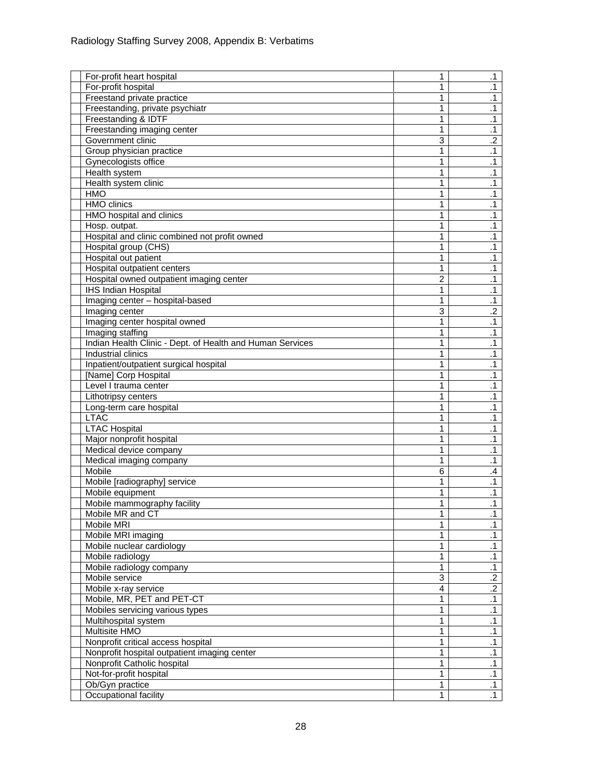| $\overline{.1}$<br>For-profit hospital<br>1<br>Freestand private practice<br>1<br>$\cdot$ 1<br>Freestanding, private psychiatr<br>1<br>$\cdot$ 1<br>Freestanding & IDTF<br>1<br>$\cdot$ 1<br>$\cdot$ 1<br>Freestanding imaging center<br>1<br>$\overline{.2}$<br>Government clinic<br>3<br>Group physician practice<br>$\cdot$ 1<br>1<br>Gynecologists office<br>1<br>$\cdot$ 1<br>Health system<br>1<br>$\cdot$ 1<br>$\mathbf 1$<br>$\overline{.1}$<br>Health system clinic<br><b>HMO</b><br>1<br>$\cdot$ 1<br><b>HMO</b> clinics<br>1<br>$\cdot$ 1<br><b>HMO</b> hospital and clinics<br>$\cdot$ 1<br>1<br>1<br>Hosp. outpat.<br>$\cdot$ 1<br>Hospital and clinic combined not profit owned<br>1<br>$\cdot$ 1<br>1<br>Hospital group (CHS)<br>$\cdot$ 1<br>Hospital out patient<br>1<br>$\cdot$ 1<br>Hospital outpatient centers<br>$\cdot$ 1<br>1<br>Hospital owned outpatient imaging center<br>2<br>$\cdot$ 1<br><b>IHS Indian Hospital</b><br>1<br>$\cdot$ 1<br>1<br>Imaging center - hospital-based<br>$\cdot$ 1<br>$\overline{2}$<br>Imaging center<br>3<br>Imaging center hospital owned<br>$\cdot$ 1<br>1<br>Imaging staffing<br>1<br>$\cdot$ 1<br>Indian Health Clinic - Dept. of Health and Human Services<br>1<br>$\cdot$ 1<br>$\cdot$ 1<br>Industrial clinics<br>1<br>Inpatient/outpatient surgical hospital<br>1<br>$\cdot$ 1<br>[Name] Corp Hospital<br>1<br>$\cdot$ 1<br>Level I trauma center<br>1<br>$\cdot$ 1<br>Lithotripsy centers<br>1<br>$\cdot$ 1<br>1<br>$\cdot$ 1<br>Long-term care hospital<br><b>LTAC</b><br>1<br>$\cdot$ 1<br><b>LTAC Hospital</b><br>1<br>$\cdot$ 1<br>Major nonprofit hospital<br>$\cdot$ 1<br>1<br>Medical device company<br>$\cdot$ 1<br>1<br>1<br>$\cdot$ 1<br>Medical imaging company<br>Mobile<br>6<br>$\mathbf{.4}$<br>Mobile [radiography] service<br>1<br>$\cdot$ 1<br>Mobile equipment<br>$\cdot$ 1<br>1<br>Mobile mammography facility<br>1<br>$\cdot$ 1<br>Mobile MR and CT<br>1<br>$\cdot$ 1<br>1<br>$\cdot$ 1<br>Mobile MRI<br>Mobile MRI imaging<br>1<br>$\cdot$ 1<br>Mobile nuclear cardiology<br>1<br>$\overline{.1}$<br>Mobile radiology<br>1<br>$\cdot$ 1<br>Mobile radiology company<br>$\overline{1}$<br>$\cdot$ 1<br>3<br>$\overline{.2}$<br>Mobile service<br>$\overline{.2}$<br>Mobile x-ray service<br>4<br>Mobile, MR, PET and PET-CT<br>1<br>$\cdot$ 1<br>Mobiles servicing various types<br>1<br>$\cdot$ 1<br>1<br>Multihospital system<br>$\cdot$ 1<br>Multisite HMO<br>1<br>$\cdot$ 1<br>Nonprofit critical access hospital<br>1<br>$\cdot$ 1<br>Nonprofit hospital outpatient imaging center<br>1<br>$\cdot$ 1<br>Nonprofit Catholic hospital<br>1<br>$\cdot$ 1<br>Not-for-profit hospital<br>1<br>$\cdot$ 1<br>Ob/Gyn practice<br>$\mathbf{1}$<br>$\overline{.1}$<br>Occupational facility<br>1<br>$\cdot$ 1 | For-profit heart hospital | 1 | $\cdot$ 1 |
|---------------------------------------------------------------------------------------------------------------------------------------------------------------------------------------------------------------------------------------------------------------------------------------------------------------------------------------------------------------------------------------------------------------------------------------------------------------------------------------------------------------------------------------------------------------------------------------------------------------------------------------------------------------------------------------------------------------------------------------------------------------------------------------------------------------------------------------------------------------------------------------------------------------------------------------------------------------------------------------------------------------------------------------------------------------------------------------------------------------------------------------------------------------------------------------------------------------------------------------------------------------------------------------------------------------------------------------------------------------------------------------------------------------------------------------------------------------------------------------------------------------------------------------------------------------------------------------------------------------------------------------------------------------------------------------------------------------------------------------------------------------------------------------------------------------------------------------------------------------------------------------------------------------------------------------------------------------------------------------------------------------------------------------------------------------------------------------------------------------------------------------------------------------------------------------------------------------------------------------------------------------------------------------------------------------------------------------------------------------------------------------------------------------------------------------------------------------------------------------------------------------------------------------------------------------------------------------------------------------------------------------------------------------------------------------------------------------------------------------------------------------------------------------------|---------------------------|---|-----------|
|                                                                                                                                                                                                                                                                                                                                                                                                                                                                                                                                                                                                                                                                                                                                                                                                                                                                                                                                                                                                                                                                                                                                                                                                                                                                                                                                                                                                                                                                                                                                                                                                                                                                                                                                                                                                                                                                                                                                                                                                                                                                                                                                                                                                                                                                                                                                                                                                                                                                                                                                                                                                                                                                                                                                                                                             |                           |   |           |
|                                                                                                                                                                                                                                                                                                                                                                                                                                                                                                                                                                                                                                                                                                                                                                                                                                                                                                                                                                                                                                                                                                                                                                                                                                                                                                                                                                                                                                                                                                                                                                                                                                                                                                                                                                                                                                                                                                                                                                                                                                                                                                                                                                                                                                                                                                                                                                                                                                                                                                                                                                                                                                                                                                                                                                                             |                           |   |           |
|                                                                                                                                                                                                                                                                                                                                                                                                                                                                                                                                                                                                                                                                                                                                                                                                                                                                                                                                                                                                                                                                                                                                                                                                                                                                                                                                                                                                                                                                                                                                                                                                                                                                                                                                                                                                                                                                                                                                                                                                                                                                                                                                                                                                                                                                                                                                                                                                                                                                                                                                                                                                                                                                                                                                                                                             |                           |   |           |
|                                                                                                                                                                                                                                                                                                                                                                                                                                                                                                                                                                                                                                                                                                                                                                                                                                                                                                                                                                                                                                                                                                                                                                                                                                                                                                                                                                                                                                                                                                                                                                                                                                                                                                                                                                                                                                                                                                                                                                                                                                                                                                                                                                                                                                                                                                                                                                                                                                                                                                                                                                                                                                                                                                                                                                                             |                           |   |           |
|                                                                                                                                                                                                                                                                                                                                                                                                                                                                                                                                                                                                                                                                                                                                                                                                                                                                                                                                                                                                                                                                                                                                                                                                                                                                                                                                                                                                                                                                                                                                                                                                                                                                                                                                                                                                                                                                                                                                                                                                                                                                                                                                                                                                                                                                                                                                                                                                                                                                                                                                                                                                                                                                                                                                                                                             |                           |   |           |
|                                                                                                                                                                                                                                                                                                                                                                                                                                                                                                                                                                                                                                                                                                                                                                                                                                                                                                                                                                                                                                                                                                                                                                                                                                                                                                                                                                                                                                                                                                                                                                                                                                                                                                                                                                                                                                                                                                                                                                                                                                                                                                                                                                                                                                                                                                                                                                                                                                                                                                                                                                                                                                                                                                                                                                                             |                           |   |           |
|                                                                                                                                                                                                                                                                                                                                                                                                                                                                                                                                                                                                                                                                                                                                                                                                                                                                                                                                                                                                                                                                                                                                                                                                                                                                                                                                                                                                                                                                                                                                                                                                                                                                                                                                                                                                                                                                                                                                                                                                                                                                                                                                                                                                                                                                                                                                                                                                                                                                                                                                                                                                                                                                                                                                                                                             |                           |   |           |
|                                                                                                                                                                                                                                                                                                                                                                                                                                                                                                                                                                                                                                                                                                                                                                                                                                                                                                                                                                                                                                                                                                                                                                                                                                                                                                                                                                                                                                                                                                                                                                                                                                                                                                                                                                                                                                                                                                                                                                                                                                                                                                                                                                                                                                                                                                                                                                                                                                                                                                                                                                                                                                                                                                                                                                                             |                           |   |           |
|                                                                                                                                                                                                                                                                                                                                                                                                                                                                                                                                                                                                                                                                                                                                                                                                                                                                                                                                                                                                                                                                                                                                                                                                                                                                                                                                                                                                                                                                                                                                                                                                                                                                                                                                                                                                                                                                                                                                                                                                                                                                                                                                                                                                                                                                                                                                                                                                                                                                                                                                                                                                                                                                                                                                                                                             |                           |   |           |
|                                                                                                                                                                                                                                                                                                                                                                                                                                                                                                                                                                                                                                                                                                                                                                                                                                                                                                                                                                                                                                                                                                                                                                                                                                                                                                                                                                                                                                                                                                                                                                                                                                                                                                                                                                                                                                                                                                                                                                                                                                                                                                                                                                                                                                                                                                                                                                                                                                                                                                                                                                                                                                                                                                                                                                                             |                           |   |           |
|                                                                                                                                                                                                                                                                                                                                                                                                                                                                                                                                                                                                                                                                                                                                                                                                                                                                                                                                                                                                                                                                                                                                                                                                                                                                                                                                                                                                                                                                                                                                                                                                                                                                                                                                                                                                                                                                                                                                                                                                                                                                                                                                                                                                                                                                                                                                                                                                                                                                                                                                                                                                                                                                                                                                                                                             |                           |   |           |
|                                                                                                                                                                                                                                                                                                                                                                                                                                                                                                                                                                                                                                                                                                                                                                                                                                                                                                                                                                                                                                                                                                                                                                                                                                                                                                                                                                                                                                                                                                                                                                                                                                                                                                                                                                                                                                                                                                                                                                                                                                                                                                                                                                                                                                                                                                                                                                                                                                                                                                                                                                                                                                                                                                                                                                                             |                           |   |           |
|                                                                                                                                                                                                                                                                                                                                                                                                                                                                                                                                                                                                                                                                                                                                                                                                                                                                                                                                                                                                                                                                                                                                                                                                                                                                                                                                                                                                                                                                                                                                                                                                                                                                                                                                                                                                                                                                                                                                                                                                                                                                                                                                                                                                                                                                                                                                                                                                                                                                                                                                                                                                                                                                                                                                                                                             |                           |   |           |
|                                                                                                                                                                                                                                                                                                                                                                                                                                                                                                                                                                                                                                                                                                                                                                                                                                                                                                                                                                                                                                                                                                                                                                                                                                                                                                                                                                                                                                                                                                                                                                                                                                                                                                                                                                                                                                                                                                                                                                                                                                                                                                                                                                                                                                                                                                                                                                                                                                                                                                                                                                                                                                                                                                                                                                                             |                           |   |           |
|                                                                                                                                                                                                                                                                                                                                                                                                                                                                                                                                                                                                                                                                                                                                                                                                                                                                                                                                                                                                                                                                                                                                                                                                                                                                                                                                                                                                                                                                                                                                                                                                                                                                                                                                                                                                                                                                                                                                                                                                                                                                                                                                                                                                                                                                                                                                                                                                                                                                                                                                                                                                                                                                                                                                                                                             |                           |   |           |
|                                                                                                                                                                                                                                                                                                                                                                                                                                                                                                                                                                                                                                                                                                                                                                                                                                                                                                                                                                                                                                                                                                                                                                                                                                                                                                                                                                                                                                                                                                                                                                                                                                                                                                                                                                                                                                                                                                                                                                                                                                                                                                                                                                                                                                                                                                                                                                                                                                                                                                                                                                                                                                                                                                                                                                                             |                           |   |           |
|                                                                                                                                                                                                                                                                                                                                                                                                                                                                                                                                                                                                                                                                                                                                                                                                                                                                                                                                                                                                                                                                                                                                                                                                                                                                                                                                                                                                                                                                                                                                                                                                                                                                                                                                                                                                                                                                                                                                                                                                                                                                                                                                                                                                                                                                                                                                                                                                                                                                                                                                                                                                                                                                                                                                                                                             |                           |   |           |
|                                                                                                                                                                                                                                                                                                                                                                                                                                                                                                                                                                                                                                                                                                                                                                                                                                                                                                                                                                                                                                                                                                                                                                                                                                                                                                                                                                                                                                                                                                                                                                                                                                                                                                                                                                                                                                                                                                                                                                                                                                                                                                                                                                                                                                                                                                                                                                                                                                                                                                                                                                                                                                                                                                                                                                                             |                           |   |           |
|                                                                                                                                                                                                                                                                                                                                                                                                                                                                                                                                                                                                                                                                                                                                                                                                                                                                                                                                                                                                                                                                                                                                                                                                                                                                                                                                                                                                                                                                                                                                                                                                                                                                                                                                                                                                                                                                                                                                                                                                                                                                                                                                                                                                                                                                                                                                                                                                                                                                                                                                                                                                                                                                                                                                                                                             |                           |   |           |
|                                                                                                                                                                                                                                                                                                                                                                                                                                                                                                                                                                                                                                                                                                                                                                                                                                                                                                                                                                                                                                                                                                                                                                                                                                                                                                                                                                                                                                                                                                                                                                                                                                                                                                                                                                                                                                                                                                                                                                                                                                                                                                                                                                                                                                                                                                                                                                                                                                                                                                                                                                                                                                                                                                                                                                                             |                           |   |           |
|                                                                                                                                                                                                                                                                                                                                                                                                                                                                                                                                                                                                                                                                                                                                                                                                                                                                                                                                                                                                                                                                                                                                                                                                                                                                                                                                                                                                                                                                                                                                                                                                                                                                                                                                                                                                                                                                                                                                                                                                                                                                                                                                                                                                                                                                                                                                                                                                                                                                                                                                                                                                                                                                                                                                                                                             |                           |   |           |
|                                                                                                                                                                                                                                                                                                                                                                                                                                                                                                                                                                                                                                                                                                                                                                                                                                                                                                                                                                                                                                                                                                                                                                                                                                                                                                                                                                                                                                                                                                                                                                                                                                                                                                                                                                                                                                                                                                                                                                                                                                                                                                                                                                                                                                                                                                                                                                                                                                                                                                                                                                                                                                                                                                                                                                                             |                           |   |           |
|                                                                                                                                                                                                                                                                                                                                                                                                                                                                                                                                                                                                                                                                                                                                                                                                                                                                                                                                                                                                                                                                                                                                                                                                                                                                                                                                                                                                                                                                                                                                                                                                                                                                                                                                                                                                                                                                                                                                                                                                                                                                                                                                                                                                                                                                                                                                                                                                                                                                                                                                                                                                                                                                                                                                                                                             |                           |   |           |
|                                                                                                                                                                                                                                                                                                                                                                                                                                                                                                                                                                                                                                                                                                                                                                                                                                                                                                                                                                                                                                                                                                                                                                                                                                                                                                                                                                                                                                                                                                                                                                                                                                                                                                                                                                                                                                                                                                                                                                                                                                                                                                                                                                                                                                                                                                                                                                                                                                                                                                                                                                                                                                                                                                                                                                                             |                           |   |           |
|                                                                                                                                                                                                                                                                                                                                                                                                                                                                                                                                                                                                                                                                                                                                                                                                                                                                                                                                                                                                                                                                                                                                                                                                                                                                                                                                                                                                                                                                                                                                                                                                                                                                                                                                                                                                                                                                                                                                                                                                                                                                                                                                                                                                                                                                                                                                                                                                                                                                                                                                                                                                                                                                                                                                                                                             |                           |   |           |
|                                                                                                                                                                                                                                                                                                                                                                                                                                                                                                                                                                                                                                                                                                                                                                                                                                                                                                                                                                                                                                                                                                                                                                                                                                                                                                                                                                                                                                                                                                                                                                                                                                                                                                                                                                                                                                                                                                                                                                                                                                                                                                                                                                                                                                                                                                                                                                                                                                                                                                                                                                                                                                                                                                                                                                                             |                           |   |           |
|                                                                                                                                                                                                                                                                                                                                                                                                                                                                                                                                                                                                                                                                                                                                                                                                                                                                                                                                                                                                                                                                                                                                                                                                                                                                                                                                                                                                                                                                                                                                                                                                                                                                                                                                                                                                                                                                                                                                                                                                                                                                                                                                                                                                                                                                                                                                                                                                                                                                                                                                                                                                                                                                                                                                                                                             |                           |   |           |
|                                                                                                                                                                                                                                                                                                                                                                                                                                                                                                                                                                                                                                                                                                                                                                                                                                                                                                                                                                                                                                                                                                                                                                                                                                                                                                                                                                                                                                                                                                                                                                                                                                                                                                                                                                                                                                                                                                                                                                                                                                                                                                                                                                                                                                                                                                                                                                                                                                                                                                                                                                                                                                                                                                                                                                                             |                           |   |           |
|                                                                                                                                                                                                                                                                                                                                                                                                                                                                                                                                                                                                                                                                                                                                                                                                                                                                                                                                                                                                                                                                                                                                                                                                                                                                                                                                                                                                                                                                                                                                                                                                                                                                                                                                                                                                                                                                                                                                                                                                                                                                                                                                                                                                                                                                                                                                                                                                                                                                                                                                                                                                                                                                                                                                                                                             |                           |   |           |
|                                                                                                                                                                                                                                                                                                                                                                                                                                                                                                                                                                                                                                                                                                                                                                                                                                                                                                                                                                                                                                                                                                                                                                                                                                                                                                                                                                                                                                                                                                                                                                                                                                                                                                                                                                                                                                                                                                                                                                                                                                                                                                                                                                                                                                                                                                                                                                                                                                                                                                                                                                                                                                                                                                                                                                                             |                           |   |           |
|                                                                                                                                                                                                                                                                                                                                                                                                                                                                                                                                                                                                                                                                                                                                                                                                                                                                                                                                                                                                                                                                                                                                                                                                                                                                                                                                                                                                                                                                                                                                                                                                                                                                                                                                                                                                                                                                                                                                                                                                                                                                                                                                                                                                                                                                                                                                                                                                                                                                                                                                                                                                                                                                                                                                                                                             |                           |   |           |
|                                                                                                                                                                                                                                                                                                                                                                                                                                                                                                                                                                                                                                                                                                                                                                                                                                                                                                                                                                                                                                                                                                                                                                                                                                                                                                                                                                                                                                                                                                                                                                                                                                                                                                                                                                                                                                                                                                                                                                                                                                                                                                                                                                                                                                                                                                                                                                                                                                                                                                                                                                                                                                                                                                                                                                                             |                           |   |           |
|                                                                                                                                                                                                                                                                                                                                                                                                                                                                                                                                                                                                                                                                                                                                                                                                                                                                                                                                                                                                                                                                                                                                                                                                                                                                                                                                                                                                                                                                                                                                                                                                                                                                                                                                                                                                                                                                                                                                                                                                                                                                                                                                                                                                                                                                                                                                                                                                                                                                                                                                                                                                                                                                                                                                                                                             |                           |   |           |
|                                                                                                                                                                                                                                                                                                                                                                                                                                                                                                                                                                                                                                                                                                                                                                                                                                                                                                                                                                                                                                                                                                                                                                                                                                                                                                                                                                                                                                                                                                                                                                                                                                                                                                                                                                                                                                                                                                                                                                                                                                                                                                                                                                                                                                                                                                                                                                                                                                                                                                                                                                                                                                                                                                                                                                                             |                           |   |           |
|                                                                                                                                                                                                                                                                                                                                                                                                                                                                                                                                                                                                                                                                                                                                                                                                                                                                                                                                                                                                                                                                                                                                                                                                                                                                                                                                                                                                                                                                                                                                                                                                                                                                                                                                                                                                                                                                                                                                                                                                                                                                                                                                                                                                                                                                                                                                                                                                                                                                                                                                                                                                                                                                                                                                                                                             |                           |   |           |
|                                                                                                                                                                                                                                                                                                                                                                                                                                                                                                                                                                                                                                                                                                                                                                                                                                                                                                                                                                                                                                                                                                                                                                                                                                                                                                                                                                                                                                                                                                                                                                                                                                                                                                                                                                                                                                                                                                                                                                                                                                                                                                                                                                                                                                                                                                                                                                                                                                                                                                                                                                                                                                                                                                                                                                                             |                           |   |           |
|                                                                                                                                                                                                                                                                                                                                                                                                                                                                                                                                                                                                                                                                                                                                                                                                                                                                                                                                                                                                                                                                                                                                                                                                                                                                                                                                                                                                                                                                                                                                                                                                                                                                                                                                                                                                                                                                                                                                                                                                                                                                                                                                                                                                                                                                                                                                                                                                                                                                                                                                                                                                                                                                                                                                                                                             |                           |   |           |
|                                                                                                                                                                                                                                                                                                                                                                                                                                                                                                                                                                                                                                                                                                                                                                                                                                                                                                                                                                                                                                                                                                                                                                                                                                                                                                                                                                                                                                                                                                                                                                                                                                                                                                                                                                                                                                                                                                                                                                                                                                                                                                                                                                                                                                                                                                                                                                                                                                                                                                                                                                                                                                                                                                                                                                                             |                           |   |           |
|                                                                                                                                                                                                                                                                                                                                                                                                                                                                                                                                                                                                                                                                                                                                                                                                                                                                                                                                                                                                                                                                                                                                                                                                                                                                                                                                                                                                                                                                                                                                                                                                                                                                                                                                                                                                                                                                                                                                                                                                                                                                                                                                                                                                                                                                                                                                                                                                                                                                                                                                                                                                                                                                                                                                                                                             |                           |   |           |
|                                                                                                                                                                                                                                                                                                                                                                                                                                                                                                                                                                                                                                                                                                                                                                                                                                                                                                                                                                                                                                                                                                                                                                                                                                                                                                                                                                                                                                                                                                                                                                                                                                                                                                                                                                                                                                                                                                                                                                                                                                                                                                                                                                                                                                                                                                                                                                                                                                                                                                                                                                                                                                                                                                                                                                                             |                           |   |           |
|                                                                                                                                                                                                                                                                                                                                                                                                                                                                                                                                                                                                                                                                                                                                                                                                                                                                                                                                                                                                                                                                                                                                                                                                                                                                                                                                                                                                                                                                                                                                                                                                                                                                                                                                                                                                                                                                                                                                                                                                                                                                                                                                                                                                                                                                                                                                                                                                                                                                                                                                                                                                                                                                                                                                                                                             |                           |   |           |
|                                                                                                                                                                                                                                                                                                                                                                                                                                                                                                                                                                                                                                                                                                                                                                                                                                                                                                                                                                                                                                                                                                                                                                                                                                                                                                                                                                                                                                                                                                                                                                                                                                                                                                                                                                                                                                                                                                                                                                                                                                                                                                                                                                                                                                                                                                                                                                                                                                                                                                                                                                                                                                                                                                                                                                                             |                           |   |           |
|                                                                                                                                                                                                                                                                                                                                                                                                                                                                                                                                                                                                                                                                                                                                                                                                                                                                                                                                                                                                                                                                                                                                                                                                                                                                                                                                                                                                                                                                                                                                                                                                                                                                                                                                                                                                                                                                                                                                                                                                                                                                                                                                                                                                                                                                                                                                                                                                                                                                                                                                                                                                                                                                                                                                                                                             |                           |   |           |
|                                                                                                                                                                                                                                                                                                                                                                                                                                                                                                                                                                                                                                                                                                                                                                                                                                                                                                                                                                                                                                                                                                                                                                                                                                                                                                                                                                                                                                                                                                                                                                                                                                                                                                                                                                                                                                                                                                                                                                                                                                                                                                                                                                                                                                                                                                                                                                                                                                                                                                                                                                                                                                                                                                                                                                                             |                           |   |           |
|                                                                                                                                                                                                                                                                                                                                                                                                                                                                                                                                                                                                                                                                                                                                                                                                                                                                                                                                                                                                                                                                                                                                                                                                                                                                                                                                                                                                                                                                                                                                                                                                                                                                                                                                                                                                                                                                                                                                                                                                                                                                                                                                                                                                                                                                                                                                                                                                                                                                                                                                                                                                                                                                                                                                                                                             |                           |   |           |
|                                                                                                                                                                                                                                                                                                                                                                                                                                                                                                                                                                                                                                                                                                                                                                                                                                                                                                                                                                                                                                                                                                                                                                                                                                                                                                                                                                                                                                                                                                                                                                                                                                                                                                                                                                                                                                                                                                                                                                                                                                                                                                                                                                                                                                                                                                                                                                                                                                                                                                                                                                                                                                                                                                                                                                                             |                           |   |           |
|                                                                                                                                                                                                                                                                                                                                                                                                                                                                                                                                                                                                                                                                                                                                                                                                                                                                                                                                                                                                                                                                                                                                                                                                                                                                                                                                                                                                                                                                                                                                                                                                                                                                                                                                                                                                                                                                                                                                                                                                                                                                                                                                                                                                                                                                                                                                                                                                                                                                                                                                                                                                                                                                                                                                                                                             |                           |   |           |
|                                                                                                                                                                                                                                                                                                                                                                                                                                                                                                                                                                                                                                                                                                                                                                                                                                                                                                                                                                                                                                                                                                                                                                                                                                                                                                                                                                                                                                                                                                                                                                                                                                                                                                                                                                                                                                                                                                                                                                                                                                                                                                                                                                                                                                                                                                                                                                                                                                                                                                                                                                                                                                                                                                                                                                                             |                           |   |           |
|                                                                                                                                                                                                                                                                                                                                                                                                                                                                                                                                                                                                                                                                                                                                                                                                                                                                                                                                                                                                                                                                                                                                                                                                                                                                                                                                                                                                                                                                                                                                                                                                                                                                                                                                                                                                                                                                                                                                                                                                                                                                                                                                                                                                                                                                                                                                                                                                                                                                                                                                                                                                                                                                                                                                                                                             |                           |   |           |
|                                                                                                                                                                                                                                                                                                                                                                                                                                                                                                                                                                                                                                                                                                                                                                                                                                                                                                                                                                                                                                                                                                                                                                                                                                                                                                                                                                                                                                                                                                                                                                                                                                                                                                                                                                                                                                                                                                                                                                                                                                                                                                                                                                                                                                                                                                                                                                                                                                                                                                                                                                                                                                                                                                                                                                                             |                           |   |           |
|                                                                                                                                                                                                                                                                                                                                                                                                                                                                                                                                                                                                                                                                                                                                                                                                                                                                                                                                                                                                                                                                                                                                                                                                                                                                                                                                                                                                                                                                                                                                                                                                                                                                                                                                                                                                                                                                                                                                                                                                                                                                                                                                                                                                                                                                                                                                                                                                                                                                                                                                                                                                                                                                                                                                                                                             |                           |   |           |
|                                                                                                                                                                                                                                                                                                                                                                                                                                                                                                                                                                                                                                                                                                                                                                                                                                                                                                                                                                                                                                                                                                                                                                                                                                                                                                                                                                                                                                                                                                                                                                                                                                                                                                                                                                                                                                                                                                                                                                                                                                                                                                                                                                                                                                                                                                                                                                                                                                                                                                                                                                                                                                                                                                                                                                                             |                           |   |           |
|                                                                                                                                                                                                                                                                                                                                                                                                                                                                                                                                                                                                                                                                                                                                                                                                                                                                                                                                                                                                                                                                                                                                                                                                                                                                                                                                                                                                                                                                                                                                                                                                                                                                                                                                                                                                                                                                                                                                                                                                                                                                                                                                                                                                                                                                                                                                                                                                                                                                                                                                                                                                                                                                                                                                                                                             |                           |   |           |
|                                                                                                                                                                                                                                                                                                                                                                                                                                                                                                                                                                                                                                                                                                                                                                                                                                                                                                                                                                                                                                                                                                                                                                                                                                                                                                                                                                                                                                                                                                                                                                                                                                                                                                                                                                                                                                                                                                                                                                                                                                                                                                                                                                                                                                                                                                                                                                                                                                                                                                                                                                                                                                                                                                                                                                                             |                           |   |           |
|                                                                                                                                                                                                                                                                                                                                                                                                                                                                                                                                                                                                                                                                                                                                                                                                                                                                                                                                                                                                                                                                                                                                                                                                                                                                                                                                                                                                                                                                                                                                                                                                                                                                                                                                                                                                                                                                                                                                                                                                                                                                                                                                                                                                                                                                                                                                                                                                                                                                                                                                                                                                                                                                                                                                                                                             |                           |   |           |
|                                                                                                                                                                                                                                                                                                                                                                                                                                                                                                                                                                                                                                                                                                                                                                                                                                                                                                                                                                                                                                                                                                                                                                                                                                                                                                                                                                                                                                                                                                                                                                                                                                                                                                                                                                                                                                                                                                                                                                                                                                                                                                                                                                                                                                                                                                                                                                                                                                                                                                                                                                                                                                                                                                                                                                                             |                           |   |           |
|                                                                                                                                                                                                                                                                                                                                                                                                                                                                                                                                                                                                                                                                                                                                                                                                                                                                                                                                                                                                                                                                                                                                                                                                                                                                                                                                                                                                                                                                                                                                                                                                                                                                                                                                                                                                                                                                                                                                                                                                                                                                                                                                                                                                                                                                                                                                                                                                                                                                                                                                                                                                                                                                                                                                                                                             |                           |   |           |
|                                                                                                                                                                                                                                                                                                                                                                                                                                                                                                                                                                                                                                                                                                                                                                                                                                                                                                                                                                                                                                                                                                                                                                                                                                                                                                                                                                                                                                                                                                                                                                                                                                                                                                                                                                                                                                                                                                                                                                                                                                                                                                                                                                                                                                                                                                                                                                                                                                                                                                                                                                                                                                                                                                                                                                                             |                           |   |           |
|                                                                                                                                                                                                                                                                                                                                                                                                                                                                                                                                                                                                                                                                                                                                                                                                                                                                                                                                                                                                                                                                                                                                                                                                                                                                                                                                                                                                                                                                                                                                                                                                                                                                                                                                                                                                                                                                                                                                                                                                                                                                                                                                                                                                                                                                                                                                                                                                                                                                                                                                                                                                                                                                                                                                                                                             |                           |   |           |
|                                                                                                                                                                                                                                                                                                                                                                                                                                                                                                                                                                                                                                                                                                                                                                                                                                                                                                                                                                                                                                                                                                                                                                                                                                                                                                                                                                                                                                                                                                                                                                                                                                                                                                                                                                                                                                                                                                                                                                                                                                                                                                                                                                                                                                                                                                                                                                                                                                                                                                                                                                                                                                                                                                                                                                                             |                           |   |           |
|                                                                                                                                                                                                                                                                                                                                                                                                                                                                                                                                                                                                                                                                                                                                                                                                                                                                                                                                                                                                                                                                                                                                                                                                                                                                                                                                                                                                                                                                                                                                                                                                                                                                                                                                                                                                                                                                                                                                                                                                                                                                                                                                                                                                                                                                                                                                                                                                                                                                                                                                                                                                                                                                                                                                                                                             |                           |   |           |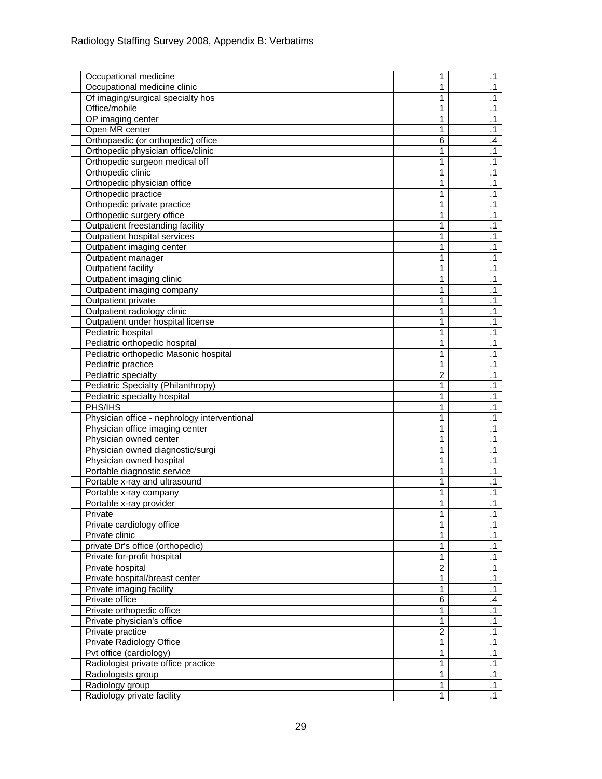| Occupational medicine                        | 1              | $\cdot$ 1       |
|----------------------------------------------|----------------|-----------------|
| Occupational medicine clinic                 | 1              | $\cdot$ 1       |
| Of imaging/surgical specialty hos            | 1              | $\cdot$ 1       |
| Office/mobile                                | 1              | $\cdot$ 1       |
| OP imaging center                            | 1              | $\cdot$ 1       |
| Open MR center                               | 1              | $\cdot$ 1       |
| Orthopaedic (or orthopedic) office           | $\overline{6}$ | $\mathcal{A}$   |
| Orthopedic physician office/clinic           | 1              | $\overline{.1}$ |
| Orthopedic surgeon medical off               | 1              | $\cdot$ 1       |
| Orthopedic clinic                            | 1              | $\cdot$ 1       |
| Orthopedic physician office                  | 1              | $\cdot$ 1       |
| Orthopedic practice                          | 1              | $\cdot$ 1       |
| Orthopedic private practice                  | 1              | $\cdot$ 1       |
| Orthopedic surgery office                    |                |                 |
|                                              | 1              | $\cdot$ 1       |
| Outpatient freestanding facility             | 1              | $\cdot$ 1       |
| Outpatient hospital services                 | 1              | $\cdot$ 1       |
| Outpatient imaging center                    | 1              | $\overline{.1}$ |
| Outpatient manager                           | 1              | $\cdot$ 1       |
| <b>Outpatient facility</b>                   | 1              | $\cdot$ 1       |
| Outpatient imaging clinic                    | 1              | $\cdot$ 1       |
| Outpatient imaging company                   | 1              | $\cdot$ 1       |
| Outpatient private                           | $\mathbf 1$    | $\overline{.1}$ |
| Outpatient radiology clinic                  | 1              | $\cdot$ 1       |
| Outpatient under hospital license            | 1              | $\cdot$ 1       |
| Pediatric hospital                           | 1              | $\cdot$ 1       |
| Pediatric orthopedic hospital                | 1              | $\cdot$ 1       |
| Pediatric orthopedic Masonic hospital        | 1              | $\cdot$ 1       |
| Pediatric practice                           | 1              | $\cdot$ 1       |
| Pediatric specialty                          | $\overline{2}$ | $\cdot$ 1       |
| Pediatric Specialty (Philanthropy)           | 1              | $\cdot$ 1       |
| Pediatric specialty hospital                 | 1              | $\cdot$ 1       |
| PHS/IHS                                      | 1              | $\cdot$ 1       |
| Physician office - nephrology interventional | 1              | $\cdot$ 1       |
| Physician office imaging center              | 1              | $\cdot$ 1       |
| Physician owned center                       | 1              | $\cdot$ 1       |
| Physician owned diagnostic/surgi             | 1              | $\cdot$ 1       |
| Physician owned hospital                     | 1              | $\cdot$ 1       |
| Portable diagnostic service                  | 1              | $\cdot$ 1       |
| Portable x-ray and ultrasound                | 1              | $\cdot$ 1       |
| Portable x-ray company                       | 1              | $\cdot$ 1       |
| Portable x-ray provider                      | 1              | $\cdot$ 1       |
| Private                                      | 1              | $\cdot$ 1       |
| Private cardiology office                    | 1              | $\overline{.1}$ |
| Private clinic                               | 1              | $\cdot$ 1       |
| private Dr's office (orthopedic)             | 1              | $\cdot$ 1       |
| Private for-profit hospital                  | 1              | $\cdot$ 1       |
| Private hospital                             | $\overline{c}$ | $\cdot$ 1       |
| Private hospital/breast center               | 1              | $\cdot$ 1       |
| Private imaging facility                     | 1              | $\cdot$ 1       |
| Private office                               | 6              | $\cdot$         |
| Private orthopedic office                    | 1              | $\cdot$ 1       |
| Private physician's office                   | 1              | $\cdot$ 1       |
| Private practice                             | $\overline{c}$ | $\cdot$ 1       |
| Private Radiology Office                     | 1              | $\cdot$ 1       |
| Pvt office (cardiology)                      | 1              | $\cdot$ 1       |
| Radiologist private office practice          | 1              | $\cdot$ 1       |
| Radiologists group                           | 1              | $\cdot$ 1       |
| Radiology group                              | 1              | $\cdot$ 1       |
| Radiology private facility                   | 1              | $\overline{.1}$ |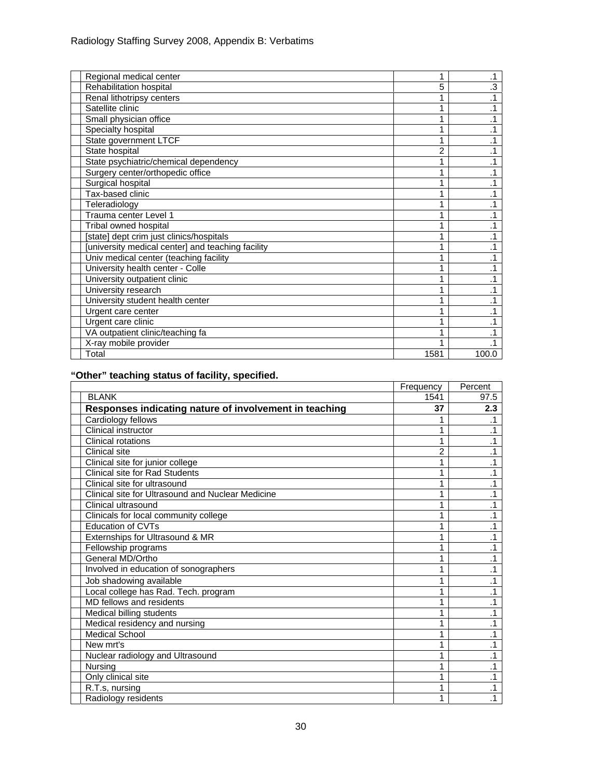| Regional medical center                           | 1    | .1             |
|---------------------------------------------------|------|----------------|
| Rehabilitation hospital                           | 5    | $\overline{3}$ |
| Renal lithotripsy centers                         | 1    | $\cdot$ 1      |
| Satellite clinic                                  | 1    | $\cdot$ 1      |
| Small physician office                            | 1    | $\cdot$ 1      |
| Specialty hospital                                | 1    | $\cdot$ 1      |
| State government LTCF                             | 1    | $\cdot$ 1      |
| State hospital                                    | 2    | $\cdot$ 1      |
| State psychiatric/chemical dependency             | 1    | $\cdot$ 1      |
| Surgery center/orthopedic office                  | 1    | $\cdot$ 1      |
| Surgical hospital                                 | 1    | $\cdot$ 1      |
| Tax-based clinic                                  | 1    | $\cdot$ 1      |
| Teleradiology                                     | 1    | $\cdot$ 1      |
| Trauma center Level 1                             | 1    | $\cdot$ 1      |
| Tribal owned hospital                             | 1    |                |
| [state] dept crim just clinics/hospitals          | 1    | $\cdot$ 1      |
| [university medical center] and teaching facility | 1    | $\cdot$ 1      |
| Univ medical center (teaching facility            | 1    | $\cdot$ 1      |
| University health center - Colle                  | 1    | $\cdot$ 1      |
| University outpatient clinic                      | 1    | $\cdot$ 1      |
| University research                               | 1    | $\cdot$ 1      |
| University student health center                  | 1    | $\cdot$ 1      |
| Urgent care center                                | 1    | $\cdot$ 1      |
| Urgent care clinic                                | 1    |                |
| VA outpatient clinic/teaching fa                  | 1    | $\cdot$ 1      |
| X-ray mobile provider                             | 1    |                |
| Total                                             | 1581 | 100.0          |

# **"Other" teaching status of facility, specified.**

|                                                        | Frequency      | Percent   |
|--------------------------------------------------------|----------------|-----------|
| <b>BLANK</b>                                           | 1541           | 97.5      |
| Responses indicating nature of involvement in teaching | 37             | 2.3       |
| Cardiology fellows                                     | 1              | $\cdot$ 1 |
| Clinical instructor                                    | 1              | $\cdot$ 1 |
| <b>Clinical rotations</b>                              | 1              | $\cdot$ 1 |
| Clinical site                                          | $\overline{2}$ | $\cdot$ 1 |
| Clinical site for junior college                       | 1              | $\cdot$ 1 |
| Clinical site for Rad Students                         | 1              | $\cdot$ 1 |
| Clinical site for ultrasound                           | 1              | $\cdot$ 1 |
| Clinical site for Ultrasound and Nuclear Medicine      | 1              | $\cdot$ 1 |
| Clinical ultrasound                                    | 1              | $\cdot$ 1 |
| Clinicals for local community college                  | 1              | $\cdot$ 1 |
| <b>Education of CVTs</b>                               | 1              | $\cdot$ 1 |
| Externships for Ultrasound & MR                        | 1              | $\cdot$ 1 |
| Fellowship programs                                    | 1              | $\cdot$ 1 |
| General MD/Ortho                                       | 1              | $\cdot$ 1 |
| Involved in education of sonographers                  | 1              | $\cdot$ 1 |
| Job shadowing available                                | 1              | $\cdot$ 1 |
| Local college has Rad. Tech. program                   | 1              | $\cdot$ 1 |
| MD fellows and residents                               | 1              | $\cdot$ 1 |
| Medical billing students                               | 1              | $\cdot$ 1 |
| Medical residency and nursing                          | 1              | $\cdot$ 1 |
| <b>Medical School</b>                                  | 1              | $\cdot$ 1 |
| New mrt's                                              | 1              | $\cdot$ 1 |
| Nuclear radiology and Ultrasound                       | 1              | $\cdot$ 1 |
| Nursing                                                | 1              | $\cdot$ 1 |
| Only clinical site                                     | 1              | $\cdot$ 1 |
| R.T.s, nursing                                         | 1              | $\cdot$ 1 |
| Radiology residents                                    | 1              | $\cdot$ 1 |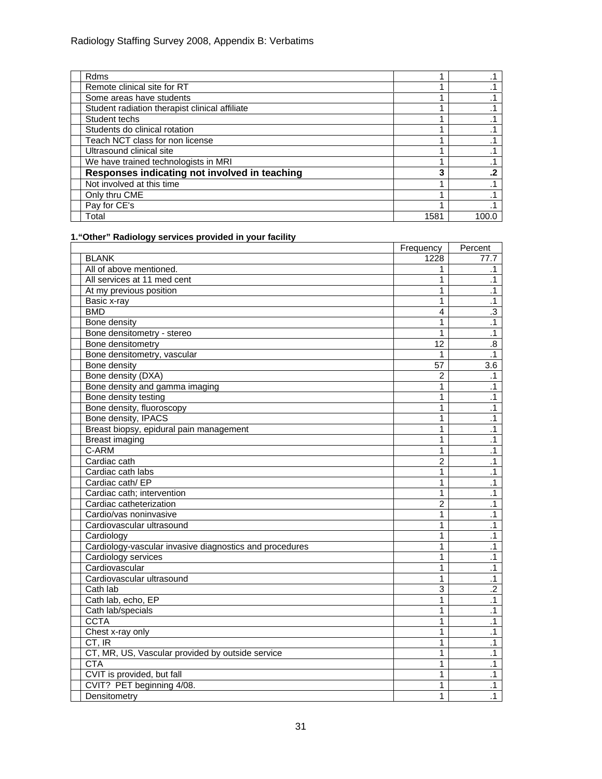| Rdms                                           |      | . . |
|------------------------------------------------|------|-----|
| Remote clinical site for RT                    |      | . . |
| Some areas have students                       |      | . . |
| Student radiation therapist clinical affiliate |      | . . |
| Student techs                                  |      | . . |
| Students do clinical rotation                  |      | . . |
| Teach NCT class for non license                |      |     |
| Ultrasound clinical site                       |      | . . |
| We have trained technologists in MRI           |      | . . |
| Responses indicating not involved in teaching  | 3    |     |
| Not involved at this time                      |      |     |
| Only thru CME                                  |      |     |
| Pay for CE's                                   |      | . . |
| Total                                          | 1581 |     |

**1."Other" Radiology services provided in your facility** 

|                                                         | Frequency               | Percent         |
|---------------------------------------------------------|-------------------------|-----------------|
| <b>BLANK</b>                                            | 1228                    | 77.7            |
| All of above mentioned.                                 | 1                       | .1              |
| All services at 11 med cent                             | 1                       | $\cdot$ 1       |
| At my previous position                                 | 1                       | $\cdot$ 1       |
| Basic x-ray                                             | 1                       | $\cdot$ 1       |
| <b>BMD</b>                                              | $\overline{\mathbf{4}}$ | $\cdot$ 3       |
| Bone density                                            | 1                       | $\cdot$ 1       |
| Bone densitometry - stereo                              | 1                       | $\cdot$ 1       |
| Bone densitometry                                       | 12                      | .8              |
| Bone densitometry, vascular                             | 1                       | $\cdot$ 1       |
| Bone density                                            | 57                      | 3.6             |
| Bone density (DXA)                                      | 2                       | $\cdot$ 1       |
| Bone density and gamma imaging                          | 1                       | $\cdot$ 1       |
| Bone density testing                                    | $\mathbf{1}$            | $\cdot$ 1       |
| Bone density, fluoroscopy                               | $\mathbf{1}$            | $\cdot$ 1       |
| Bone density, IPACS                                     | $\mathbf{1}$            | $\cdot$ 1       |
| Breast biopsy, epidural pain management                 | 1                       | $\cdot$ 1       |
| <b>Breast imaging</b>                                   | $\mathbf{1}$            | $\cdot$ 1       |
| C-ARM                                                   | 1                       | $\cdot$ 1       |
| Cardiac cath                                            | $\overline{2}$          | $\cdot$ 1       |
| Cardiac cath labs                                       | 1                       | $\cdot$ 1       |
| Cardiac cath/ EP                                        | 1                       | $\cdot$ 1       |
| Cardiac cath; intervention                              | 1                       | $\cdot$ 1       |
| Cardiac catheterization                                 | $\overline{c}$          | $\cdot$ 1       |
| Cardio/vas noninvasive                                  | 1                       | $\cdot$ 1       |
| Cardiovascular ultrasound                               | $\mathbf{1}$            | $\cdot$ 1       |
| Cardiology                                              | $\mathbf{1}$            | $\cdot$ 1       |
| Cardiology-vascular invasive diagnostics and procedures | $\mathbf{1}$            | $\cdot$ 1       |
| Cardiology services                                     | 1                       | $\cdot$ 1       |
| Cardiovascular                                          | 1                       | $\cdot$ 1       |
| Cardiovascular ultrasound                               | 1                       | $\cdot$ 1       |
| Cath lab                                                | 3                       | $\cdot$ .2      |
| Cath lab, echo, EP                                      | 1                       | $\cdot$ 1       |
| Cath lab/specials                                       | 1                       | $\cdot$ 1       |
| <b>CCTA</b>                                             | 1                       | $\cdot$ 1       |
| Chest x-ray only                                        | 1                       | $\cdot$ 1       |
| CT, IR                                                  | 1                       | $\cdot$ 1       |
| CT, MR, US, Vascular provided by outside service        | 1                       | $\cdot$ 1       |
| <b>CTA</b>                                              | 1                       | $\overline{.1}$ |
| CVIT is provided, but fall                              | 1                       | $\cdot$ 1       |
| CVIT? PET beginning 4/08.                               | 1                       | $\cdot$ 1       |
| Densitometry                                            | $\mathbf{1}$            | $\overline{.1}$ |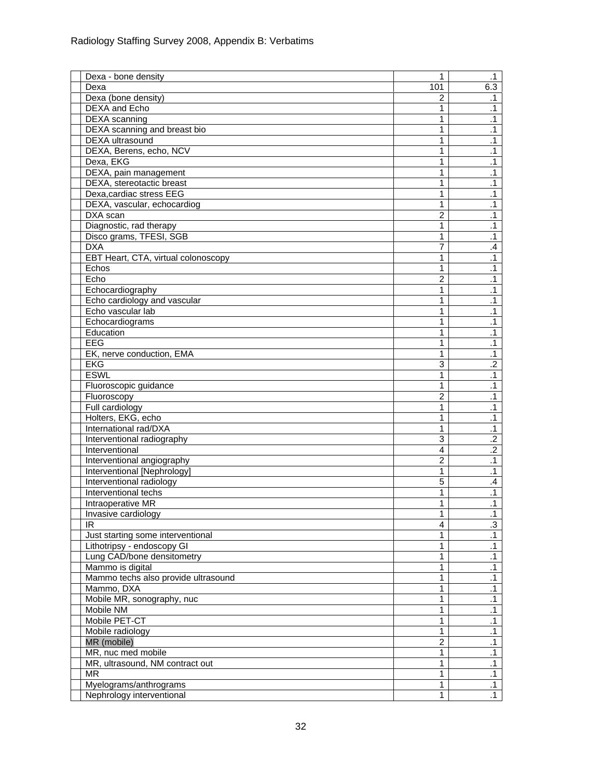| Dexa - bone density                 | 1              | $\cdot$ 1       |
|-------------------------------------|----------------|-----------------|
| Dexa                                | 101            | 6.3             |
| Dexa (bone density)                 | $\overline{2}$ | $\cdot$ 1       |
| DEXA and Echo                       | 1              | $\cdot$ 1       |
| DEXA scanning                       | 1              | $\cdot$ 1       |
| DEXA scanning and breast bio        | 1              | $\cdot$ 1       |
| DEXA ultrasound                     | 1              | $\cdot$ 1       |
| DEXA, Berens, echo, NCV             | 1              | $\cdot$ 1       |
| Dexa, EKG                           | 1              |                 |
|                                     | 1              | $\cdot$ 1       |
| DEXA, pain management               |                | $\cdot$ 1       |
| DEXA, stereotactic breast           | 1              | $\cdot$ 1       |
| Dexa, cardiac stress EEG            | 1              | $\cdot$ 1       |
| DEXA, vascular, echocardiog         | 1              | $\cdot$ 1       |
| DXA scan                            | 2              | $\cdot$ 1       |
| Diagnostic, rad therapy             | 1              | $\cdot$ 1       |
| Disco grams, TFESI, SGB             | 1              | $\overline{.1}$ |
| <b>DXA</b>                          | 7              | $\cdot$         |
| EBT Heart, CTA, virtual colonoscopy | 1              | $\cdot$ 1       |
| Echos                               | 1              | $\cdot$ 1       |
| Echo                                | 2              | $\cdot$ 1       |
| Echocardiography                    | 1              | $\overline{.1}$ |
| Echo cardiology and vascular        | 1              | $\cdot$ 1       |
| Echo vascular lab                   | 1              | $\cdot$ 1       |
| Echocardiograms                     | 1              | $\cdot$ 1       |
| Education                           | 1              | $\cdot$ 1       |
| EEG                                 | 1              | $\cdot$ 1       |
| EK, nerve conduction, EMA           | 1              | $\cdot$ 1       |
| <b>EKG</b>                          | 3              | $\cdot$ .2      |
| <b>ESWL</b>                         |                |                 |
|                                     | 1              | $\cdot$ 1       |
| Fluoroscopic guidance               | 1              | $\cdot$ 1       |
| Fluoroscopy                         | $\overline{c}$ | $\cdot$ 1       |
| Full cardiology                     | 1              | $\cdot$ 1       |
| Holters, EKG, echo                  | 1              | $\cdot$ 1       |
| International rad/DXA               | 1              | $\overline{.1}$ |
| Interventional radiography          | 3              | $.2\phantom{0}$ |
| Interventional                      | $\overline{4}$ | $\overline{.2}$ |
| Interventional angiography          | $\overline{2}$ | $\overline{.1}$ |
| Interventional [Nephrology]         | 1              | $\cdot$ 1       |
| Interventional radiology            | 5              | $\cdot$         |
| Interventional techs                | 1              | $\cdot$ 1       |
| Intraoperative MR                   | 1              | $\cdot$ 1       |
| Invasive cardiology                 | 1              | $\cdot$ 1       |
| IR                                  | 4              | $\cdot$ 3       |
| Just starting some interventional   | 1              | $\cdot$ 1       |
| Lithotripsy - endoscopy GI          | 1              | $\cdot$ 1       |
| Lung CAD/bone densitometry          | 1              | $\overline{.1}$ |
| Mammo is digital                    | 1              | $\overline{.1}$ |
| Mammo techs also provide ultrasound | 1              | $\cdot$ 1       |
| Mammo, DXA                          | 1              | $\cdot$ 1       |
| Mobile MR, sonography, nuc          | 1              | $\cdot$ 1       |
| Mobile NM                           |                |                 |
|                                     | 1              | $\cdot$ 1       |
| Mobile PET-CT                       | 1              | $\cdot$ 1       |
| Mobile radiology                    | 1              | $\cdot$ 1       |
| MR (mobile)                         | $\overline{2}$ | $\cdot$ 1       |
| MR, nuc med mobile                  | 1              | $\overline{.1}$ |
| MR, ultrasound, NM contract out     | 1              | $\cdot$ 1       |
| <b>MR</b>                           | 1              | $\cdot$ 1       |
| Myelograms/anthrograms              | 1              | $\cdot$ 1       |
| Nephrology interventional           | 1              | $\cdot$ 1       |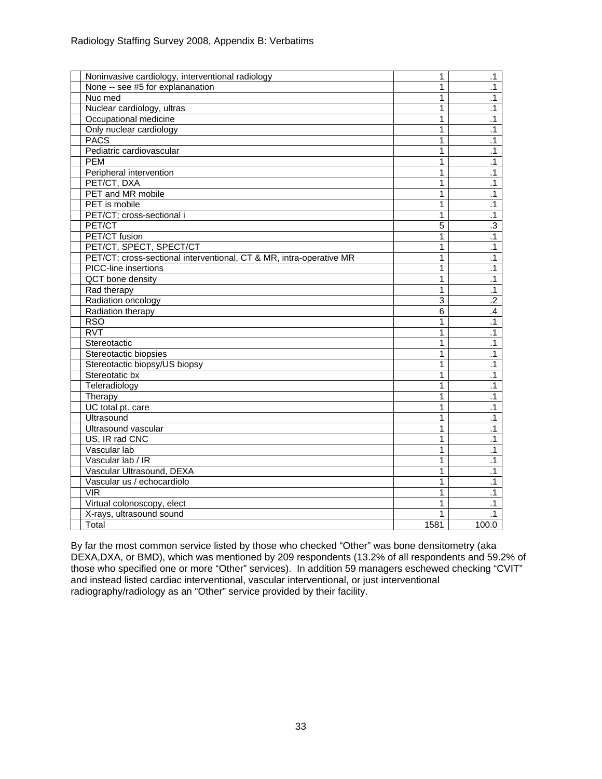| Noninvasive cardiology, interventional radiology                    | 1              | $\cdot$ 1          |
|---------------------------------------------------------------------|----------------|--------------------|
| None -- see #5 for explananation                                    | 1              | $\cdot$ 1          |
| Nuc med                                                             | 1              | $\cdot$ 1          |
| Nuclear cardiology, ultras                                          | 1              | $\cdot$ 1          |
| Occupational medicine                                               | 1              | $\overline{.1}$    |
| Only nuclear cardiology                                             | 1              | $\cdot$ 1          |
| <b>PACS</b>                                                         | 1              | $\cdot$ 1          |
| Pediatric cardiovascular                                            | 1              | $\overline{.1}$    |
| <b>PEM</b>                                                          | 1              | $\overline{.1}$    |
| Peripheral intervention                                             | 1              | $\overline{.1}$    |
| PET/CT, DXA                                                         | $\mathbf{1}$   | $\cdot$ 1          |
| PET and MR mobile                                                   | $\overline{1}$ | $\overline{.1}$    |
| PET is mobile                                                       | 1              | $\cdot$ 1          |
| PET/CT; cross-sectional i                                           | 1              | $\cdot$ 1          |
| PET/CT                                                              | $\overline{5}$ | $\overline{\cdot}$ |
| PET/CT fusion                                                       | 1              | $\overline{.1}$    |
| PET/CT, SPECT, SPECT/CT                                             | 1              | $\overline{.1}$    |
| PET/CT; cross-sectional interventional, CT & MR, intra-operative MR | 1              | $\overline{.1}$    |
| PICC-line insertions                                                | 1              | $\cdot$ 1          |
| QCT bone density                                                    | 1              | $\overline{.1}$    |
| Rad therapy                                                         | 1              | $\overline{.1}$    |
| Radiation oncology                                                  | 3              | $\overline{.2}$    |
| Radiation therapy                                                   | $\overline{6}$ | $\overline{.4}$    |
| <b>RSO</b>                                                          | 1              | $\overline{.1}$    |
| <b>RVT</b>                                                          | 1              | $\cdot$ 1          |
| Stereotactic                                                        | 1              | $\cdot$ 1          |
| Stereotactic biopsies                                               | 1              | $\overline{.1}$    |
| Stereotactic biopsy/US biopsy                                       | 1              | .1                 |
| Stereotatic bx                                                      | 1              | $\overline{.1}$    |
| Teleradiology                                                       | $\mathbf{1}$   | $\cdot$ 1          |
| Therapy                                                             | $\overline{1}$ | $\overline{.1}$    |
| UC total pt. care                                                   | 1              | $\cdot$ 1          |
| Ultrasound                                                          | 1              | $\cdot$ 1          |
| Ultrasound vascular                                                 | 1              | $\cdot$ 1          |
| US, IR rad CNC                                                      | $\overline{1}$ | $\overline{.1}$    |
| Vascular lab                                                        | 1              | $\cdot$ 1          |
| Vascular lab / IR                                                   | 1              | $\cdot$ 1          |
| Vascular Ultrasound, DEXA                                           | 1              | $\cdot$ 1          |
| Vascular us / echocardiolo                                          | 1              | $\overline{.1}$    |
| <b>VIR</b>                                                          | 1              | $\cdot$ 1          |
| Virtual colonoscopy, elect                                          | 1              | .1                 |
| X-rays, ultrasound sound                                            | 1              | $\cdot$ 1          |
| Total                                                               | 1581           | 100.0              |

By far the most common service listed by those who checked "Other" was bone densitometry (aka DEXA,DXA, or BMD), which was mentioned by 209 respondents (13.2% of all respondents and 59.2% of those who specified one or more "Other" services). In addition 59 managers eschewed checking "CVIT" and instead listed cardiac interventional, vascular interventional, or just interventional radiography/radiology as an "Other" service provided by their facility.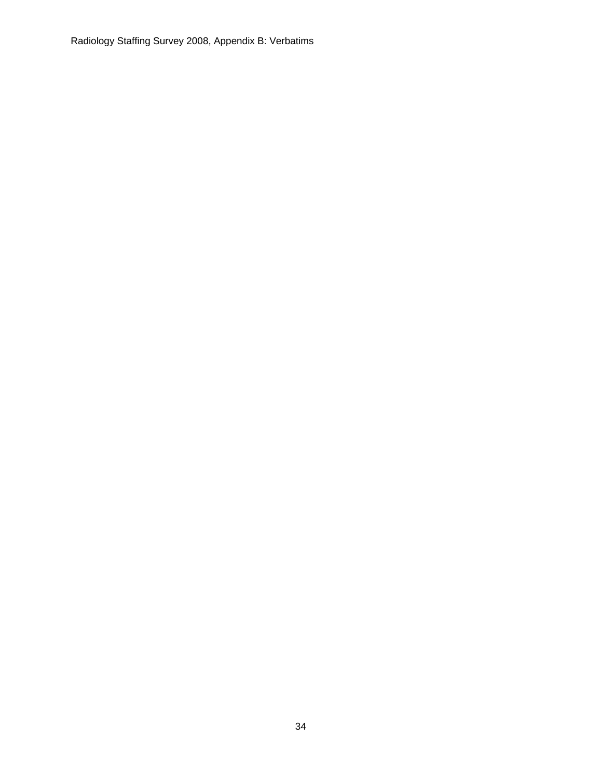Radiology Staffing Survey 2008, Appendix B: Verbatims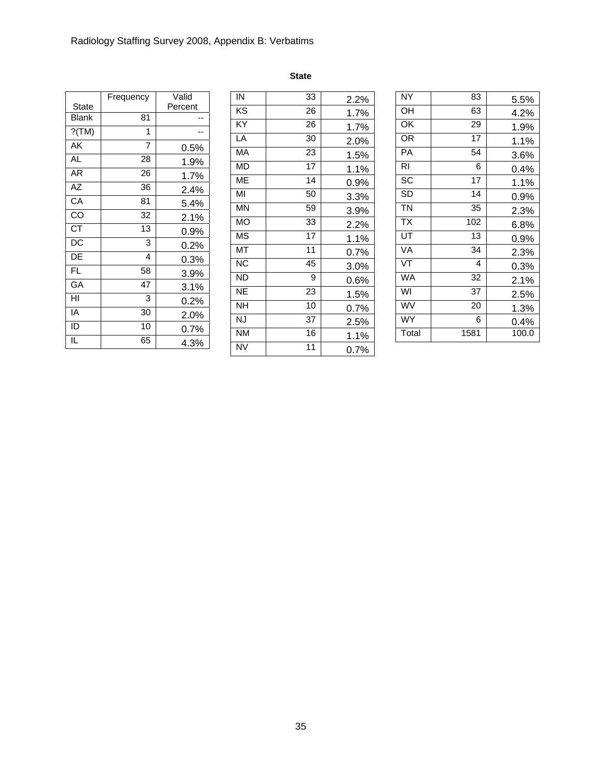|                         | Frequency       | Valid   |
|-------------------------|-----------------|---------|
| State                   |                 | Percent |
| <b>Blank</b>            | 81              |         |
| $?$ (TM)                | 1               |         |
| AK                      | $\overline{7}$  | 0.5%    |
| <b>AL</b>               | $\overline{28}$ | 1.9%    |
| AR                      | 26              | 1.7%    |
| $\overline{A}Z$         | 36              | 2.4%    |
| CA                      | 81              | 5.4%    |
| CO                      | 32              | 2.1%    |
| $\overline{\text{C}}$ T | 13              | 0.9%    |
| DC                      | 3               | 0.2%    |
| DE                      | 4               | 0.3%    |
| FL.                     | 58              | 3.9%    |
| GA                      | 47              | 3.1%    |
| HI                      | 3               | 0.2%    |
| IA                      | 30              | 2.0%    |
| ID                      | 10              | 0.7%    |
| IL.                     | 65              | 4.3%    |

| IN        | 33              | 2.2% |
|-----------|-----------------|------|
| KS        | 26              | 1.7% |
| KY        | 26              | 1.7% |
| LA        | 30              | 2.0% |
| MA        | 23              | 1.5% |
| <b>MD</b> | 17              | 1.1% |
| <b>ME</b> | 14              | 0.9% |
| MI        | 50              | 3.3% |
| <b>MN</b> | 59              | 3.9% |
| <b>MO</b> | 33              | 2.2% |
| MS        | 17              | 1.1% |
| MT        | $\overline{11}$ | 0.7% |
| <b>NC</b> | 45              | 3.0% |
| <b>ND</b> | 9               | 0.6% |
| <b>NE</b> | 23              | 1.5% |
| <b>NH</b> | 10              | 0.7% |
| <b>NJ</b> | 37              | 2.5% |
| <b>NM</b> | 16              | 1.1% |
| Ñ٧        | 11              | 0.7% |

| <b>NY</b>                 | 83   | 5.5%  |
|---------------------------|------|-------|
| OН                        | 63   | 4.2%  |
| OK                        | 29   | 1.9%  |
| <b>OR</b>                 | 17   | 1.1%  |
| PA                        | 54   | 3.6%  |
| RI                        | 6    | 0.4%  |
| SC                        | 17   | 1.1%  |
| <b>SD</b>                 | 14   | 0.9%  |
| <b>TN</b>                 | 35   | 2.3%  |
| ТX                        | 102  | 6.8%  |
| UT                        | 13   | 0.9%  |
| VA                        | 34   | 2.3%  |
| $\overline{\mathsf{V}}$ T | 4    | 0.3%  |
| <b>WA</b>                 | 32   | 2.1%  |
| WI                        | 37   | 2.5%  |
| WV                        | 20   | 1.3%  |
| <b>WY</b>                 | 6    | 0.4%  |
| Total                     | 1581 | 100.0 |
|                           |      |       |

### **State**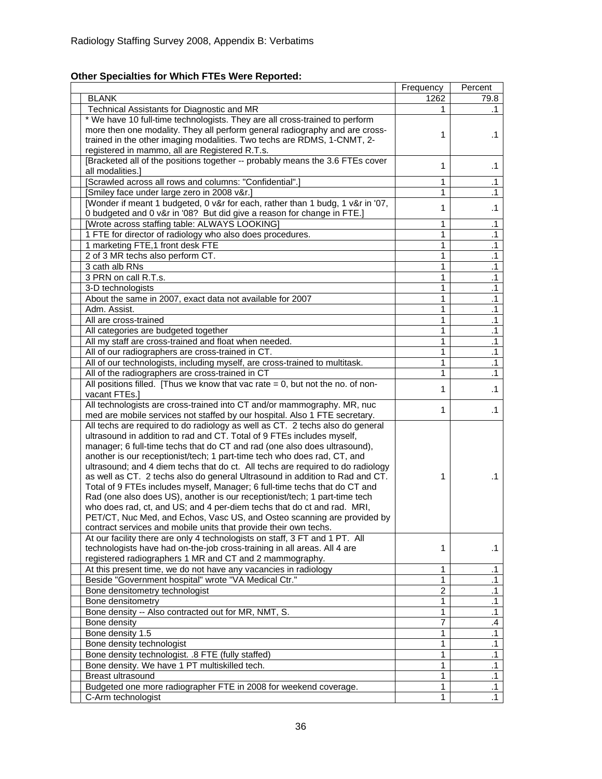## **Other Specialties for Which FTEs Were Reported:**

|                                                                                   | Frequency      | Percent         |
|-----------------------------------------------------------------------------------|----------------|-----------------|
| <b>BLANK</b>                                                                      | 1262           | 79.8            |
| Technical Assistants for Diagnostic and MR                                        | 1              | $\cdot$ 1       |
| * We have 10 full-time technologists. They are all cross-trained to perform       |                |                 |
| more then one modality. They all perform general radiography and are cross-       | 1              |                 |
| trained in the other imaging modalities. Two techs are RDMS, 1-CNMT, 2-           |                | $\cdot$ 1       |
| registered in mammo, all are Registered R.T.s.                                    |                |                 |
| [Bracketed all of the positions together -- probably means the 3.6 FTEs cover     |                |                 |
| all modalities.]                                                                  | 1              | $\cdot$ 1       |
| [Scrawled across all rows and columns: "Confidential".]                           | 1              | $\cdot$ 1       |
| [Smiley face under large zero in 2008 v&r.]                                       | 1              | $\cdot$ 1       |
| [Wonder if meant 1 budgeted, 0 v&r for each, rather than 1 budg, 1 v&r in '07,    |                |                 |
| 0 budgeted and 0 v&r in '08? But did give a reason for change in FTE.]            | 1              | $\cdot$ 1       |
| [Wrote across staffing table: ALWAYS LOOKING]                                     | 1              | $\cdot$ 1       |
|                                                                                   | 1              | $\cdot$ 1       |
| 1 FTE for director of radiology who also does procedures.                         |                |                 |
| 1 marketing FTE, 1 front desk FTE                                                 | 1              | $\cdot$ 1       |
| 2 of 3 MR techs also perform CT.                                                  | 1              | $\cdot$ 1       |
| 3 cath alb RNs                                                                    | 1              | $\overline{.1}$ |
| 3 PRN on call R.T.s.                                                              | 1              | $\cdot$ 1       |
| 3-D technologists                                                                 | 1              | $\cdot$ 1       |
| About the same in 2007, exact data not available for 2007                         | 1              | $\cdot$ 1       |
| Adm. Assist.                                                                      | 1              | $\cdot$ 1       |
| All are cross-trained                                                             | 1              | $\cdot$ 1       |
| All categories are budgeted together                                              | 1              | $\cdot$ 1       |
| All my staff are cross-trained and float when needed.                             | 1              | $\cdot$ 1       |
| All of our radiographers are cross-trained in CT.                                 | 1              | $\cdot$ 1       |
| All of our technologists, including myself, are cross-trained to multitask.       | 1              | $\cdot$ 1       |
| All of the radiographers are cross-trained in CT                                  | 1              | $\cdot$ 1       |
| All positions filled. [Thus we know that vac rate $= 0$ , but not the no. of non- |                |                 |
| vacant FTEs.]                                                                     | 1              | $\cdot$ 1       |
| All technologists are cross-trained into CT and/or mammography. MR, nuc           |                |                 |
|                                                                                   | 1              | $\cdot$ 1       |
| med are mobile services not staffed by our hospital. Also 1 FTE secretary.        |                |                 |
| All techs are required to do radiology as well as CT. 2 techs also do general     |                |                 |
| ultrasound in addition to rad and CT. Total of 9 FTEs includes myself,            |                |                 |
| manager; 6 full-time techs that do CT and rad (one also does ultrasound),         |                |                 |
| another is our receptionist/tech; 1 part-time tech who does rad, CT, and          |                |                 |
| ultrasound; and 4 diem techs that do ct. All techs are required to do radiology   |                |                 |
| as well as CT. 2 techs also do general Ultrasound in addition to Rad and CT.      | 1              | $\cdot$ 1       |
| Total of 9 FTEs includes myself, Manager; 6 full-time techs that do CT and        |                |                 |
| Rad (one also does US), another is our receptionist/tech; 1 part-time tech        |                |                 |
| who does rad, ct, and US; and 4 per-diem techs that do ct and rad. MRI,           |                |                 |
| PET/CT, Nuc Med, and Echos, Vasc US, and Osteo scanning are provided by           |                |                 |
| contract services and mobile units that provide their own techs.                  |                |                 |
| At our facility there are only 4 technologists on staff, 3 FT and 1 PT. All       |                |                 |
| technologists have had on-the-job cross-training in all areas. All 4 are          | 1              | $\cdot$ 1       |
| registered radiographers 1 MR and CT and 2 mammography.                           |                |                 |
| At this present time, we do not have any vacancies in radiology                   | 1              | $\cdot$ 1       |
| Beside "Government hospital" wrote "VA Medical Ctr."                              | $\mathbf{1}$   | $\cdot$ 1       |
| Bone densitometry technologist                                                    | $\overline{2}$ | $\cdot$ 1       |
| Bone densitometry                                                                 | 1              | $\cdot$ 1       |
| Bone density -- Also contracted out for MR, NMT, S.                               | 1              | $\cdot$ 1       |
| Bone density                                                                      | 7              | $\cdot$         |
| Bone density 1.5                                                                  | 1              | $\cdot$ 1       |
| Bone density technologist                                                         | 1              | $\cdot$ 1       |
| Bone density technologist. .8 FTE (fully staffed)                                 | 1              | $\cdot$ 1       |
| Bone density. We have 1 PT multiskilled tech.                                     | 1              | $\cdot$ 1       |
|                                                                                   |                |                 |
| Breast ultrasound                                                                 | 1              | $\cdot$ 1       |
| Budgeted one more radiographer FTE in 2008 for weekend coverage.                  | 1              | $\cdot$ 1       |
| C-Arm technologist                                                                | 1              | $\cdot$ 1       |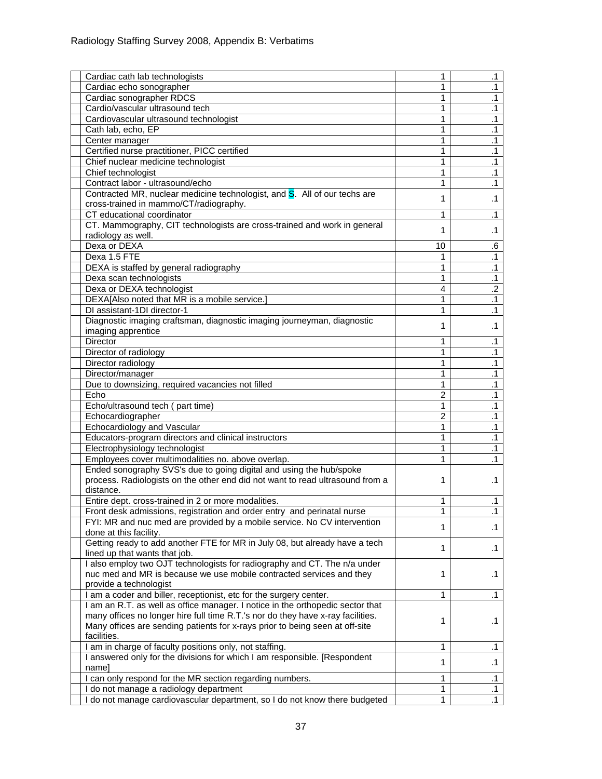| Cardiac cath lab technologists                                                  | 1              | $\cdot$ 1       |
|---------------------------------------------------------------------------------|----------------|-----------------|
| Cardiac echo sonographer                                                        | 1              | $\cdot$ 1       |
| Cardiac sonographer RDCS                                                        | 1              | $\cdot$ 1       |
| Cardio/vascular ultrasound tech                                                 | 1              | $\cdot$ 1       |
| Cardiovascular ultrasound technologist                                          | 1              | $\cdot$ 1       |
| Cath lab, echo, EP                                                              | 1              | $\cdot$ 1       |
| Center manager                                                                  | 1              | $\cdot$ 1       |
| Certified nurse practitioner, PICC certified                                    | 1              | $\cdot$ 1       |
| Chief nuclear medicine technologist                                             | 1              | $\cdot$ 1       |
| Chief technologist                                                              | 1              | $\cdot$ 1       |
| Contract labor - ultrasound/echo                                                | 1              | $\cdot$ 1       |
| Contracted MR, nuclear medicine technologist, and S. All of our techs are       |                |                 |
| cross-trained in mammo/CT/radiography.                                          | 1              | $\cdot$ 1       |
| CT educational coordinator                                                      | 1              | $\cdot$ 1       |
| CT. Mammography, CIT technologists are cross-trained and work in general        |                |                 |
| radiology as well.                                                              | 1              | .1              |
| Dexa or DEXA                                                                    | 10             |                 |
| Dexa 1.5 FTE                                                                    |                | .6              |
|                                                                                 | 1              | $\cdot$ 1       |
| DEXA is staffed by general radiography                                          | 1              | $\cdot$ 1       |
| Dexa scan technologists                                                         | 1              | $\cdot$ 1       |
| Dexa or DEXA technologist                                                       | 4              | $\cdot$ .2      |
| DEXA[Also noted that MR is a mobile service.                                    | 1              | $\overline{.1}$ |
| DI assistant-1DI director-1                                                     | 1              | $\cdot$ 1       |
| Diagnostic imaging craftsman, diagnostic imaging journeyman, diagnostic         | 1              | $\cdot$ 1       |
| imaging apprentice                                                              |                |                 |
| Director                                                                        | 1              | $\cdot$ 1       |
| Director of radiology                                                           | 1              | $\cdot$ 1       |
| Director radiology                                                              | 1              | $\cdot$ 1       |
| Director/manager                                                                | 1              | $\cdot$ 1       |
| Due to downsizing, required vacancies not filled                                | 1              | $\cdot$ 1       |
| Echo                                                                            | 2              | $\cdot$ 1       |
| Echo/ultrasound tech (part time)                                                | 1              | $\cdot$ 1       |
| Echocardiographer                                                               | $\overline{2}$ | $\cdot$ 1       |
| <b>Echocardiology and Vascular</b>                                              | 1              | $\cdot$ 1       |
| Educators-program directors and clinical instructors                            | 1              | $\cdot$ 1       |
| Electrophysiology technologist                                                  | 1              | $\cdot$ 1       |
| Employees cover multimodalities no. above overlap.                              | 1              | $\cdot$ 1       |
| Ended sonography SVS's due to going digital and using the hub/spoke             |                |                 |
| process. Radiologists on the other end did not want to read ultrasound from a   | 1              | .1              |
| distance.                                                                       |                |                 |
| Entire dept. cross-trained in 2 or more modalities.                             | 1              | $\cdot$ 1       |
| Front desk admissions, registration and order entry and perinatal nurse         | 1              | $\cdot$ 1       |
| FYI: MR and nuc med are provided by a mobile service. No CV intervention        |                |                 |
| done at this facility.                                                          | 1              | $\cdot$ 1       |
| Getting ready to add another FTE for MR in July 08, but already have a tech     |                |                 |
| lined up that wants that job.                                                   | 1              | $\cdot$ 1       |
| I also employ two OJT technologists for radiography and CT. The n/a under       |                |                 |
| nuc med and MR is because we use mobile contracted services and they            | 1              | $\cdot$ 1       |
| provide a technologist                                                          |                |                 |
| I am a coder and biller, receptionist, etc for the surgery center.              | 1              | .1              |
| I am an R.T. as well as office manager. I notice in the orthopedic sector that  |                |                 |
| many offices no longer hire full time R.T.'s nor do they have x-ray facilities. |                |                 |
| Many offices are sending patients for x-rays prior to being seen at off-site    | 1              | $\cdot$ 1       |
| facilities.                                                                     |                |                 |
|                                                                                 |                |                 |
| I am in charge of faculty positions only, not staffing.                         | 1              | $\cdot$ 1       |
| I answered only for the divisions for which I am responsible. [Respondent       | 1              | $\cdot$ 1       |
| name]                                                                           |                |                 |
| can only respond for the MR section regarding numbers.                          | 1              | $\cdot$ 1       |
| I do not manage a radiology department                                          | 1              | $\cdot$ 1       |
| do not manage cardiovascular department, so I do not know there budgeted        | 1              | $\cdot$ 1       |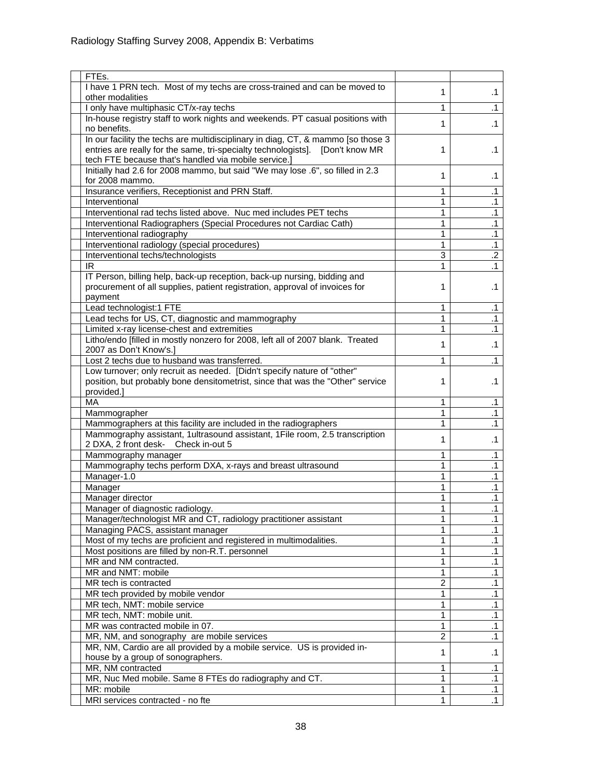| FTEs.                                                                            |                         |                 |
|----------------------------------------------------------------------------------|-------------------------|-----------------|
| I have 1 PRN tech. Most of my techs are cross-trained and can be moved to        | 1                       | $\cdot$ 1       |
| other modalities                                                                 |                         |                 |
| I only have multiphasic CT/x-ray techs                                           | 1                       | $\cdot$ 1       |
| In-house registry staff to work nights and weekends. PT casual positions with    | 1                       | $\cdot$ 1       |
| no benefits.                                                                     |                         |                 |
| In our facility the techs are multidisciplinary in diag, CT, & mammo [so those 3 |                         |                 |
| entries are really for the same, tri-specialty technologists]. [Don't know MR    | 1                       | .1              |
| tech FTE because that's handled via mobile service.]                             |                         |                 |
| Initially had 2.6 for 2008 mammo, but said "We may lose .6", so filled in 2.3    | 1                       | $\cdot$ 1       |
| for 2008 mammo.                                                                  |                         |                 |
| Insurance verifiers, Receptionist and PRN Staff.                                 | 1                       | $\cdot$ 1       |
| Interventional                                                                   | 1                       | $\cdot$ 1       |
| Interventional rad techs listed above. Nuc med includes PET techs                | 1                       | $\cdot$ 1       |
| Interventional Radiographers (Special Procedures not Cardiac Cath)               | 1                       | .1              |
| Interventional radiography                                                       | 1                       | $\cdot$ 1       |
| Interventional radiology (special procedures)                                    | 1                       | $\overline{.1}$ |
| Interventional techs/technologists                                               | 3                       | $\cdot$ .2      |
| <b>IR</b>                                                                        | 1                       | $\cdot$ 1       |
| IT Person, billing help, back-up reception, back-up nursing, bidding and         |                         |                 |
| procurement of all supplies, patient registration, approval of invoices for      | 1                       | $\cdot$ 1       |
| payment                                                                          |                         |                 |
| Lead technologist:1 FTE                                                          | 1                       | $\cdot$ 1       |
| Lead techs for US, CT, diagnostic and mammography                                | 1                       | $\cdot$ 1       |
| Limited x-ray license-chest and extremities                                      | 1                       | $\cdot$ 1       |
| Litho/endo [filled in mostly nonzero for 2008, left all of 2007 blank. Treated   |                         |                 |
| 2007 as Don't Know's.]                                                           | 1                       | $\cdot$ 1       |
| Lost 2 techs due to husband was transferred.                                     | 1                       | $\cdot$ 1       |
| Low turnover; only recruit as needed. [Didn't specify nature of "other"          |                         |                 |
| position, but probably bone densitometrist, since that was the "Other" service   | 1                       | $\cdot$ 1       |
| provided.]                                                                       |                         |                 |
| <b>MA</b>                                                                        | 1                       | $\cdot$ 1       |
| Mammographer                                                                     | 1                       | $\cdot$ 1       |
| Mammographers at this facility are included in the radiographers                 | 1                       | $\cdot$ 1       |
| Mammography assistant, 1ultrasound assistant, 1File room, 2.5 transcription      |                         |                 |
| 2 DXA, 2 front desk- Check in-out 5                                              | 1                       | $\cdot$ 1       |
| Mammography manager                                                              | 1                       | $\cdot$ 1       |
| Mammography techs perform DXA, x-rays and breast ultrasound                      | 1                       | $\cdot$ 1       |
|                                                                                  | 1                       | $\overline{.1}$ |
| Manager-1.0                                                                      |                         |                 |
| Manager                                                                          | 1                       | $\cdot$ 1       |
| Manager director                                                                 | 1                       | $\cdot$ 1       |
| Manager of diagnostic radiology.                                                 | 1                       | $\cdot$ 1       |
| Manager/technologist MR and CT, radiology practitioner assistant                 | 1                       | $\cdot$ 1       |
| Managing PACS, assistant manager                                                 | 1                       | $\cdot$ 1       |
| Most of my techs are proficient and registered in multimodalities.               | $\mathbf{1}$            | $\cdot$ 1       |
| Most positions are filled by non-R.T. personnel                                  | 1                       | $\cdot$ 1       |
| MR and NM contracted.                                                            | 1                       | $\cdot$ 1       |
| MR and NMT: mobile                                                               | 1                       | $\cdot$ 1       |
| MR tech is contracted                                                            | $\overline{\mathbf{c}}$ | $\cdot$ 1       |
| MR tech provided by mobile vendor                                                | 1                       | $\cdot$ 1       |
| MR tech, NMT: mobile service                                                     | 1                       | $\cdot$ 1       |
| MR tech, NMT: mobile unit.                                                       | 1                       | $\cdot$ 1       |
| MR was contracted mobile in 07.                                                  | 1                       | $\cdot$ 1       |
| MR, NM, and sonography are mobile services                                       | $\overline{c}$          | $\cdot$ 1       |
| MR, NM, Cardio are all provided by a mobile service. US is provided in-          |                         |                 |
| house by a group of sonographers.                                                | 1                       | $\cdot$ 1       |
| MR, NM contracted                                                                | 1                       | $\cdot$ 1       |
| MR, Nuc Med mobile. Same 8 FTEs do radiography and CT.                           | 1                       | $\cdot$ 1       |
| MR: mobile                                                                       | 1                       | $\cdot$ 1       |
|                                                                                  |                         |                 |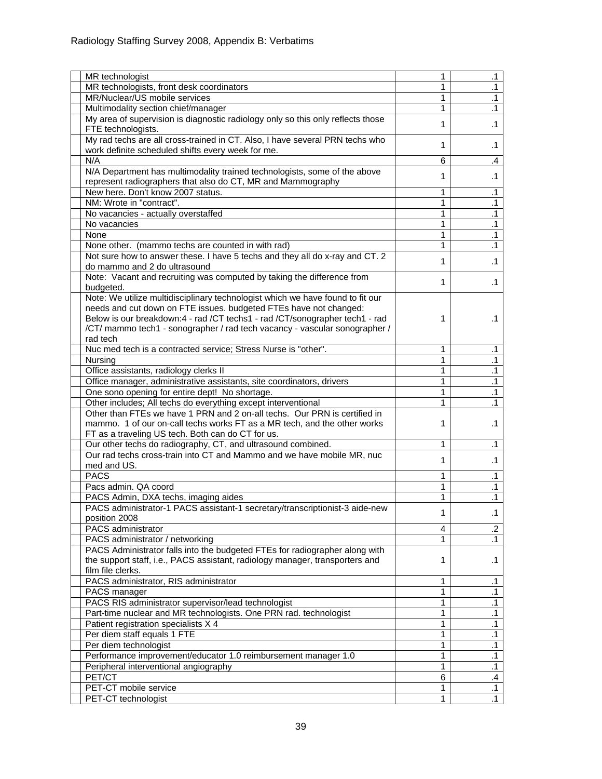| MR technologist                                                                 | 1 | .1              |
|---------------------------------------------------------------------------------|---|-----------------|
| MR technologists, front desk coordinators                                       | 1 | $\cdot$ 1       |
| MR/Nuclear/US mobile services                                                   | 1 | $\cdot$ 1       |
| Multimodality section chief/manager                                             | 1 | $\cdot$ 1       |
| My area of supervision is diagnostic radiology only so this only reflects those |   |                 |
| FTE technologists.                                                              | 1 | $\cdot$ 1       |
| My rad techs are all cross-trained in CT. Also, I have several PRN techs who    |   |                 |
| work definite scheduled shifts every week for me.                               | 1 | $\cdot$ 1       |
|                                                                                 |   |                 |
| N/A                                                                             | 6 | $\cdot$         |
| N/A Department has multimodality trained technologists, some of the above       | 1 | $\cdot$ 1       |
| represent radiographers that also do CT, MR and Mammography                     |   |                 |
| New here. Don't know 2007 status.                                               | 1 | $\cdot$ 1       |
| NM: Wrote in "contract".                                                        | 1 | $\cdot$ 1       |
| No vacancies - actually overstaffed                                             | 1 | $\cdot$ 1       |
| No vacancies                                                                    | 1 | $\cdot$ 1       |
| None                                                                            | 1 | $\cdot$ 1       |
| None other. (mammo techs are counted in with rad)                               | 1 | $\cdot$ 1       |
| Not sure how to answer these. I have 5 techs and they all do x-ray and CT. 2    |   |                 |
|                                                                                 | 1 | $\cdot$ 1       |
| do mammo and 2 do ultrasound                                                    |   |                 |
| Note: Vacant and recruiting was computed by taking the difference from          | 1 | $\cdot$ 1       |
| budgeted.                                                                       |   |                 |
| Note: We utilize multidisciplinary technologist which we have found to fit our  |   |                 |
| needs and cut down on FTE issues. budgeted FTEs have not changed:               |   |                 |
| Below is our breakdown:4 - rad /CT techs1 - rad /CT/sonographer tech1 - rad     | 1 | .1              |
| /CT/ mammo tech1 - sonographer / rad tech vacancy - vascular sonographer /      |   |                 |
| rad tech                                                                        |   |                 |
| Nuc med tech is a contracted service; Stress Nurse is "other".                  | 1 | $\cdot$ 1       |
| Nursing                                                                         | 1 | $\cdot$ 1       |
|                                                                                 |   |                 |
| Office assistants, radiology clerks II                                          | 1 | $\cdot$ 1       |
| Office manager, administrative assistants, site coordinators, drivers           | 1 | $\overline{.1}$ |
| One sono opening for entire dept! No shortage.                                  | 1 | $\cdot$ 1       |
| Other includes; All techs do everything except interventional                   | 1 | $\cdot$ 1       |
| Other than FTEs we have 1 PRN and 2 on-all techs. Our PRN is certified in       |   |                 |
| mammo. 1 of our on-call techs works FT as a MR tech, and the other works        | 1 | $\cdot$ 1       |
| FT as a traveling US tech. Both can do CT for us.                               |   |                 |
| Our other techs do radiography, CT, and ultrasound combined.                    | 1 | $\cdot$ 1       |
| Our rad techs cross-train into CT and Mammo and we have mobile MR, nuc          |   |                 |
| med and US.                                                                     | 1 | $\cdot$ 1       |
| <b>PACS</b>                                                                     | 1 | $\cdot$ 1       |
| Pacs admin. QA coord                                                            |   |                 |
|                                                                                 | 1 | $\cdot$ 1       |
| PACS Admin, DXA techs, imaging aides                                            | 1 | $\cdot$ 1       |
| PACS administrator-1 PACS assistant-1 secretary/transcriptionist-3 aide-new     | 1 | $\cdot$ 1       |
| position 2008                                                                   |   |                 |
| PACS administrator                                                              | 4 | .2              |
| PACS administrator / networking                                                 | 1 | $\cdot$ 1       |
| PACS Administrator falls into the budgeted FTEs for radiographer along with     |   |                 |
| the support staff, i.e., PACS assistant, radiology manager, transporters and    | 1 | $\cdot$ 1       |
| film file clerks.                                                               |   |                 |
| PACS administrator, RIS administrator                                           | 1 | $\cdot$ 1       |
| PACS manager                                                                    | 1 |                 |
|                                                                                 |   | $\cdot$ 1       |
| PACS RIS administrator supervisor/lead technologist                             | 1 | $\cdot$ 1       |
| Part-time nuclear and MR technologists. One PRN rad. technologist               | 1 | $\cdot$ 1       |
| Patient registration specialists X 4                                            | 1 | $\cdot$ 1       |
| Per diem staff equals 1 FTE                                                     | 1 | $\cdot$ 1       |
| Per diem technologist                                                           | 1 | $\cdot$ 1       |
| Performance improvement/educator 1.0 reimbursement manager 1.0                  | 1 | $\cdot$ 1       |
| Peripheral interventional angiography                                           | 1 | $\cdot$ 1       |
| PET/CT                                                                          | 6 |                 |
|                                                                                 |   | $\mathcal{A}$   |
| PET-CT mobile service                                                           | 1 | $\cdot$ 1       |
| PET-CT technologist                                                             | 1 | $\cdot$ 1       |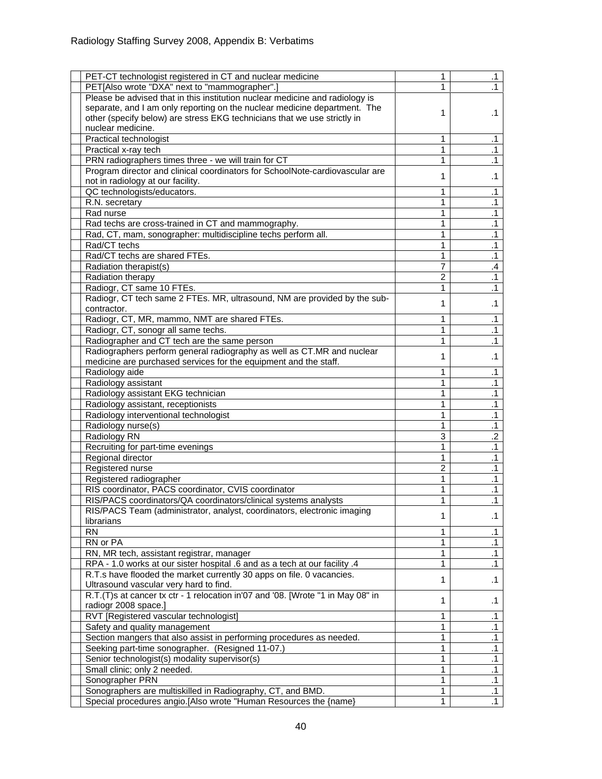| PET-CT technologist registered in CT and nuclear medicine                       | 1            | $\cdot$ 1       |
|---------------------------------------------------------------------------------|--------------|-----------------|
| PET[Also wrote "DXA" next to "mammographer".]                                   | 1            | .1              |
| Please be advised that in this institution nuclear medicine and radiology is    |              |                 |
| separate, and I am only reporting on the nuclear medicine department. The       |              |                 |
| other (specify below) are stress EKG technicians that we use strictly in        | 1            | $\cdot$ 1       |
| nuclear medicine.                                                               |              |                 |
|                                                                                 |              |                 |
| Practical technologist                                                          | 1            | .1              |
| Practical x-ray tech                                                            | 1            | $\cdot$ 1       |
| PRN radiographers times three - we will train for CT                            | 1            | $\cdot$ 1       |
| Program director and clinical coordinators for SchoolNote-cardiovascular are    | 1            | $\cdot$ 1       |
| not in radiology at our facility.                                               |              |                 |
| QC technologists/educators.                                                     | 1            | $\cdot$ 1       |
| R.N. secretary                                                                  | 1            | $\cdot$ 1       |
| Rad nurse                                                                       | 1            | $\cdot$ 1       |
| Rad techs are cross-trained in CT and mammography.                              | 1            | $\overline{.1}$ |
| Rad, CT, mam, sonographer: multidiscipline techs perform all.                   | 1            | $\cdot$ 1       |
| Rad/CT techs                                                                    | 1            | $\cdot$ 1       |
|                                                                                 |              |                 |
| Rad/CT techs are shared FTEs.                                                   | 1            | $\cdot$ 1       |
| Radiation therapist(s)                                                          | 7            | $\mathcal{A}$   |
| Radiation therapy                                                               | 2            | $\cdot$ 1       |
| Radiogr, CT same 10 FTEs.                                                       | 1            | $\cdot$ 1       |
| Radiogr, CT tech same 2 FTEs. MR, ultrasound, NM are provided by the sub-       | 1            | $\cdot$ 1       |
| contractor.                                                                     |              |                 |
| Radiogr, CT, MR, mammo, NMT are shared FTEs.                                    | 1            | .1              |
| Radiogr, CT, sonogr all same techs.                                             | 1            | $\cdot$ 1       |
| Radiographer and CT tech are the same person                                    | 1            | $\cdot$ 1       |
| Radiographers perform general radiography as well as CT.MR and nuclear          |              |                 |
| medicine are purchased services for the equipment and the staff.                | 1            | $\cdot$ 1       |
| Radiology aide                                                                  | 1            |                 |
|                                                                                 | 1            | .1              |
| Radiology assistant                                                             |              | $\cdot$ 1       |
| Radiology assistant EKG technician                                              | 1            | $\cdot$ 1       |
| Radiology assistant, receptionists                                              | 1            | $\cdot$ 1       |
| Radiology interventional technologist                                           | 1            | $\cdot$ 1       |
| Radiology nurse(s)                                                              | 1            | $\cdot$ 1       |
| Radiology RN                                                                    | 3            | $\overline{.2}$ |
| Recruiting for part-time evenings                                               | 1            | $\cdot$ 1       |
| Regional director                                                               | 1            | $\cdot$ 1       |
| Registered nurse                                                                | 2            | $\cdot$ 1       |
| Registered radiographer                                                         | 1            | $\cdot$ 1       |
| RIS coordinator, PACS coordinator, CVIS coordinator                             | 1            | $\cdot$ 1       |
| RIS/PACS coordinators/QA coordinators/clinical systems analysts                 | 1            | $\cdot$ 1       |
| RIS/PACS Team (administrator, analyst, coordinators, electronic imaging         |              |                 |
| librarians                                                                      | 1            | $\cdot$ 1       |
|                                                                                 |              |                 |
| <b>RN</b>                                                                       | 1            | $\cdot$ 1       |
| RN or PA                                                                        | 1            | $\cdot$ 1       |
| RN, MR tech, assistant registrar, manager                                       | 1            | $\cdot$ 1       |
| RPA - 1.0 works at our sister hospital .6 and as a tech at our facility .4      | 1            | $\cdot$ 1       |
| R.T.s have flooded the market currently 30 apps on file. 0 vacancies.           | 1            | $\cdot$ 1       |
| Ultrasound vascular very hard to find.                                          |              |                 |
| R.T.(T)s at cancer tx ctr - 1 relocation in'07 and '08. [Wrote "1 in May 08" in | $\mathbf{1}$ | $\cdot$ 1       |
| radiogr 2008 space.]                                                            |              |                 |
| RVT [Registered vascular technologist]                                          | 1            | $\cdot$ 1       |
| Safety and quality management                                                   | 1            | $\cdot$ 1       |
| Section mangers that also assist in performing procedures as needed.            | 1            | $\cdot$ 1       |
| Seeking part-time sonographer. (Resigned 11-07.)                                | 1            | $\cdot$ 1       |
| Senior technologist(s) modality supervisor(s)                                   | 1            | $\cdot$ 1       |
|                                                                                 |              |                 |
| Small clinic; only 2 needed.                                                    | 1            | $\cdot$ 1       |
| Sonographer PRN                                                                 | 1            | $\cdot$ 1       |
| Sonographers are multiskilled in Radiography, CT, and BMD.                      | 1            | $\cdot$ 1       |
| Special procedures angio.[Also wrote "Human Resources the {name}                | 1            | $\overline{.1}$ |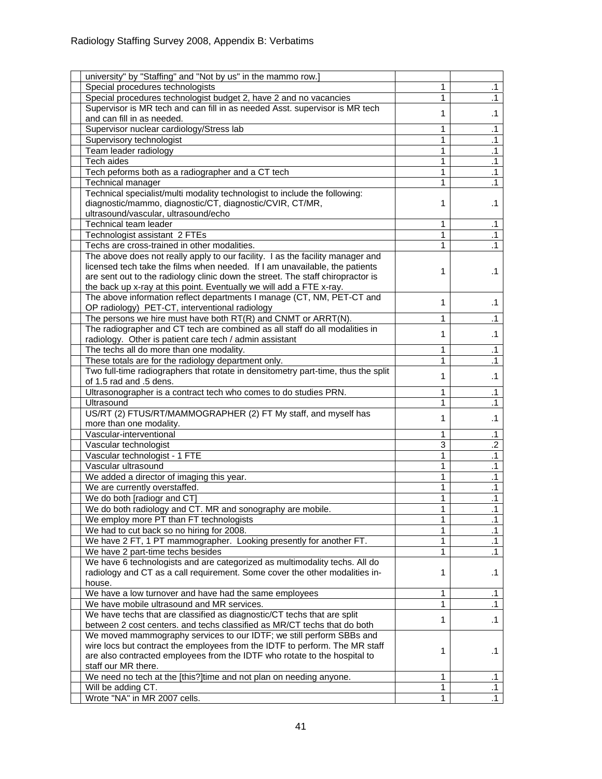| university" by "Staffing" and "Not by us" in the mammo row.]                      |                   |                        |
|-----------------------------------------------------------------------------------|-------------------|------------------------|
| Special procedures technologists                                                  | 1                 | $\cdot$ 1              |
| Special procedures technologist budget 2, have 2 and no vacancies                 | 1                 | $\cdot$ 1              |
| Supervisor is MR tech and can fill in as needed Asst. supervisor is MR tech       | 1                 | $\cdot$ 1              |
| and can fill in as needed.                                                        |                   |                        |
| Supervisor nuclear cardiology/Stress lab                                          | 1                 | .1                     |
| Supervisory technologist                                                          | 1                 | $\cdot$ 1              |
| Team leader radiology                                                             | 1                 | $\cdot$ 1              |
|                                                                                   |                   |                        |
| Tech aides                                                                        | 1                 | $\cdot$ 1              |
| Tech peforms both as a radiographer and a CT tech                                 | 1                 | $\cdot$ 1              |
| Technical manager                                                                 | 1                 | $\cdot$ 1              |
| Technical specialist/multi modality technologist to include the following:        |                   |                        |
| diagnostic/mammo, diagnostic/CT, diagnostic/CVIR, CT/MR,                          | 1                 | $\cdot$ 1              |
| ultrasound/vascular, ultrasound/echo                                              |                   |                        |
| Technical team leader                                                             | 1                 | $\cdot$ 1              |
| Technologist assistant 2 FTEs                                                     | 1                 | $\cdot$ 1              |
|                                                                                   | 1                 | $\cdot$ 1              |
| Techs are cross-trained in other modalities.                                      |                   |                        |
| The above does not really apply to our facility. I as the facility manager and    |                   |                        |
| licensed tech take the films when needed. If I am unavailable, the patients       | 1                 | .1                     |
| are sent out to the radiology clinic down the street. The staff chiropractor is   |                   |                        |
| the back up x-ray at this point. Eventually we will add a FTE x-ray.              |                   |                        |
| The above information reflect departments I manage (CT, NM, PET-CT and            |                   |                        |
| OP radiology) PET-CT, interventional radiology                                    | 1                 | $\cdot$ 1              |
| The persons we hire must have both RT(R) and CNMT or ARRT(N).                     | 1                 | $\cdot$ 1              |
| The radiographer and CT tech are combined as all staff do all modalities in       |                   |                        |
|                                                                                   | 1                 | $\cdot$ 1              |
| radiology. Other is patient care tech / admin assistant                           |                   |                        |
| The techs all do more than one modality.                                          | 1                 | $\cdot$ 1              |
| These totals are for the radiology department only.                               | 1                 | $\cdot$ 1              |
| Two full-time radiographers that rotate in densitometry part-time, thus the split | 1                 | $\cdot$ 1              |
|                                                                                   |                   |                        |
| of 1.5 rad and .5 dens.                                                           |                   |                        |
|                                                                                   | 1                 |                        |
| Ultrasonographer is a contract tech who comes to do studies PRN.                  |                   | $\cdot$ 1              |
| Ultrasound                                                                        | 1                 | $\cdot$ 1              |
| US/RT (2) FTUS/RT/MAMMOGRAPHER (2) FT My staff, and myself has                    | 1                 | $\cdot$ 1              |
| more than one modality.                                                           |                   |                        |
| Vascular-interventional                                                           | 1                 | $\cdot$ 1              |
| Vascular technologist                                                             | 3                 | $\cdot$ .2             |
| Vascular technologist - 1 FTE                                                     | 1                 | $\cdot$ 1              |
| Vascular ultrasound                                                               | 1                 |                        |
|                                                                                   |                   | $\cdot$ 1              |
| We added a director of imaging this year.                                         | 1                 | $\cdot$ 1              |
| We are currently overstaffed.                                                     | 1                 | $\cdot$ 1              |
| We do both [radiogr and CT]                                                       | 1                 | .1                     |
| We do both radiology and CT. MR and sonography are mobile                         | 1                 | $\overline{.1}$        |
| We employ more PT than FT technologists                                           | 1                 | $\cdot$ 1              |
| We had to cut back so no hiring for 2008.                                         | 1                 | $\cdot$ 1              |
| We have 2 FT, 1 PT mammographer. Looking presently for another FT.                | 1                 | $\cdot$ 1              |
|                                                                                   | 1                 | $\cdot$ 1              |
| We have 2 part-time techs besides                                                 |                   |                        |
| We have 6 technologists and are categorized as multimodality techs. All do        |                   |                        |
| radiology and CT as a call requirement. Some cover the other modalities in-       | 1                 | $\cdot$ 1              |
| house.                                                                            |                   |                        |
| We have a low turnover and have had the same employees                            | 1                 | $\cdot$ 1              |
| We have mobile ultrasound and MR services.                                        | 1                 | $\cdot$ 1              |
| We have techs that are classified as diagnostic/CT techs that are split           |                   |                        |
|                                                                                   | 1                 | $\cdot$ 1              |
| between 2 cost centers. and techs classified as MR/CT techs that do both          |                   |                        |
| We moved mammography services to our IDTF; we still perform SBBs and              |                   |                        |
| wire locs but contract the employees from the IDTF to perform. The MR staff       | 1                 | $\cdot$ 1              |
| are also contracted employees from the IDTF who rotate to the hospital to         |                   |                        |
| staff our MR there.                                                               |                   |                        |
| We need no tech at the [this?] time and not plan on needing anyone.               | 1                 | $\cdot$ 1              |
| Will be adding CT.<br>Wrote "NA" in MR 2007 cells.                                | 1<br>$\mathbf{1}$ | $\cdot$ 1<br>$\cdot$ 1 |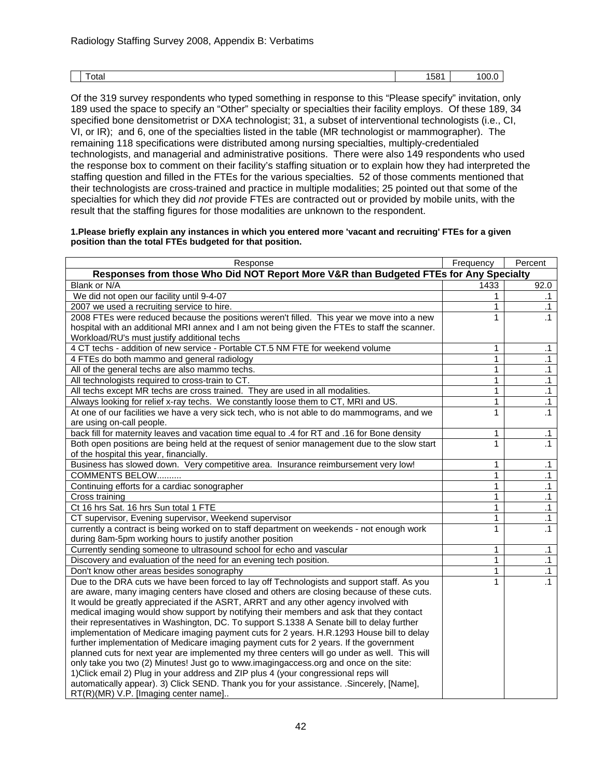| otal | E<br>1581 | 00<br>$\cdots$ |
|------|-----------|----------------|
|      |           |                |

Of the 319 survey respondents who typed something in response to this "Please specify" invitation, only 189 used the space to specify an "Other" specialty or specialties their facility employs. Of these 189, 34 specified bone densitometrist or DXA technologist; 31, a subset of interventional technologists (i.e., CI, VI, or IR); and 6, one of the specialties listed in the table (MR technologist or mammographer). The remaining 118 specifications were distributed among nursing specialties, multiply-credentialed technologists, and managerial and administrative positions. There were also 149 respondents who used the response box to comment on their facility's staffing situation or to explain how they had interpreted the staffing question and filled in the FTEs for the various specialties. 52 of those comments mentioned that their technologists are cross-trained and practice in multiple modalities; 25 pointed out that some of the specialties for which they did *not* provide FTEs are contracted out or provided by mobile units, with the result that the staffing figures for those modalities are unknown to the respondent.

#### **1.Please briefly explain any instances in which you entered more 'vacant and recruiting' FTEs for a given position than the total FTEs budgeted for that position.**

| Response                                                                                      | Frequency    | Percent         |
|-----------------------------------------------------------------------------------------------|--------------|-----------------|
| Responses from those Who Did NOT Report More V&R than Budgeted FTEs for Any Specialty         |              |                 |
| Blank or N/A                                                                                  | 1433         | 92.0            |
| We did not open our facility until 9-4-07                                                     | 1            | $\cdot$ 1       |
| 2007 we used a recruiting service to hire.                                                    | 1            | $\cdot$ 1       |
| 2008 FTEs were reduced because the positions weren't filled. This year we move into a new     | 1            | .1              |
| hospital with an additional MRI annex and I am not being given the FTEs to staff the scanner. |              |                 |
| Workload/RU's must justify additional techs                                                   |              |                 |
| 4 CT techs - addition of new service - Portable CT.5 NM FTE for weekend volume                | 1            | $\cdot$ 1       |
| 4 FTEs do both mammo and general radiology                                                    | 1            | $\cdot$ 1       |
| All of the general techs are also mammo techs.                                                | 1            | $\cdot$ 1       |
| All technologists required to cross-train to CT.                                              | 1            | $\cdot$ 1       |
| All techs except MR techs are cross trained. They are used in all modalities.                 | $\mathbf{1}$ | $\cdot$ 1       |
| Always looking for relief x-ray techs. We constantly loose them to CT, MRI and US.            | 1            | $\cdot$ 1       |
| At one of our facilities we have a very sick tech, who is not able to do mammograms, and we   | 1            | $\cdot$ 1       |
| are using on-call people.                                                                     |              |                 |
| back fill for maternity leaves and vacation time equal to .4 for RT and .16 for Bone density  | 1            | $\cdot$ 1       |
| Both open positions are being held at the request of senior management due to the slow start  | 1            | $\overline{1}$  |
| of the hospital this year, financially.                                                       |              |                 |
| Business has slowed down. Very competitive area. Insurance reimbursement very low!            | 1            | $\cdot$ 1       |
| <b>COMMENTS BELOW</b>                                                                         | 1            | $\cdot$ 1       |
| Continuing efforts for a cardiac sonographer                                                  | 1            | $\overline{.1}$ |
| Cross training                                                                                | 1            | $\cdot$ 1       |
| Ct 16 hrs Sat. 16 hrs Sun total 1 FTE                                                         | 1            | $\cdot$ 1       |
| CT supervisor, Evening supervisor, Weekend supervisor                                         | 1            | $\cdot$ 1       |
| currently a contract is being worked on to staff department on weekends - not enough work     | 1            | $\cdot$ 1       |
| during 8am-5pm working hours to justify another position                                      |              |                 |
| Currently sending someone to ultrasound school for echo and vascular                          | 1            | $\cdot$ 1       |
| Discovery and evaluation of the need for an evening tech position.                            | 1            | $\cdot$ 1       |
| Don't know other areas besides sonography                                                     | 1            | $\cdot$ 1       |
| Due to the DRA cuts we have been forced to lay off Technologists and support staff. As you    | 1            | $\cdot$ 1       |
| are aware, many imaging centers have closed and others are closing because of these cuts.     |              |                 |
| It would be greatly appreciated if the ASRT, ARRT and any other agency involved with          |              |                 |
| medical imaging would show support by notifying their members and ask that they contact       |              |                 |
| their representatives in Washington, DC. To support S.1338 A Senate bill to delay further     |              |                 |
| implementation of Medicare imaging payment cuts for 2 years. H.R.1293 House bill to delay     |              |                 |
| further implementation of Medicare imaging payment cuts for 2 years. If the government        |              |                 |
| planned cuts for next year are implemented my three centers will go under as well. This will  |              |                 |
| only take you two (2) Minutes! Just go to www.imagingaccess.org and once on the site:         |              |                 |
| 1) Click email 2) Plug in your address and ZIP plus 4 (your congressional reps will           |              |                 |
| automatically appear). 3) Click SEND. Thank you for your assistance. . Sincerely, [Name],     |              |                 |
| RT(R)(MR) V.P. [Imaging center name]                                                          |              |                 |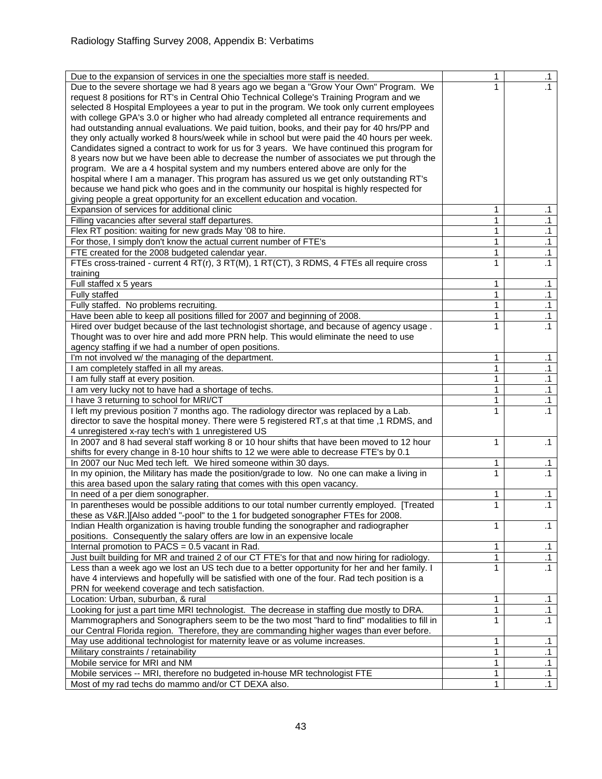| Due to the expansion of services in one the specialties more staff is needed.                                                                                                          | 1            | .1                     |
|----------------------------------------------------------------------------------------------------------------------------------------------------------------------------------------|--------------|------------------------|
| Due to the severe shortage we had 8 years ago we began a "Grow Your Own" Program. We                                                                                                   | 1            |                        |
| request 8 positions for RT's in Central Ohio Technical College's Training Program and we                                                                                               |              |                        |
| selected 8 Hospital Employees a year to put in the program. We took only current employees                                                                                             |              |                        |
| with college GPA's 3.0 or higher who had already completed all entrance requirements and                                                                                               |              |                        |
| had outstanding annual evaluations. We paid tuition, books, and their pay for 40 hrs/PP and                                                                                            |              |                        |
| they only actually worked 8 hours/week while in school but were paid the 40 hours per week.                                                                                            |              |                        |
| Candidates signed a contract to work for us for 3 years. We have continued this program for                                                                                            |              |                        |
| 8 years now but we have been able to decrease the number of associates we put through the                                                                                              |              |                        |
| program. We are a 4 hospital system and my numbers entered above are only for the                                                                                                      |              |                        |
| hospital where I am a manager. This program has assured us we get only outstanding RT's<br>because we hand pick who goes and in the community our hospital is highly respected for     |              |                        |
| giving people a great opportunity for an excellent education and vocation.                                                                                                             |              |                        |
| Expansion of services for additional clinic                                                                                                                                            | 1            |                        |
|                                                                                                                                                                                        | 1            | .1<br>$\cdot$ 1        |
| Filling vacancies after several staff departures.                                                                                                                                      | 1            |                        |
| Flex RT position: waiting for new grads May '08 to hire.                                                                                                                               |              | $\cdot$ 1              |
| For those, I simply don't know the actual current number of FTE's                                                                                                                      | 1            | $\cdot$ 1              |
| FTE created for the 2008 budgeted calendar year.<br>FTEs cross-trained - current 4 RT(r), 3 RT(M), 1 RT(CT), 3 RDMS, 4 FTEs all require cross                                          | 1<br>1       | $\cdot$ 1<br>$\cdot$ 1 |
|                                                                                                                                                                                        |              |                        |
| training<br>Full staffed x 5 years                                                                                                                                                     | 1            | $\cdot$ 1              |
| Fully staffed                                                                                                                                                                          |              |                        |
| Fully staffed. No problems recruiting.                                                                                                                                                 | 1<br>1       | .1<br>$\cdot$ 1        |
| Have been able to keep all positions filled for 2007 and beginning of 2008.                                                                                                            | 1            | $\cdot$ 1              |
|                                                                                                                                                                                        | 1            | $\cdot$ 1              |
| Hired over budget because of the last technologist shortage, and because of agency usage.<br>Thought was to over hire and add more PRN help. This would eliminate the need to use      |              |                        |
| agency staffing if we had a number of open positions.                                                                                                                                  |              |                        |
|                                                                                                                                                                                        | 1            |                        |
| I'm not involved w/ the managing of the department.                                                                                                                                    |              | $\cdot$ 1              |
| I am completely staffed in all my areas.                                                                                                                                               | 1<br>1       | $\cdot$ 1              |
| I am fully staff at every position.<br>I am very lucky not to have had a shortage of techs.                                                                                            |              | $\cdot$ 1              |
|                                                                                                                                                                                        | 1            | $\cdot$ 1              |
| I have 3 returning to school for MRI/CT                                                                                                                                                | 1<br>1       | $\cdot$ 1<br>$\cdot$ 1 |
| I left my previous position 7 months ago. The radiology director was replaced by a Lab.<br>director to save the hospital money. There were 5 registered RT,s at that time ,1 RDMS, and |              |                        |
| 4 unregistered x-ray tech's with 1 unregistered US                                                                                                                                     |              |                        |
| In 2007 and 8 had several staff working 8 or 10 hour shifts that have been moved to 12 hour                                                                                            | 1            | $\cdot$ 1              |
| shifts for every change in 8-10 hour shifts to 12 we were able to decrease FTE's by 0.1                                                                                                |              |                        |
| In 2007 our Nuc Med tech left. We hired someone within 30 days.                                                                                                                        | 1            | $\cdot$ 1              |
| In my opinion, the Military has made the position/grade to low. No one can make a living in                                                                                            | 1            | $\cdot$ 1              |
| this area based upon the salary rating that comes with this open vacancy.                                                                                                              |              |                        |
| In need of a per diem sonographer.                                                                                                                                                     | 1            | $\cdot$ 1              |
| In parentheses would be possible additions to our total number currently employed. [Treated                                                                                            | 1            | .1                     |
| these as V&R.][Also added "-pool" to the 1 for budgeted sonographer FTEs for 2008.                                                                                                     |              |                        |
| Indian Health organization is having trouble funding the sonographer and radiographer                                                                                                  | 1            | $\cdot$ 1              |
| positions. Consequently the salary offers are low in an expensive locale                                                                                                               |              |                        |
| Internal promotion to $PACS = 0.5$ vacant in Rad.                                                                                                                                      | 1            | $\cdot$ 1              |
| Just built building for MR and trained 2 of our CT FTE's for that and now hiring for radiology.                                                                                        | 1            | $\cdot$ 1              |
| Less than a week ago we lost an US tech due to a better opportunity for her and her family. I                                                                                          | 1            | $\cdot$ 1              |
| have 4 interviews and hopefully will be satisfied with one of the four. Rad tech position is a                                                                                         |              |                        |
| PRN for weekend coverage and tech satisfaction.                                                                                                                                        |              |                        |
| Location: Urban, suburban, & rural                                                                                                                                                     | 1            | $\cdot$ 1              |
| Looking for just a part time MRI technologist. The decrease in staffing due mostly to DRA.                                                                                             | $\mathbf{1}$ | $\cdot$ 1              |
| Mammographers and Sonographers seem to be the two most "hard to find" modalities to fill in                                                                                            | 1            | $\cdot$ 1              |
| our Central Florida region. Therefore, they are commanding higher wages than ever before.                                                                                              |              |                        |
| May use additional technologist for maternity leave or as volume increases.                                                                                                            | 1            | $\cdot$ 1              |
| Military constraints / retainability                                                                                                                                                   | 1            | $\cdot$ 1              |
| Mobile service for MRI and NM                                                                                                                                                          | 1            | $\cdot$ 1              |
| Mobile services -- MRI, therefore no budgeted in-house MR technologist FTE                                                                                                             | 1            | $\cdot$ 1              |
| Most of my rad techs do mammo and/or CT DEXA also.                                                                                                                                     | 1            | $\cdot$ 1              |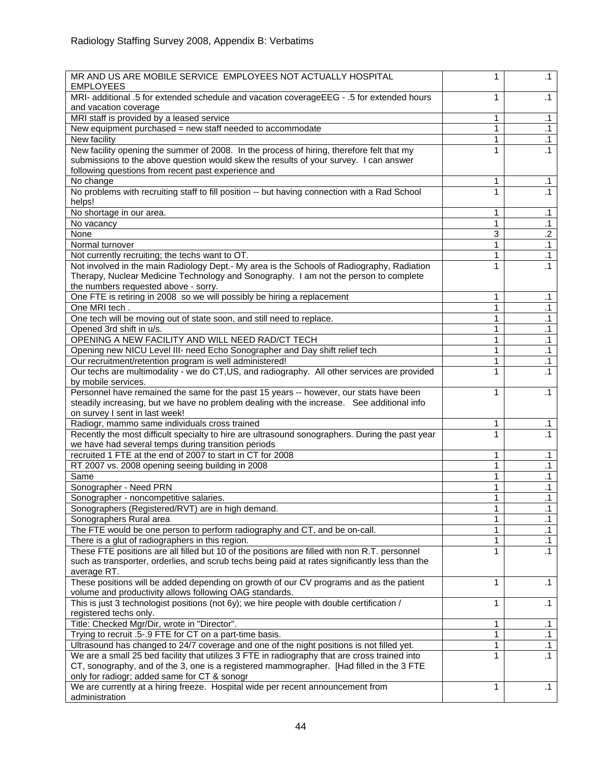| MR AND US ARE MOBILE SERVICE EMPLOYEES NOT ACTUALLY HOSPITAL                                    | 1 | $\cdot$ 1 |
|-------------------------------------------------------------------------------------------------|---|-----------|
| <b>EMPLOYEES</b>                                                                                |   |           |
| MRI- additional .5 for extended schedule and vacation coverageEEG - .5 for extended hours       | 1 | $\cdot$ 1 |
|                                                                                                 |   |           |
| and vacation coverage                                                                           |   |           |
| MRI staff is provided by a leased service                                                       | 1 | $\cdot$ 1 |
| New equipment purchased = new staff needed to accommodate                                       | 1 | $\cdot$ 1 |
| New facility                                                                                    | 1 | $\cdot$ 1 |
| New facility opening the summer of 2008. In the process of hiring, therefore felt that my       | 1 | .1        |
| submissions to the above question would skew the results of your survey. I can answer           |   |           |
| following questions from recent past experience and                                             |   |           |
| No change                                                                                       | 1 | $\cdot$ 1 |
| No problems with recruiting staff to fill position -- but having connection with a Rad School   | 1 | $\cdot$ 1 |
| helps!                                                                                          |   |           |
| No shortage in our area.                                                                        | 1 | $\cdot$ 1 |
| No vacancy                                                                                      | 1 | $\cdot$ 1 |
| None                                                                                            | 3 | $\cdot$   |
| Normal turnover                                                                                 | 1 | $\cdot$ 1 |
| Not currently recruiting; the techs want to OT.                                                 | 1 | $\cdot$ 1 |
| Not involved in the main Radiology Dept.- My area is the Schools of Radiography, Radiation      | 1 | $\cdot$ 1 |
| Therapy, Nuclear Medicine Technology and Sonography. I am not the person to complete            |   |           |
|                                                                                                 |   |           |
| the numbers requested above - sorry.                                                            |   |           |
| One FTE is retiring in 2008 so we will possibly be hiring a replacement                         | 1 | $\cdot$ 1 |
| One MRI tech.                                                                                   | 1 | $\cdot$ 1 |
| One tech will be moving out of state soon, and still need to replace.                           | 1 | $\cdot$ 1 |
| Opened 3rd shift in u/s.                                                                        | 1 | $\cdot$ 1 |
| OPENING A NEW FACILITY AND WILL NEED RAD/CT TECH                                                | 1 | $\cdot$ 1 |
| Opening new NICU Level III- need Echo Sonographer and Day shift relief tech                     | 1 | $\cdot$ 1 |
| Our recruitment/retention program is well administered!                                         | 1 | $\cdot$ 1 |
| Our techs are multimodality - we do CT,US, and radiography. All other services are provided     | 1 | .1        |
| by mobile services.                                                                             |   |           |
| Personnel have remained the same for the past 15 years -- however, our stats have been          | 1 | $\cdot$ 1 |
| steadily increasing, but we have no problem dealing with the increase. See additional info      |   |           |
| on survey I sent in last week!                                                                  |   |           |
| Radiogr, mammo same individuals cross trained                                                   | 1 | $\cdot$ 1 |
| Recently the most difficult specialty to hire are ultrasound sonographers. During the past year | 1 | $\cdot$ 1 |
| we have had several temps during transition periods                                             |   |           |
| recruited 1 FTE at the end of 2007 to start in CT for 2008                                      | 1 | $\cdot$ 1 |
| RT 2007 vs. 2008 opening seeing building in 2008                                                | 1 | $\cdot$ 1 |
| Same                                                                                            | 1 | $\cdot$ 1 |
|                                                                                                 |   |           |
| Sonographer - Need PRN                                                                          | 1 | $\cdot$ 1 |
| Sonographer - noncompetitive salaries.                                                          | 1 | $\cdot$ 1 |
| Sonographers (Registered/RVT) are in high demand                                                |   | $\cdot$ 1 |
| Sonographers Rural area                                                                         | 1 | $\cdot$ 1 |
| The FTE would be one person to perform radiography and CT, and be on-call.                      | 1 | $\cdot$ 1 |
| There is a glut of radiographers in this region.                                                | 1 | $\cdot$ 1 |
| These FTE positions are all filled but 10 of the positions are filled with non R.T. personnel   | 1 | $\cdot$ 1 |
| such as transporter, orderlies, and scrub techs being paid at rates significantly less than the |   |           |
| average RT.                                                                                     |   |           |
| These positions will be added depending on growth of our CV programs and as the patient         | 1 | $\cdot$ 1 |
| volume and productivity allows following OAG standards.                                         |   |           |
| This is just 3 technologist positions (not 6y); we hire people with double certification /      | 1 | $\cdot$ 1 |
| registered techs only.                                                                          |   |           |
| Title: Checked Mgr/Dir, wrote in "Director".                                                    | 1 | $\cdot$ 1 |
| Trying to recruit .5-.9 FTE for CT on a part-time basis.                                        | 1 | $\cdot$ 1 |
|                                                                                                 | 1 |           |
| Ultrasound has changed to 24/7 coverage and one of the night positions is not filled yet.       |   | $\cdot$ 1 |
| We are a small 25 bed facility that utilizes 3 FTE in radiography that are cross trained into   | 1 | $\cdot$ 1 |
| CT, sonography, and of the 3, one is a registered mammographer. [Had filled in the 3 FTE        |   |           |
| only for radiogr; added same for CT & sonogr                                                    |   |           |
| We are currently at a hiring freeze. Hospital wide per recent announcement from                 | 1 | $\cdot$ 1 |
| administration                                                                                  |   |           |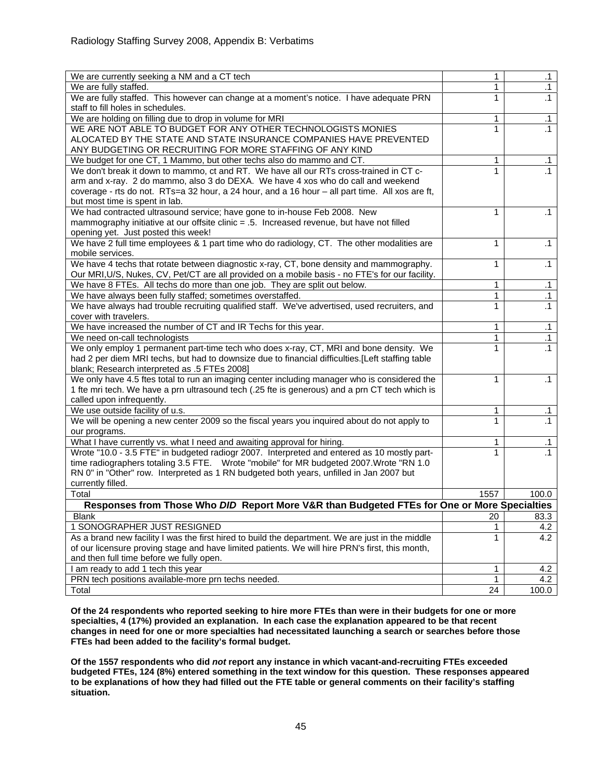| We are currently seeking a NM and a CT tech                                                                                  | 1            | $\cdot$ 1       |
|------------------------------------------------------------------------------------------------------------------------------|--------------|-----------------|
| We are fully staffed.                                                                                                        | 1            | $\cdot$ 1       |
| We are fully staffed. This however can change at a moment's notice. I have adequate PRN<br>staff to fill holes in schedules. | 1            | $\cdot$ 1       |
| We are holding on filling due to drop in volume for MRI                                                                      | 1            | $\cdot$ 1       |
| WE ARE NOT ABLE TO BUDGET FOR ANY OTHER TECHNOLOGISTS MONIES                                                                 | 1            | .1              |
| ALOCATED BY THE STATE AND STATE INSURANCE COMPANIES HAVE PREVENTED                                                           |              |                 |
| ANY BUDGETING OR RECRUITING FOR MORE STAFFING OF ANY KIND                                                                    |              |                 |
| We budget for one CT, 1 Mammo, but other techs also do mammo and CT.                                                         | 1            | .1              |
| We don't break it down to mammo, ct and RT. We have all our RTs cross-trained in CT c-                                       | 1            | $\cdot$ 1       |
| arm and x-ray. 2 do mammo, also 3 do DEXA. We have 4 xos who do call and weekend                                             |              |                 |
| coverage - rts do not. RTs=a 32 hour, a 24 hour, and a 16 hour - all part time. All xos are ft,                              |              |                 |
| but most time is spent in lab.                                                                                               |              |                 |
| We had contracted ultrasound service; have gone to in-house Feb 2008. New                                                    | $\mathbf{1}$ | $\cdot$ 1       |
| mammography initiative at our offsite clinic = .5. Increased revenue, but have not filled                                    |              |                 |
| opening yet. Just posted this week!                                                                                          |              |                 |
| We have 2 full time employees & 1 part time who do radiology, CT. The other modalities are                                   | $\mathbf{1}$ | $\cdot$ 1       |
| mobile services.                                                                                                             |              |                 |
| We have 4 techs that rotate between diagnostic x-ray, CT, bone density and mammography.                                      | 1            | $\cdot$ 1       |
| Our MRI, U/S, Nukes, CV, Pet/CT are all provided on a mobile basis - no FTE's for our facility.                              |              |                 |
| We have 8 FTEs. All techs do more than one job. They are split out below.                                                    | 1            | $\cdot$ 1       |
| We have always been fully staffed; sometimes overstaffed.                                                                    | 1            | $\cdot$ 1       |
| We have always had trouble recruiting qualified staff. We've advertised, used recruiters, and                                | 1            | $\cdot$ 1       |
| cover with travelers.                                                                                                        |              |                 |
| We have increased the number of CT and IR Techs for this year.                                                               | 1            | $\cdot$ 1       |
| We need on-call technologists                                                                                                | 1            | $\cdot$ 1       |
| We only employ 1 permanent part-time tech who does x-ray, CT, MRI and bone density. We                                       | 1            | .1              |
| had 2 per diem MRI techs, but had to downsize due to financial difficulties.[Left staffing table                             |              |                 |
| blank; Research interpreted as .5 FTEs 2008]                                                                                 |              |                 |
| We only have 4.5 ftes total to run an imaging center including manager who is considered the                                 | $\mathbf{1}$ | $\cdot$ 1       |
| 1 fte mri tech. We have a prn ultrasound tech (.25 fte is generous) and a prn CT tech which is                               |              |                 |
| called upon infrequently.                                                                                                    |              |                 |
| We use outside facility of u.s.                                                                                              | 1            | $\cdot$ 1       |
| We will be opening a new center 2009 so the fiscal years you inquired about do not apply to                                  | 1            | $\overline{.1}$ |
| our programs.                                                                                                                |              |                 |
| What I have currently vs. what I need and awaiting approval for hiring.                                                      | 1            | $\cdot$ 1       |
| Wrote "10.0 - 3.5 FTE" in budgeted radiogr 2007. Interpreted and entered as 10 mostly part-                                  | 1            | .1              |
| time radiographers totaling 3.5 FTE. Wrote "mobile" for MR budgeted 2007. Wrote "RN 1.0                                      |              |                 |
| RN 0" in "Other" row. Interpreted as 1 RN budgeted both years, unfilled in Jan 2007 but                                      |              |                 |
| currently filled.                                                                                                            |              |                 |
| Total                                                                                                                        | 1557         | 100.0           |
| Responses from Those Who DID Report More V&R than Budgeted FTEs for One or More Specialties                                  |              |                 |
| <b>Blank</b>                                                                                                                 | 20           | 83.3            |
| 1 SONOGRAPHER JUST RESIGNED                                                                                                  | 1            | 4.2             |
| As a brand new facility I was the first hired to build the department. We are just in the middle                             | 1            | 4.2             |
| of our licensure proving stage and have limited patients. We will hire PRN's first, this month,                              |              |                 |
| and then full time before we fully open.                                                                                     |              |                 |
| I am ready to add 1 tech this year                                                                                           | 1            | 4.2             |
| PRN tech positions available-more prn techs needed.                                                                          | 1            | 4.2             |
| Total                                                                                                                        | 24           | 100.0           |

**Of the 24 respondents who reported seeking to hire more FTEs than were in their budgets for one or more specialties, 4 (17%) provided an explanation. In each case the explanation appeared to be that recent changes in need for one or more specialties had necessitated launching a search or searches before those FTEs had been added to the facility's formal budget.** 

**Of the 1557 respondents who did** *not* **report any instance in which vacant-and-recruiting FTEs exceeded budgeted FTEs, 124 (8%) entered something in the text window for this question. These responses appeared to be explanations of how they had filled out the FTE table or general comments on their facility's staffing situation.**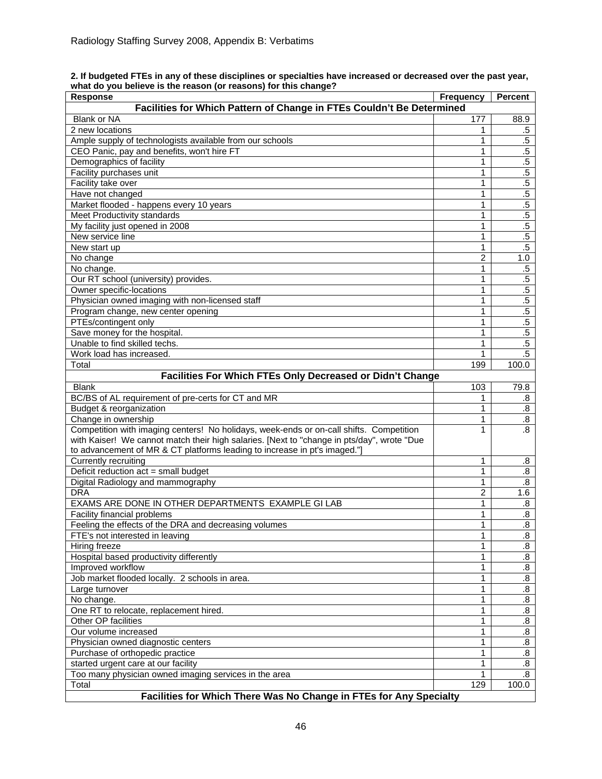**2. If budgeted FTEs in any of these disciplines or specialties have increased or decreased over the past year, what do you believe is the reason (or reasons) for this change?** 

| <b>Response</b>                                                                            | <b>Frequency</b> | Percent                 |
|--------------------------------------------------------------------------------------------|------------------|-------------------------|
| Facilities for Which Pattern of Change in FTEs Couldn't Be Determined                      |                  |                         |
| <b>Blank or NA</b>                                                                         | 177              | 88.9                    |
| 2 new locations                                                                            | 1                | .5                      |
| Ample supply of technologists available from our schools                                   | 1                | .5                      |
| CEO Panic, pay and benefits, won't hire FT                                                 | 1                | $.5\,$                  |
| Demographics of facility                                                                   | 1                | $.5\,$                  |
| Facility purchases unit                                                                    | 1                | $.5\,$                  |
| Facility take over                                                                         | 1                | $.5\,$                  |
| Have not changed                                                                           | 1                | .5                      |
| Market flooded - happens every 10 years                                                    | 1                | .5                      |
| Meet Productivity standards                                                                | 1                | .5                      |
| My facility just opened in 2008                                                            | 1                | $.5\,$                  |
| New service line                                                                           | 1                | $.5\,$                  |
| New start up                                                                               | 1                | $.5\,$                  |
| No change                                                                                  | 2                | 1.0                     |
| No change.                                                                                 | 1                | .5                      |
| Our RT school (university) provides.                                                       | 1                | .5                      |
| Owner specific-locations                                                                   | 1                | $.5\,$                  |
| Physician owned imaging with non-licensed staff                                            | 1                | $.5\,$                  |
| Program change, new center opening                                                         | 1                | .5                      |
| PTEs/contingent only                                                                       | 1                | .5                      |
| Save money for the hospital.                                                               | 1                | $.5\,$                  |
| Unable to find skilled techs.                                                              | 1                | $.5\,$                  |
| Work load has increased.                                                                   | 1                | .5                      |
| Total                                                                                      | 199              | 100.0                   |
| Facilities For Which FTEs Only Decreased or Didn't Change                                  |                  |                         |
| <b>Blank</b>                                                                               | 103              | 79.8                    |
| BC/BS of AL requirement of pre-certs for CT and MR                                         | 1                | .8                      |
| Budget & reorganization                                                                    | 1                |                         |
| Change in ownership                                                                        | 1                | .8                      |
| Competition with imaging centers! No holidays, week-ends or on-call shifts. Competition    | 1                | .8<br>.8                |
| with Kaiser! We cannot match their high salaries. [Next to "change in pts/day", wrote "Due |                  |                         |
| to advancement of MR & CT platforms leading to increase in pt's imaged."]                  |                  |                         |
| Currently recruiting                                                                       | 1                | .8                      |
| Deficit reduction act = small budget                                                       | 1                | .8                      |
| Digital Radiology and mammography                                                          | 1                | .8                      |
| <b>DRA</b>                                                                                 | 2                | 1.6                     |
| EXAMS ARE DONE IN OTHER DEPARTMENTS EXAMPLE GI LAB                                         | 1                | .8                      |
| Facility financial problems                                                                | 1                | 8.5                     |
| Feeling the effects of the DRA and decreasing volumes                                      | 1                | 8.5                     |
|                                                                                            |                  | $\overline{\mathbf{8}}$ |
| FIE's not interested in leaving<br>Hiring freeze                                           | 1<br>1           | 8.5                     |
| Hospital based productivity differently                                                    | 1                | $\boldsymbol{8}$        |
| Improved workflow                                                                          |                  |                         |
|                                                                                            | 1                | 8.5                     |
| Job market flooded locally. 2 schools in area.                                             | 1                | $\boldsymbol{8}$        |
| Large turnover                                                                             | 1                | 8.5                     |
| No change.                                                                                 | 1                | 8.5                     |
| One RT to relocate, replacement hired.                                                     | 1                | 8.5                     |
| Other OP facilities                                                                        | 1                | $\boldsymbol{.8}$       |
| Our volume increased                                                                       | 1                | .8                      |
| Physician owned diagnostic centers                                                         | 1                | .8                      |
| Purchase of orthopedic practice                                                            | 1                | $\boldsymbol{.8}$       |
| started urgent care at our facility                                                        | 1                | $\boldsymbol{8}$        |
| Too many physician owned imaging services in the area                                      | 1                | .8                      |
| Total                                                                                      | 129              | 100.0                   |
| Facilities for Which There Was No Change in FTEs for Any Specialty                         |                  |                         |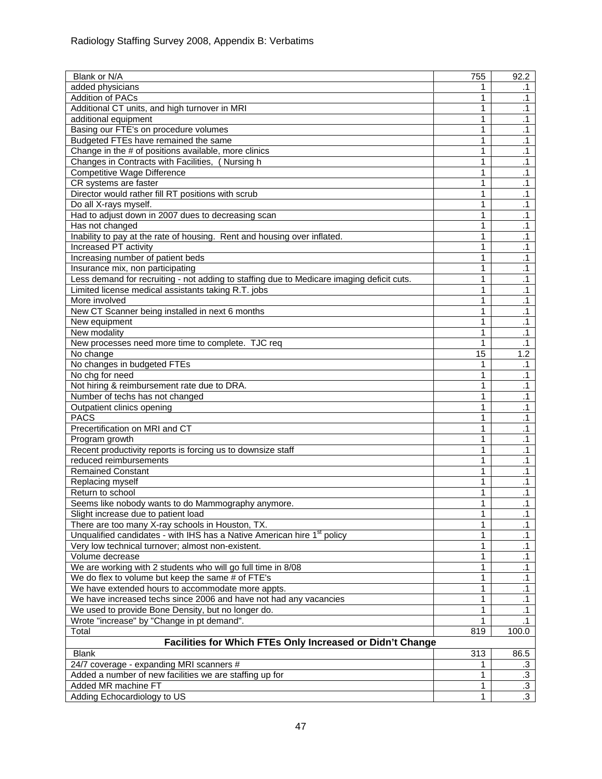| Blank or N/A                                                                              | 755            | 92.2                 |
|-------------------------------------------------------------------------------------------|----------------|----------------------|
| added physicians                                                                          | 1              | .1                   |
| <b>Addition of PACs</b>                                                                   | 1              | $\cdot$ 1            |
| Additional CT units, and high turnover in MRI                                             | 1              | $\cdot$ 1            |
| additional equipment                                                                      | $\mathbf{1}$   | $\cdot$ 1            |
| Basing our FTE's on procedure volumes                                                     | 1              | $\cdot$ 1            |
| Budgeted FTEs have remained the same                                                      | 1              | $\overline{.1}$      |
| Change in the # of positions available, more clinics                                      | 1              | $\cdot$ 1            |
| Changes in Contracts with Facilities, (Nursing h                                          | 1              | $\cdot$ 1            |
| Competitive Wage Difference                                                               | 1              | $\cdot$ 1            |
| CR systems are faster                                                                     | $\mathbf{1}$   | $\overline{.1}$      |
| Director would rather fill RT positions with scrub                                        | $\mathbf{1}$   | $\overline{.1}$      |
| Do all X-rays myself.                                                                     | 1              | $\overline{.1}$      |
| Had to adjust down in 2007 dues to decreasing scan                                        | $\mathbf{1}$   | $\cdot$ 1            |
| Has not changed                                                                           | 1              | $\cdot$ 1            |
| Inability to pay at the rate of housing. Rent and housing over inflated.                  | 1              | $\cdot$ 1            |
| Increased PT activity                                                                     | $\mathbf{1}$   | $\overline{.1}$      |
| Increasing number of patient beds                                                         | $\mathbf{1}$   | $\cdot$ 1            |
| Insurance mix, non participating                                                          | $\mathbf{1}$   | $\cdot$ 1            |
| Less demand for recruiting - not adding to staffing due to Medicare imaging deficit cuts. | 1              | $\cdot$ 1            |
| Limited license medical assistants taking R.T. jobs                                       | 1              | $\cdot$ 1            |
| More involved                                                                             | 1              | $\overline{.1}$      |
| New CT Scanner being installed in next 6 months                                           | $\mathbf{1}$   | .1                   |
| New equipment                                                                             | 1              | $\overline{.1}$      |
| New modality                                                                              | 1              | $\cdot$ 1            |
| New processes need more time to complete. TJC req                                         | 1              | $\cdot$ 1            |
| No change                                                                                 | 15             | 1.2                  |
| No changes in budgeted FTEs                                                               | 1              | $\cdot$ 1            |
| No chg for need                                                                           | 1              | $\cdot$ 1            |
| Not hiring & reimbursement rate due to DRA.                                               | 1              | $\cdot$ 1            |
| Number of techs has not changed                                                           | 1              | $\cdot$ 1            |
| Outpatient clinics opening                                                                | $\mathbf{1}$   | $\cdot$ 1            |
| <b>PACS</b>                                                                               | 1              | $\overline{.1}$      |
| Precertification on MRI and CT                                                            | 1              | $\cdot$ 1            |
| Program growth                                                                            | 1              | $\cdot$ 1            |
| Recent productivity reports is forcing us to downsize staff                               | 1              | $\cdot$ 1            |
| reduced reimbursements                                                                    | $\mathbf{1}$   | $\overline{.1}$      |
| <b>Remained Constant</b>                                                                  | 1              | $\overline{.1}$      |
| Replacing myself                                                                          | $\mathbf{1}$   | $\cdot$ 1            |
| Return to school                                                                          | 1              | $\cdot$ 1            |
| Seems like nobody wants to do Mammography anymore.                                        | 1              | $\cdot$ 1            |
| Slight increase due to patient load                                                       | 1              | $\cdot$ 1            |
| There are too many X-ray schools in Houston, TX.                                          | $\mathbf{1}$   | $\cdot$ 1            |
| Unqualified candidates - with IHS has a Native American hire 1 <sup>st</sup> policy       | 1              | $\cdot$ 1            |
| Very low technical turnover; almost non-existent.                                         | 1              | $\overline{.1}$      |
| Volume decrease                                                                           | 1              | $\cdot$ 1            |
| We are working with 2 students who will go full time in 8/08                              | 1              | $\overline{.1}$      |
| We do flex to volume but keep the same # of FTE's                                         | 1              | $\cdot$ 1            |
| We have extended hours to accommodate more appts.                                         | 1              | $\cdot$ 1            |
| We have increased techs since 2006 and have not had any vacancies                         | $\overline{1}$ | $\cdot$ 1            |
| We used to provide Bone Density, but no longer do.                                        | 1              | $\cdot$ 1            |
| Wrote "increase" by "Change in pt demand".                                                | 1              | $\cdot$ 1            |
| Total                                                                                     | 819            | 100.0                |
| Facilities for Which FTEs Only Increased or Didn't Change                                 |                |                      |
| <b>Blank</b>                                                                              | 313            | 86.5                 |
| 24/7 coverage - expanding MRI scanners #                                                  | 1              | $\cdot$ 3            |
| Added a number of new facilities we are staffing up for                                   | 1              | $\cdot$ 3            |
| Added MR machine FT                                                                       | 1              | $\cdot$ <sup>3</sup> |
| Adding Echocardiology to US                                                               | 1              | $\overline{.3}$      |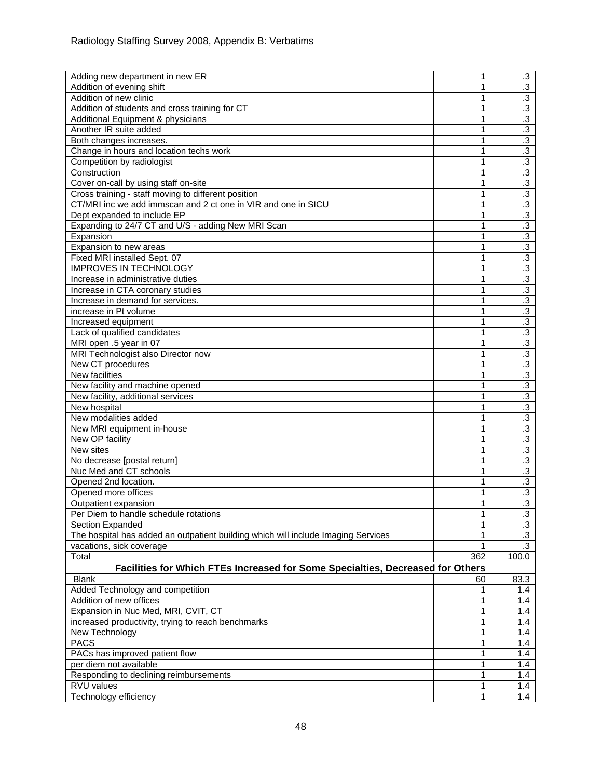| Adding new department in new ER                                                   | $\mathbf{1}$ | $\cdot$ 3          |
|-----------------------------------------------------------------------------------|--------------|--------------------|
| Addition of evening shift                                                         | 1            | $\overline{.3}$    |
| Addition of new clinic                                                            | 1            | $\overline{.3}$    |
| Addition of students and cross training for CT                                    | 1            | $\overline{.3}$    |
| Additional Equipment & physicians                                                 | $\mathbf{1}$ | $\overline{.3}$    |
| Another IR suite added                                                            | $\mathbf{1}$ | $\overline{.3}$    |
|                                                                                   |              |                    |
| Both changes increases.                                                           | 1            | $\overline{.3}$    |
| Change in hours and location techs work                                           | 1            | $\overline{3}$     |
| Competition by radiologist                                                        | $\mathbf{1}$ | $\overline{.3}$    |
| Construction                                                                      | 1            | $\overline{\cdot}$ |
| Cover on-call by using staff on-site                                              | $\mathbf{1}$ | $\overline{.3}$    |
| Cross training - staff moving to different position                               | 1            | $\overline{.3}$    |
| CT/MRI inc we add immscan and 2 ct one in VIR and one in SICU                     | $\mathbf{1}$ | $\overline{.3}$    |
| Dept expanded to include EP                                                       | $\mathbf{1}$ | $\overline{\cdot}$ |
| Expanding to 24/7 CT and U/S - adding New MRI Scan                                | 1            | $\overline{.3}$    |
| Expansion                                                                         | $\mathbf{1}$ | $\overline{.3}$    |
| Expansion to new areas                                                            | $\mathbf{1}$ | $\overline{.3}$    |
| Fixed MRI installed Sept. 07                                                      | $\mathbf{1}$ | $\overline{.3}$    |
| <b>IMPROVES IN TECHNOLOGY</b>                                                     |              |                    |
|                                                                                   | $\mathbf{1}$ | $\overline{\cdot}$ |
| Increase in administrative duties                                                 | 1            | $\overline{\cdot}$ |
| Increase in CTA coronary studies                                                  | $\mathbf{1}$ | $\overline{.3}$    |
| Increase in demand for services.                                                  | $\mathbf{1}$ | $\overline{.3}$    |
| increase in Pt volume                                                             | $\mathbf{1}$ | $\overline{.3}$    |
| Increased equipment                                                               | $\mathbf{1}$ | $\overline{.3}$    |
| Lack of qualified candidates                                                      | 1            | $\overline{.3}$    |
| MRI open .5 year in 07                                                            | $\mathbf{1}$ | $\overline{.3}$    |
| MRI Technologist also Director now                                                | $\mathbf{1}$ | $\overline{.3}$    |
| New CT procedures                                                                 | 1            | $\overline{.3}$    |
| New facilities                                                                    | $\mathbf{1}$ | $\overline{.3}$    |
| New facility and machine opened                                                   | $\mathbf{1}$ | $\overline{.3}$    |
|                                                                                   | 1            | $\overline{\cdot}$ |
| New facility, additional services                                                 | $\mathbf{1}$ | $\overline{.3}$    |
| New hospital                                                                      |              | $\overline{.3}$    |
| New modalities added                                                              | 1            |                    |
| New MRI equipment in-house                                                        | 1            | $\overline{.3}$    |
| New OP facility                                                                   | 1            | $\overline{.3}$    |
| New sites                                                                         | 1            | $\overline{3}$     |
| No decrease [postal return]                                                       | $\mathbf{1}$ | $\overline{.3}$    |
| Nuc Med and CT schools                                                            | 1            | $\overline{.3}$    |
| Opened 2nd location.                                                              | $\mathbf{1}$ | $\overline{.3}$    |
| Opened more offices                                                               | 1            | $\overline{\cdot}$ |
| Outpatient expansion                                                              | 1            | $\overline{3}$     |
| Per Diem to handle schedule rotations                                             | 1            | $\cdot$ 3          |
| Section Expanded                                                                  | $\mathbf{1}$ | $\overline{.3}$    |
| The hospital has added an outpatient building which will include Imaging Services | 1            | $\overline{.3}$    |
| vacations, sick coverage                                                          | $\mathbf{1}$ | $\overline{.3}$    |
| Total                                                                             | 362          | 100.0              |
|                                                                                   |              |                    |
| Facilities for Which FTEs Increased for Some Specialties, Decreased for Others    |              |                    |
| <b>Blank</b>                                                                      | 60           | 83.3               |
| Added Technology and competition                                                  | 1            | 1.4                |
| Addition of new offices                                                           | 1            | 1.4                |
| Expansion in Nuc Med, MRI, CVIT, CT                                               | $\mathbf{1}$ | 1.4                |
| increased productivity, trying to reach benchmarks                                | 1            | 1.4                |
| New Technology                                                                    | 1            | 1.4                |
| <b>PACS</b>                                                                       | 1            | 1.4                |
| PACs has improved patient flow                                                    | 1            | 1.4                |
| per diem not available                                                            | 1            | 1.4                |
| Responding to declining reimbursements                                            | 1            | 1.4                |
| RVU values                                                                        | 1            |                    |
| Technology efficiency                                                             | 1            | 1.4<br>1.4         |
|                                                                                   |              |                    |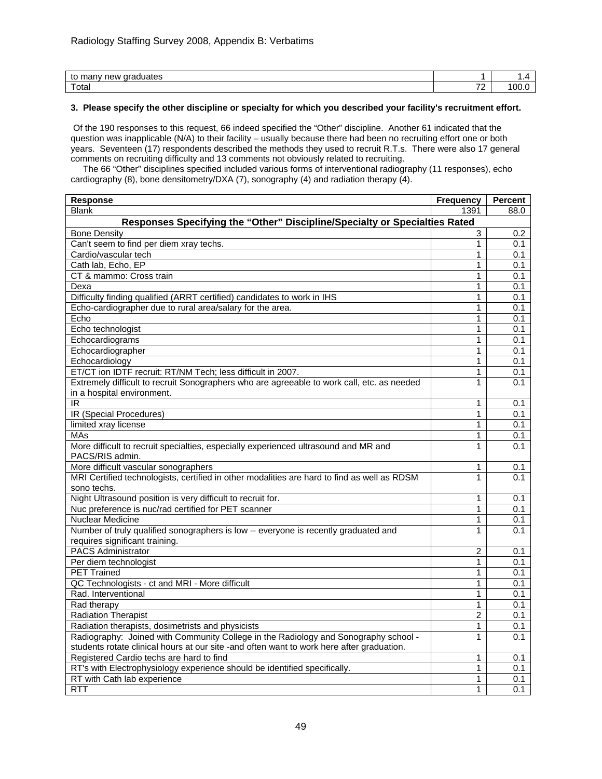| $\sim$<br>.<br>to<br>new<br>тя<br>guates.<br>aldır. |                               |  |
|-----------------------------------------------------|-------------------------------|--|
| ctal                                                | $\overline{\phantom{a}}$<br>∼ |  |

#### **3. Please specify the other discipline or specialty for which you described your facility's recruitment effort.**

Of the 190 responses to this request, 66 indeed specified the "Other" discipline. Another 61 indicated that the question was inapplicable (N/A) to their facility – usually because there had been no recruiting effort one or both years. Seventeen (17) respondents described the methods they used to recruit R.T.s. There were also 17 general comments on recruiting difficulty and 13 comments not obviously related to recruiting.

 The 66 "Other" disciplines specified included various forms of interventional radiography (11 responses), echo cardiography (8), bone densitometry/DXA (7), sonography (4) and radiation therapy (4).

| <b>Response</b>                                                                             | Frequency      | <b>Percent</b> |
|---------------------------------------------------------------------------------------------|----------------|----------------|
| <b>Blank</b>                                                                                | 1391           | 88.0           |
| Responses Specifying the "Other" Discipline/Specialty or Specialties Rated                  |                |                |
| <b>Bone Density</b>                                                                         | 3              | $0.2\,$        |
| Can't seem to find per diem xray techs.                                                     | 1              | 0.1            |
| Cardio/vascular tech                                                                        | 1              | 0.1            |
| Cath lab, Echo, EP                                                                          | 1              | 0.1            |
| CT & mammo: Cross train                                                                     | $\mathbf{1}$   | 0.1            |
| Dexa                                                                                        | $\mathbf{1}$   | 0.1            |
| Difficulty finding qualified (ARRT certified) candidates to work in IHS                     | $\mathbf{1}$   | 0.1            |
| Echo-cardiographer due to rural area/salary for the area.                                   | 1              | 0.1            |
| Echo                                                                                        | 1              | 0.1            |
| Echo technologist                                                                           | $\mathbf{1}$   | 0.1            |
| Echocardiograms                                                                             | 1              | 0.1            |
| Echocardiographer                                                                           | $\mathbf{1}$   | 0.1            |
| Echocardiology                                                                              | 1              | 0.1            |
| ET/CT ion IDTF recruit: RT/NM Tech; less difficult in 2007.                                 | 1              | 0.1            |
| Extremely difficult to recruit Sonographers who are agreeable to work call, etc. as needed  | $\mathbf{1}$   | 0.1            |
| in a hospital environment.                                                                  |                |                |
| IR.                                                                                         | 1              | 0.1            |
| IR (Special Procedures)                                                                     | $\mathbf{1}$   | 0.1            |
| limited xray license                                                                        | $\mathbf{1}$   | 0.1            |
| MAs                                                                                         | 1              | 0.1            |
| More difficult to recruit specialties, especially experienced ultrasound and MR and         | 1              | 0.1            |
| PACS/RIS admin.                                                                             |                |                |
| More difficult vascular sonographers                                                        | 1              | 0.1            |
| MRI Certified technologists, certified in other modalities are hard to find as well as RDSM | 1              | 0.1            |
| sono techs.                                                                                 |                |                |
| Night Ultrasound position is very difficult to recruit for.                                 | 1              | 0.1            |
| Nuc preference is nuc/rad certified for PET scanner                                         | $\mathbf{1}$   | 0.1            |
| Nuclear Medicine                                                                            | 1              | 0.1            |
| Number of truly qualified sonographers is low -- everyone is recently graduated and         | $\overline{1}$ | 0.1            |
| requires significant training.                                                              |                |                |
| <b>PACS Administrator</b>                                                                   | $\overline{2}$ | 0.1            |
| Per diem technologist                                                                       | 1              | 0.1            |
| <b>PET Trained</b>                                                                          | $\mathbf{1}$   | 0.1            |
| QC Technologists - ct and MRI - More difficult                                              | $\mathbf{1}$   | 0.1            |
| Rad. Interventional                                                                         | 1              | 0.1            |
| Rad therapy                                                                                 | $\mathbf{1}$   | 0.1            |
| <b>Radiation Therapist</b>                                                                  | $\overline{c}$ | 0.1            |
| Radiation therapists, dosimetrists and physicists                                           | $\mathbf{1}$   | 0.1            |
| Radiography: Joined with Community College in the Radiology and Sonography school -         | 1              | 0.1            |
| students rotate clinical hours at our site - and often want to work here after graduation.  |                |                |
| Registered Cardio techs are hard to find                                                    | 1              | 0.1            |
| RT's with Electrophysiology experience should be identified specifically.                   | 1              | 0.1            |
| RT with Cath lab experience                                                                 | 1              | 0.1            |
| <b>RTT</b>                                                                                  | $\mathbf{1}$   | 0.1            |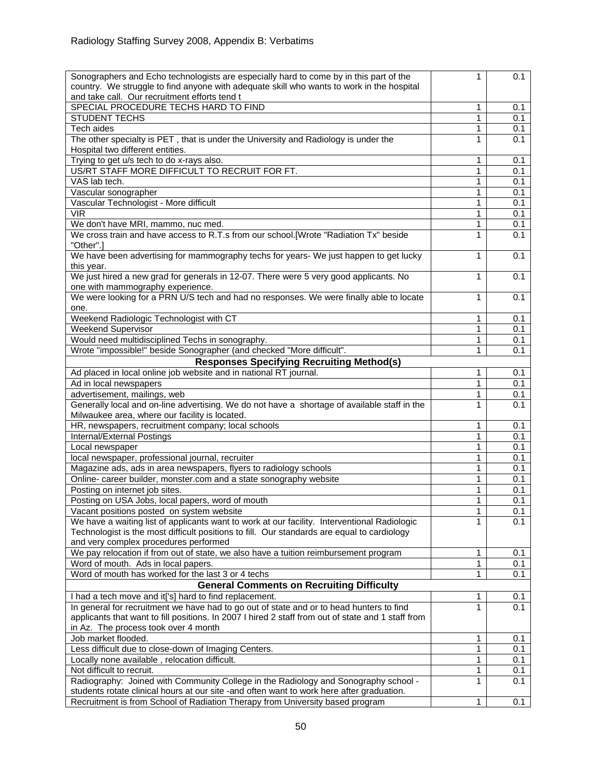| Sonographers and Echo technologists are especially hard to come by in this part of the             | 1            | 0.1 |
|----------------------------------------------------------------------------------------------------|--------------|-----|
| country. We struggle to find anyone with adequate skill who wants to work in the hospital          |              |     |
| and take call. Our recruitment efforts tend t                                                      |              |     |
| SPECIAL PROCEDURE TECHS HARD TO FIND                                                               | 1            | 0.1 |
| <b>STUDENT TECHS</b>                                                                               | 1            | 0.1 |
| Tech aides                                                                                         | 1            | 0.1 |
| The other specialty is PET, that is under the University and Radiology is under the                | 1            | 0.1 |
| Hospital two different entities.                                                                   |              |     |
|                                                                                                    | 1            |     |
| Trying to get u/s tech to do x-rays also.                                                          |              | 0.1 |
| US/RT STAFF MORE DIFFICULT TO RECRUIT FOR FT.                                                      | 1            | 0.1 |
| VAS lab tech.                                                                                      | 1            | 0.1 |
| Vascular sonographer                                                                               | 1            | 0.1 |
| Vascular Technologist - More difficult                                                             | 1            | 0.1 |
| <b>VIR</b>                                                                                         | 1            | 0.1 |
| We don't have MRI, mammo, nuc med.                                                                 | 1            | 0.1 |
| We cross train and have access to R.T.s from our school.[Wrote "Radiation Tx" beside               | 1            | 0.1 |
| "Other".]                                                                                          |              |     |
| We have been advertising for mammography techs for years- We just happen to get lucky              | 1            | 0.1 |
| this year.                                                                                         |              |     |
| We just hired a new grad for generals in 12-07. There were 5 very good applicants. No              | 1            | 0.1 |
| one with mammography experience.                                                                   |              |     |
| We were looking for a PRN U/S tech and had no responses. We were finally able to locate            | 1            | 0.1 |
|                                                                                                    |              |     |
| one.                                                                                               |              |     |
| Weekend Radiologic Technologist with CT                                                            | 1            | 0.1 |
| Weekend Supervisor                                                                                 | 1            | 0.1 |
| Would need multidisciplined Techs in sonography.                                                   | 1            | 0.1 |
| Wrote "impossible!" beside Sonographer (and checked "More difficult".                              | 1            | 0.1 |
| <b>Responses Specifying Recruiting Method(s)</b>                                                   |              |     |
| Ad placed in local online job website and in national RT journal.                                  | 1            | 0.1 |
| Ad in local newspapers                                                                             | 1            | 0.1 |
| advertisement, mailings, web                                                                       | 1            | 0.1 |
| Generally local and on-line advertising. We do not have a shortage of available staff in the       | 1            | 0.1 |
| Milwaukee area, where our facility is located.                                                     |              |     |
| HR, newspapers, recruitment company; local schools                                                 | 1            | 0.1 |
| Internal/External Postings                                                                         | 1            | 0.1 |
| Local newspaper                                                                                    | 1            | 0.1 |
|                                                                                                    | 1            | 0.1 |
| local newspaper, professional journal, recruiter                                                   |              |     |
| Magazine ads, ads in area newspapers, flyers to radiology schools                                  | 1            | 0.1 |
| Online- career builder, monster.com and a state sonography website                                 | 1            | 0.1 |
| Posting on internet job sites.                                                                     | 1            | 0.1 |
| Posting on USA Jobs, local papers, word of mouth                                                   | 1            | 0.1 |
| Vacant positions posted on system website                                                          | $\mathbf{1}$ | 0.1 |
| We have a waiting list of applicants want to work at our facility. Interventional Radiologic       | 1            | 0.1 |
| Technologist is the most difficult positions to fill. Our standards are equal to cardiology        |              |     |
| and very complex procedures performed                                                              |              |     |
| We pay relocation if from out of state, we also have a tuition reimbursement program               | 1            | 0.1 |
| Word of mouth. Ads in local papers.                                                                | 1            | 0.1 |
| Word of mouth has worked for the last 3 or 4 techs                                                 | 1            | 0.1 |
| <b>General Comments on Recruiting Difficulty</b>                                                   |              |     |
|                                                                                                    |              |     |
| I had a tech move and it['s] hard to find replacement.                                             | 1            | 0.1 |
| In general for recruitment we have had to go out of state and or to head hunters to find           | 1            | 0.1 |
| applicants that want to fill positions. In 2007 I hired 2 staff from out of state and 1 staff from |              |     |
| in Az. The process took over 4 month                                                               |              |     |
| Job market flooded.                                                                                | 1            | 0.1 |
| Less difficult due to close-down of Imaging Centers.                                               | 1            | 0.1 |
| Locally none available, relocation difficult.                                                      | 1            | 0.1 |
| Not difficult to recruit.                                                                          | 1            | 0.1 |
| Radiography: Joined with Community College in the Radiology and Sonography school -                | 1            | 0.1 |
| students rotate clinical hours at our site - and often want to work here after graduation.         |              |     |
| Recruitment is from School of Radiation Therapy from University based program                      | 1            | 0.1 |
|                                                                                                    |              |     |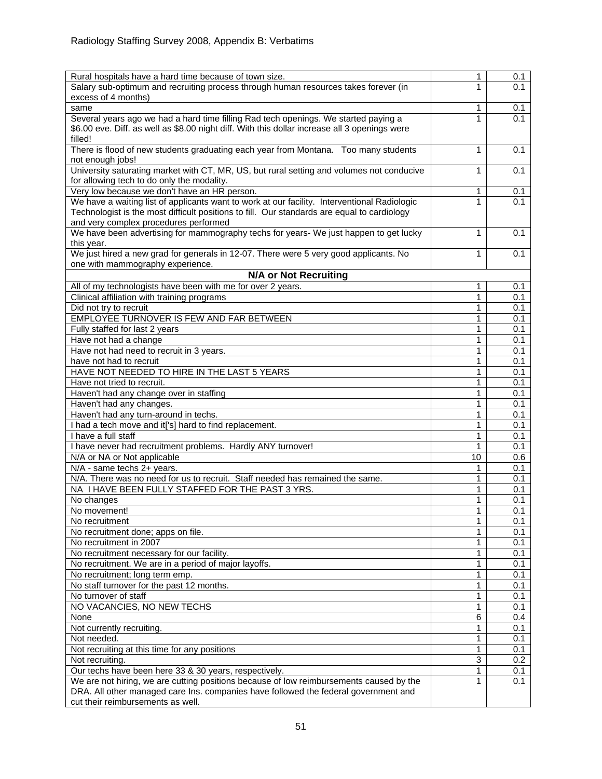| Rural hospitals have a hard time because of town size.                                        | 1            | 0.1 |
|-----------------------------------------------------------------------------------------------|--------------|-----|
| Salary sub-optimum and recruiting process through human resources takes forever (in           | $\mathbf{1}$ | 0.1 |
| excess of 4 months)                                                                           |              |     |
| same                                                                                          | 1            | 0.1 |
| Several years ago we had a hard time filling Rad tech openings. We started paying a           | 1            | 0.1 |
| \$6.00 eve. Diff. as well as \$8.00 night diff. With this dollar increase all 3 openings were |              |     |
| filled!                                                                                       |              |     |
| There is flood of new students graduating each year from Montana. Too many students           | $\mathbf{1}$ | 0.1 |
| not enough jobs!                                                                              |              |     |
| University saturating market with CT, MR, US, but rural setting and volumes not conducive     | 1            | 0.1 |
| for allowing tech to do only the modality.                                                    |              |     |
| Very low because we don't have an HR person.                                                  | 1            | 0.1 |
| We have a waiting list of applicants want to work at our facility. Interventional Radiologic  | 1            | 0.1 |
| Technologist is the most difficult positions to fill. Our standards are equal to cardiology   |              |     |
| and very complex procedures performed                                                         |              |     |
| We have been advertising for mammography techs for years- We just happen to get lucky         | 1            | 0.1 |
| this year.                                                                                    |              |     |
| We just hired a new grad for generals in 12-07. There were 5 very good applicants. No         | 1            | 0.1 |
| one with mammography experience.                                                              |              |     |
| <b>N/A or Not Recruiting</b>                                                                  |              |     |
| All of my technologists have been with me for over 2 years.                                   | 1            | 0.1 |
| Clinical affiliation with training programs                                                   | 1            | 0.1 |
|                                                                                               |              |     |
| Did not try to recruit                                                                        | 1            | 0.1 |
| EMPLOYEE TURNOVER IS FEW AND FAR BETWEEN                                                      | 1            | 0.1 |
| Fully staffed for last 2 years                                                                | 1            | 0.1 |
| Have not had a change                                                                         | 1            | 0.1 |
| Have not had need to recruit in 3 years.                                                      | $\mathbf{1}$ | 0.1 |
| have not had to recruit                                                                       | 1            | 0.1 |
| HAVE NOT NEEDED TO HIRE IN THE LAST 5 YEARS                                                   | 1            | 0.1 |
| Have not tried to recruit.                                                                    | 1            | 0.1 |
| Haven't had any change over in staffing                                                       | 1            | 0.1 |
| Haven't had any changes.                                                                      | 1            | 0.1 |
| Haven't had any turn-around in techs.                                                         | 1            | 0.1 |
| I had a tech move and it['s] hard to find replacement.                                        | 1            | 0.1 |
| I have a full staff                                                                           | 1            | 0.1 |
| I have never had recruitment problems. Hardly ANY turnover!                                   | $\mathbf{1}$ | 0.1 |
| N/A or NA or Not applicable                                                                   | 10           | 0.6 |
| N/A - same techs 2+ years.                                                                    | 1            | 0.1 |
| N/A. There was no need for us to recruit. Staff needed has remained the same.                 | 1            | 0.1 |
| NA I HAVE BEEN FULLY STAFFED FOR THE PAST 3 YRS.                                              | 1            | 0.1 |
|                                                                                               | $\mathbf{1}$ | 0.1 |
| No changes                                                                                    | $\mathbf{1}$ |     |
| No movement!                                                                                  |              | 0.1 |
| No recruitment                                                                                | 1            | 0.1 |
| No recruitment done; apps on file.                                                            | 1            | 0.1 |
| No recruitment in 2007                                                                        | 1            | 0.1 |
| No recruitment necessary for our facility.                                                    | 1            | 0.1 |
| No recruitment. We are in a period of major layoffs.                                          | $\mathbf{1}$ | 0.1 |
| No recruitment; long term emp.                                                                | 1            | 0.1 |
| No staff turnover for the past 12 months.                                                     | 1            | 0.1 |
| No turnover of staff                                                                          | 1            | 0.1 |
| NO VACANCIES, NO NEW TECHS                                                                    | $\mathbf{1}$ | 0.1 |
| None                                                                                          | 6            | 0.4 |
| Not currently recruiting.                                                                     | $\mathbf{1}$ | 0.1 |
| Not needed.                                                                                   | 1            | 0.1 |
| Not recruiting at this time for any positions                                                 | 1            | 0.1 |
| Not recruiting.                                                                               | 3            | 0.2 |
| Our techs have been here 33 & 30 years, respectively.                                         | 1            | 0.1 |
| We are not hiring, we are cutting positions because of low reimbursements caused by the       | 1            | 0.1 |
| DRA. All other managed care Ins. companies have followed the federal government and           |              |     |
| cut their reimbursements as well.                                                             |              |     |
|                                                                                               |              |     |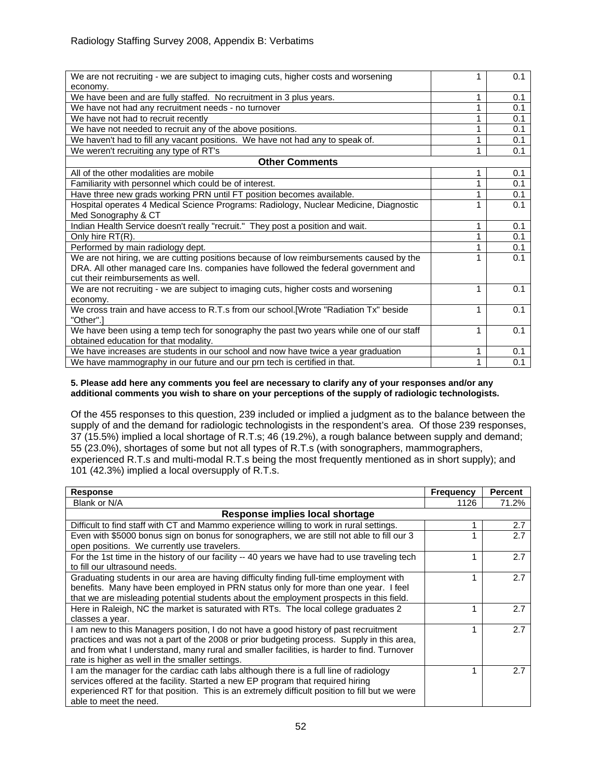| We are not recruiting - we are subject to imaging cuts, higher costs and worsening<br>economy.                                                                                                                      | 1 | 0.1 |
|---------------------------------------------------------------------------------------------------------------------------------------------------------------------------------------------------------------------|---|-----|
| We have been and are fully staffed. No recruitment in 3 plus years.                                                                                                                                                 | 1 | 0.1 |
| We have not had any recruitment needs - no turnover                                                                                                                                                                 | 1 | 0.1 |
| We have not had to recruit recently                                                                                                                                                                                 | 1 | 0.1 |
| We have not needed to recruit any of the above positions.                                                                                                                                                           | 1 | 0.1 |
| We haven't had to fill any vacant positions. We have not had any to speak of.                                                                                                                                       | 1 | 0.1 |
| We weren't recruiting any type of RT's                                                                                                                                                                              | 1 | 0.1 |
| <b>Other Comments</b>                                                                                                                                                                                               |   |     |
| All of the other modalities are mobile                                                                                                                                                                              | 1 | 0.1 |
| Familiarity with personnel which could be of interest.                                                                                                                                                              | 1 | 0.1 |
| Have three new grads working PRN until FT position becomes available.                                                                                                                                               | 1 | 0.1 |
| Hospital operates 4 Medical Science Programs: Radiology, Nuclear Medicine, Diagnostic                                                                                                                               | 1 | 0.1 |
| Med Sonography & CT                                                                                                                                                                                                 |   |     |
| Indian Health Service doesn't really "recruit." They post a position and wait.                                                                                                                                      | 1 | 0.1 |
| Only hire RT(R).                                                                                                                                                                                                    | 1 | 0.1 |
| Performed by main radiology dept.                                                                                                                                                                                   | 1 | 0.1 |
| We are not hiring, we are cutting positions because of low reimbursements caused by the<br>DRA. All other managed care Ins. companies have followed the federal government and<br>cut their reimbursements as well. | 1 | 0.1 |
| We are not recruiting - we are subject to imaging cuts, higher costs and worsening<br>economy.                                                                                                                      | 1 | 0.1 |
| We cross train and have access to R.T.s from our school.[Wrote "Radiation Tx" beside<br>"Other".1                                                                                                                   | 1 | 0.1 |
| We have been using a temp tech for sonography the past two years while one of our staff<br>obtained education for that modality.                                                                                    | 1 | 0.1 |
| We have increases are students in our school and now have twice a year graduation                                                                                                                                   | 1 | 0.1 |
| We have mammography in our future and our prn tech is certified in that.                                                                                                                                            | 1 | 0.1 |

#### **5. Please add here any comments you feel are necessary to clarify any of your responses and/or any additional comments you wish to share on your perceptions of the supply of radiologic technologists.**

Of the 455 responses to this question, 239 included or implied a judgment as to the balance between the supply of and the demand for radiologic technologists in the respondent's area. Of those 239 responses, 37 (15.5%) implied a local shortage of R.T.s; 46 (19.2%), a rough balance between supply and demand; 55 (23.0%), shortages of some but not all types of R.T.s (with sonographers, mammographers, experienced R.T.s and multi-modal R.T.s being the most frequently mentioned as in short supply); and 101 (42.3%) implied a local oversupply of R.T.s.

| <b>Response</b>                                                                               | <b>Frequency</b> | <b>Percent</b> |
|-----------------------------------------------------------------------------------------------|------------------|----------------|
| Blank or N/A                                                                                  | 1126             | 71.2%          |
| Response implies local shortage                                                               |                  |                |
| Difficult to find staff with CT and Mammo experience willing to work in rural settings.       |                  | 2.7            |
| Even with \$5000 bonus sign on bonus for sonographers, we are still not able to fill our 3    |                  | 2.7            |
| open positions. We currently use travelers.                                                   |                  |                |
| For the 1st time in the history of our facility -- 40 years we have had to use traveling tech |                  | 2.7            |
| to fill our ultrasound needs.                                                                 |                  |                |
| Graduating students in our area are having difficulty finding full-time employment with       |                  | 2.7            |
| benefits. Many have been employed in PRN status only for more than one year. I feel           |                  |                |
| that we are misleading potential students about the employment prospects in this field.       |                  |                |
| Here in Raleigh, NC the market is saturated with RTs. The local college graduates 2           |                  | 2.7            |
| classes a year.                                                                               |                  |                |
| I am new to this Managers position, I do not have a good history of past recruitment          |                  | 2.7            |
| practices and was not a part of the 2008 or prior budgeting process. Supply in this area,     |                  |                |
| and from what I understand, many rural and smaller facilities, is harder to find. Turnover    |                  |                |
| rate is higher as well in the smaller settings.                                               |                  |                |
| am the manager for the cardiac cath labs although there is a full line of radiology           |                  | 2.7            |
| services offered at the facility. Started a new EP program that required hiring               |                  |                |
| experienced RT for that position. This is an extremely difficult position to fill but we were |                  |                |
| able to meet the need.                                                                        |                  |                |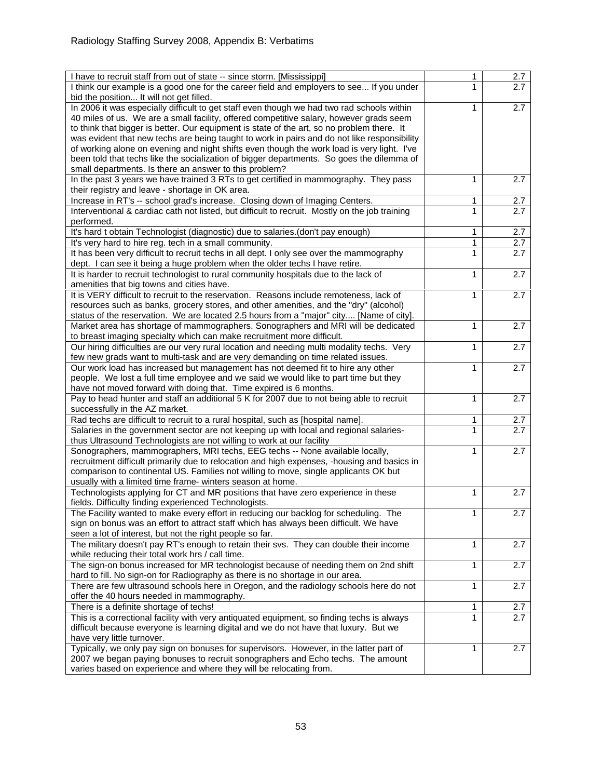| I have to recruit staff from out of state -- since storm. [Mississippi]                                                                                                          | 1 | 2.7              |
|----------------------------------------------------------------------------------------------------------------------------------------------------------------------------------|---|------------------|
| I think our example is a good one for the career field and employers to see If you under<br>bid the position It will not get filled.                                             | 1 | 2.7              |
| In 2006 it was especially difficult to get staff even though we had two rad schools within                                                                                       | 1 | $\overline{2.7}$ |
| 40 miles of us. We are a small facility, offered competitive salary, however grads seem                                                                                          |   |                  |
| to think that bigger is better. Our equipment is state of the art, so no problem there. It                                                                                       |   |                  |
| was evident that new techs are being taught to work in pairs and do not like responsibility                                                                                      |   |                  |
| of working alone on evening and night shifts even though the work load is very light. I've                                                                                       |   |                  |
| been told that techs like the socialization of bigger departments. So goes the dilemma of                                                                                        |   |                  |
| small departments. Is there an answer to this problem?                                                                                                                           |   |                  |
| In the past 3 years we have trained 3 RTs to get certified in mammography. They pass                                                                                             | 1 | 2.7              |
| their registry and leave - shortage in OK area.                                                                                                                                  |   |                  |
| Increase in RT's -- school grad's increase. Closing down of Imaging Centers.                                                                                                     | 1 | 2.7              |
| Interventional & cardiac cath not listed, but difficult to recruit. Mostly on the job training                                                                                   | 1 | 2.7              |
| performed.                                                                                                                                                                       |   |                  |
| It's hard t obtain Technologist (diagnostic) due to salaries.(don't pay enough)                                                                                                  | 1 | 2.7              |
| It's very hard to hire reg. tech in a small community.                                                                                                                           | 1 | 2.7              |
| It has been very difficult to recruit techs in all dept. I only see over the mammography                                                                                         | 1 | 2.7              |
| dept. I can see it being a huge problem when the older techs I have retire.                                                                                                      |   |                  |
| It is harder to recruit technologist to rural community hospitals due to the lack of                                                                                             | 1 | $\overline{2.7}$ |
| amenities that big towns and cities have.                                                                                                                                        |   |                  |
| It is VERY difficult to recruit to the reservation. Reasons include remoteness, lack of                                                                                          | 1 | 2.7              |
|                                                                                                                                                                                  |   |                  |
| resources such as banks, grocery stores, and other amenities, and the "dry" (alcohol)<br>status of the reservation. We are located 2.5 hours from a "major" city [Name of city]. |   |                  |
|                                                                                                                                                                                  | 1 | $\overline{2.7}$ |
| Market area has shortage of mammographers. Sonographers and MRI will be dedicated<br>to breast imaging specialty which can make recruitment more difficult.                      |   |                  |
|                                                                                                                                                                                  |   | 2.7              |
| Our hiring difficulties are our very rural location and needing multi modality techs. Very                                                                                       | 1 |                  |
| few new grads want to multi-task and are very demanding on time related issues.                                                                                                  |   | $\overline{2.7}$ |
| Our work load has increased but management has not deemed fit to hire any other                                                                                                  | 1 |                  |
| people. We lost a full time employee and we said we would like to part time but they                                                                                             |   |                  |
| have not moved forward with doing that. Time expired is 6 months.                                                                                                                |   |                  |
| Pay to head hunter and staff an additional 5 K for 2007 due to not being able to recruit                                                                                         | 1 | 2.7              |
| successfully in the AZ market.                                                                                                                                                   |   |                  |
| Rad techs are difficult to recruit to a rural hospital, such as [hospital name].                                                                                                 | 1 | 2.7              |
| Salaries in the government sector are not keeping up with local and regional salaries-                                                                                           | 1 | 2.7              |
| thus Ultrasound Technologists are not willing to work at our facility                                                                                                            |   |                  |
| Sonographers, mammographers, MRI techs, EEG techs -- None available locally,                                                                                                     | 1 | $\overline{2.7}$ |
| recruitment difficult primarily due to relocation and high expenses, -housing and basics in                                                                                      |   |                  |
| comparison to continental US. Families not willing to move, single applicants OK but                                                                                             |   |                  |
| usually with a limited time frame- winters season at home.                                                                                                                       |   |                  |
| Technologists applying for CT and MR positions that have zero experience in these                                                                                                | 1 | 2.7              |
| fields. Difficulty finding experienced Technologists.                                                                                                                            |   |                  |
| The Facility wanted to make every effort in reducing our backlog for scheduling. The                                                                                             | 1 | 2.7              |
| sign on bonus was an effort to attract staff which has always been difficult. We have                                                                                            |   |                  |
| seen a lot of interest, but not the right people so far.                                                                                                                         |   |                  |
| The military doesn't pay RT's enough to retain their svs. They can double their income                                                                                           | 1 | 2.7              |
| while reducing their total work hrs / call time.                                                                                                                                 |   |                  |
| The sign-on bonus increased for MR technologist because of needing them on 2nd shift                                                                                             | 1 | 2.7              |
| hard to fill. No sign-on for Radiography as there is no shortage in our area.                                                                                                    |   |                  |
| There are few ultrasound schools here in Oregon, and the radiology schools here do not                                                                                           | 1 | 2.7              |
| offer the 40 hours needed in mammography.                                                                                                                                        |   |                  |
| There is a definite shortage of techs!                                                                                                                                           | 1 | 2.7              |
| This is a correctional facility with very antiquated equipment, so finding techs is always                                                                                       | 1 | 2.7              |
| difficult because everyone is learning digital and we do not have that luxury. But we                                                                                            |   |                  |
| have very little turnover.                                                                                                                                                       |   |                  |
| Typically, we only pay sign on bonuses for supervisors. However, in the latter part of                                                                                           | 1 | 2.7              |
| 2007 we began paying bonuses to recruit sonographers and Echo techs. The amount                                                                                                  |   |                  |
| varies based on experience and where they will be relocating from.                                                                                                               |   |                  |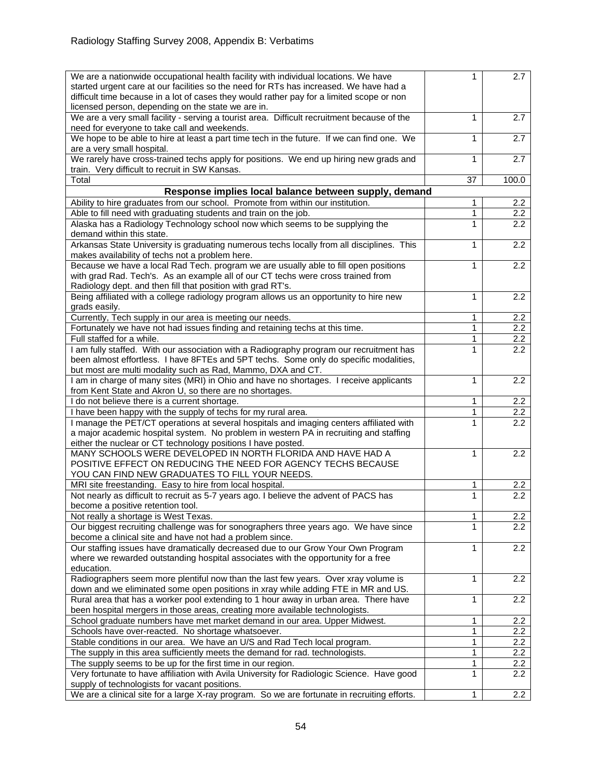| We are a nationwide occupational health facility with individual locations. We have<br>started urgent care at our facilities so the need for RTs has increased. We have had a<br>difficult time because in a lot of cases they would rather pay for a limited scope or non<br>licensed person, depending on the state we are in. | 1  | 2.7              |
|----------------------------------------------------------------------------------------------------------------------------------------------------------------------------------------------------------------------------------------------------------------------------------------------------------------------------------|----|------------------|
| We are a very small facility - serving a tourist area. Difficult recruitment because of the<br>need for everyone to take call and weekends.                                                                                                                                                                                      | 1  | 2.7              |
| We hope to be able to hire at least a part time tech in the future. If we can find one. We<br>are a very small hospital.                                                                                                                                                                                                         | 1  | 2.7              |
| We rarely have cross-trained techs apply for positions. We end up hiring new grads and<br>train. Very difficult to recruit in SW Kansas.                                                                                                                                                                                         | 1  | 2.7              |
| Total                                                                                                                                                                                                                                                                                                                            | 37 | 100.0            |
| Response implies local balance between supply, demand                                                                                                                                                                                                                                                                            |    |                  |
| Ability to hire graduates from our school. Promote from within our institution.                                                                                                                                                                                                                                                  | 1  | 2.2              |
| Able to fill need with graduating students and train on the job.                                                                                                                                                                                                                                                                 | 1  | 2.2              |
| Alaska has a Radiology Technology school now which seems to be supplying the<br>demand within this state.                                                                                                                                                                                                                        | 1  | $2.2^{\circ}$    |
| Arkansas State University is graduating numerous techs locally from all disciplines. This<br>makes availability of techs not a problem here.                                                                                                                                                                                     | 1  | 2.2              |
| Because we have a local Rad Tech. program we are usually able to fill open positions<br>with grad Rad. Tech's. As an example all of our CT techs were cross trained from<br>Radiology dept. and then fill that position with grad RT's.                                                                                          | 1  | 2.2              |
| Being affiliated with a college radiology program allows us an opportunity to hire new<br>grads easily.                                                                                                                                                                                                                          | 1  | 2.2              |
| Currently, Tech supply in our area is meeting our needs.                                                                                                                                                                                                                                                                         | 1  | 2.2              |
| Fortunately we have not had issues finding and retaining techs at this time.                                                                                                                                                                                                                                                     | 1  | 2.2              |
| Full staffed for a while.                                                                                                                                                                                                                                                                                                        | 1  | 2.2              |
| I am fully staffed. With our association with a Radiography program our recruitment has<br>been almost effortless. I have 8FTEs and 5PT techs. Some only do specific modalities,<br>but most are multi modality such as Rad, Mammo, DXA and CT.                                                                                  | 1  | 2.2              |
| I am in charge of many sites (MRI) in Ohio and have no shortages. I receive applicants<br>from Kent State and Akron U, so there are no shortages.                                                                                                                                                                                | 1  | 2.2              |
| I do not believe there is a current shortage.                                                                                                                                                                                                                                                                                    | 1  | 2.2              |
| I have been happy with the supply of techs for my rural area.                                                                                                                                                                                                                                                                    | 1  | 2.2              |
| I manage the PET/CT operations at several hospitals and imaging centers affiliated with<br>a major academic hospital system. No problem in western PA in recruiting and staffing<br>either the nuclear or CT technology positions I have posted.                                                                                 | 1  | 2.2              |
| MANY SCHOOLS WERE DEVELOPED IN NORTH FLORIDA AND HAVE HAD A<br>POSITIVE EFFECT ON REDUCING THE NEED FOR AGENCY TECHS BECAUSE<br>YOU CAN FIND NEW GRADUATES TO FILL YOUR NEEDS.                                                                                                                                                   | 1  | 2.2              |
| MRI site freestanding. Easy to hire from local hospital.                                                                                                                                                                                                                                                                         | 1  | 2.2              |
| Not nearly as difficult to recruit as 5-7 years ago. I believe the advent of PACS has                                                                                                                                                                                                                                            | 1  | $2.2^{\circ}$    |
| become a positive retention tool.                                                                                                                                                                                                                                                                                                |    |                  |
| Not really a shortage is West Texas.                                                                                                                                                                                                                                                                                             | 1  | 2.2              |
| Our biggest recruiting challenge was for sonographers three years ago. We have since<br>become a clinical site and have not had a problem since.                                                                                                                                                                                 | 1  | 2.2              |
| Our staffing issues have dramatically decreased due to our Grow Your Own Program<br>where we rewarded outstanding hospital associates with the opportunity for a free<br>education.                                                                                                                                              | 1  | $2.2\phantom{0}$ |
| Radiographers seem more plentiful now than the last few years. Over xray volume is<br>down and we eliminated some open positions in xray while adding FTE in MR and US.                                                                                                                                                          | 1  | 2.2              |
| Rural area that has a worker pool extending to 1 hour away in urban area. There have<br>been hospital mergers in those areas, creating more available technologists.                                                                                                                                                             | 1  | 2.2              |
| School graduate numbers have met market demand in our area. Upper Midwest.                                                                                                                                                                                                                                                       | 1  | 2.2              |
| Schools have over-reacted. No shortage whatsoever.                                                                                                                                                                                                                                                                               | 1  | $2.2\,$          |
| Stable conditions in our area. We have an U/S and Rad Tech local program.                                                                                                                                                                                                                                                        | 1  | $2.2\phantom{0}$ |
| The supply in this area sufficiently meets the demand for rad. technologists.                                                                                                                                                                                                                                                    | 1  | 2.2              |
| The supply seems to be up for the first time in our region.                                                                                                                                                                                                                                                                      | 1  | 2.2              |
| Very fortunate to have affiliation with Avila University for Radiologic Science. Have good<br>supply of technologists for vacant positions.                                                                                                                                                                                      | 1  | $2.2\phantom{0}$ |
| We are a clinical site for a large X-ray program. So we are fortunate in recruiting efforts.                                                                                                                                                                                                                                     | 1  | 2.2              |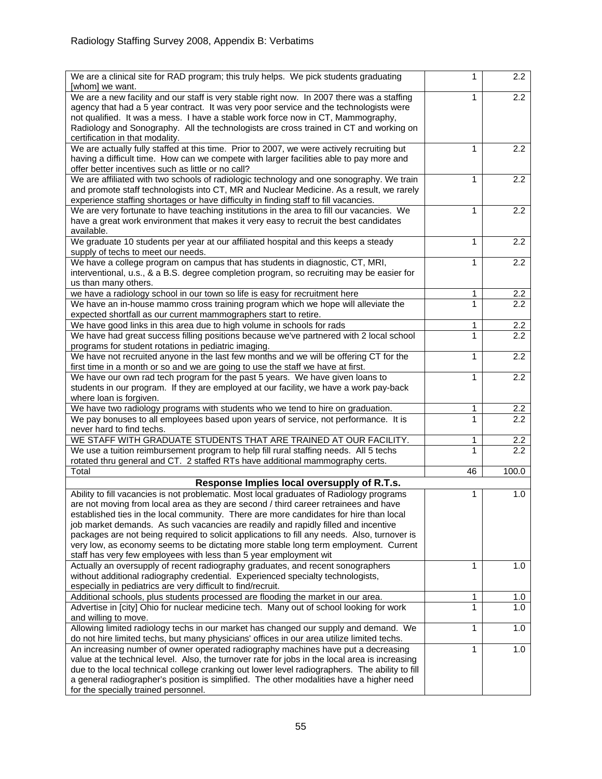| We are a clinical site for RAD program; this truly helps. We pick students graduating                                                                            | 1      | 2.2                     |
|------------------------------------------------------------------------------------------------------------------------------------------------------------------|--------|-------------------------|
| [whom] we want.                                                                                                                                                  |        |                         |
| We are a new facility and our staff is very stable right now. In 2007 there was a staffing                                                                       | 1      | $\overline{2.2}$        |
| agency that had a 5 year contract. It was very poor service and the technologists were                                                                           |        |                         |
| not qualified. It was a mess. I have a stable work force now in CT, Mammography,                                                                                 |        |                         |
| Radiology and Sonography. All the technologists are cross trained in CT and working on                                                                           |        |                         |
| certification in that modality.                                                                                                                                  |        |                         |
| We are actually fully staffed at this time. Prior to 2007, we were actively recruiting but                                                                       | 1      | 2.2                     |
| having a difficult time. How can we compete with larger facilities able to pay more and                                                                          |        |                         |
| offer better incentives such as little or no call?                                                                                                               |        |                         |
| We are affiliated with two schools of radiologic technology and one sonography. We train                                                                         | 1      | $\overline{2.2}$        |
| and promote staff technologists into CT, MR and Nuclear Medicine. As a result, we rarely                                                                         |        |                         |
| experience staffing shortages or have difficulty in finding staff to fill vacancies.                                                                             |        |                         |
| We are very fortunate to have teaching institutions in the area to fill our vacancies. We                                                                        | 1      | 2.2                     |
| have a great work environment that makes it very easy to recruit the best candidates                                                                             |        |                         |
| available.                                                                                                                                                       |        |                         |
| We graduate 10 students per year at our affiliated hospital and this keeps a steady                                                                              | 1      | 2.2                     |
| supply of techs to meet our needs.                                                                                                                               |        |                         |
| We have a college program on campus that has students in diagnostic, CT, MRI,                                                                                    | 1      | $\overline{2.2}$        |
| interventional, u.s., & a B.S. degree completion program, so recruiting may be easier for                                                                        |        |                         |
| us than many others.                                                                                                                                             |        |                         |
| we have a radiology school in our town so life is easy for recruitment here<br>We have an in-house mammo cross training program which we hope will alleviate the | 1<br>1 | 2.2<br>$\overline{2.2}$ |
|                                                                                                                                                                  |        |                         |
| expected shortfall as our current mammographers start to retire.<br>We have good links in this area due to high volume in schools for rads                       |        |                         |
| We have had great success filling positions because we've partnered with 2 local school                                                                          | 1<br>1 | 2.2<br>2.2              |
| programs for student rotations in pediatric imaging.                                                                                                             |        |                         |
| We have not recruited anyone in the last few months and we will be offering CT for the                                                                           | 1      | $\overline{2.2}$        |
| first time in a month or so and we are going to use the staff we have at first.                                                                                  |        |                         |
| We have our own rad tech program for the past 5 years. We have given loans to                                                                                    | 1      | 2.2                     |
| students in our program. If they are employed at our facility, we have a work pay-back                                                                           |        |                         |
| where loan is forgiven.                                                                                                                                          |        |                         |
| We have two radiology programs with students who we tend to hire on graduation.                                                                                  | 1      | 2.2                     |
| We pay bonuses to all employees based upon years of service, not performance. It is                                                                              | 1      | 2.2                     |
| never hard to find techs.                                                                                                                                        |        |                         |
| WE STAFF WITH GRADUATE STUDENTS THAT ARE TRAINED AT OUR FACILITY.                                                                                                | 1      | $\overline{2.2}$        |
| We use a tuition reimbursement program to help fill rural staffing needs. All 5 techs                                                                            | 1      | 2.2                     |
| rotated thru general and CT. 2 staffed RTs have additional mammography certs.                                                                                    |        |                         |
| Total                                                                                                                                                            | 46     | 100.0                   |
| Response Implies local oversupply of R.T.s.                                                                                                                      |        |                         |
| Ability to fill vacancies is not problematic. Most local graduates of Radiology programs                                                                         | 1      | 1.0                     |
| are not moving from local area as they are second / third career retrainees and have                                                                             |        |                         |
| established ties in the local community. There are more candidates for hire than local                                                                           |        |                         |
| job market demands. As such vacancies are readily and rapidly filled and incentive                                                                               |        |                         |
| packages are not being required to solicit applications to fill any needs. Also, turnover is                                                                     |        |                         |
| very low, as economy seems to be dictating more stable long term employment. Current                                                                             |        |                         |
| staff has very few employees with less than 5 year employment wit                                                                                                |        |                         |
| Actually an oversupply of recent radiography graduates, and recent sonographers                                                                                  | 1      | 1.0                     |
| without additional radiography credential. Experienced specialty technologists,                                                                                  |        |                         |
| especially in pediatrics are very difficult to find/recruit.                                                                                                     |        |                         |
| Additional schools, plus students processed are flooding the market in our area.                                                                                 | 1      | 1.0                     |
| Advertise in [city] Ohio for nuclear medicine tech. Many out of school looking for work                                                                          | 1      | 1.0                     |
| and willing to move.                                                                                                                                             |        |                         |
| Allowing limited radiology techs in our market has changed our supply and demand. We                                                                             | 1      | 1.0                     |
| do not hire limited techs, but many physicians' offices in our area utilize limited techs.                                                                       |        |                         |
| An increasing number of owner operated radiography machines have put a decreasing                                                                                | 1      | 1.0                     |
| value at the technical level. Also, the turnover rate for jobs in the local area is increasing                                                                   |        |                         |
| due to the local technical college cranking out lower level radiographers. The ability to fill                                                                   |        |                         |
| a general radiographer's position is simplified. The other modalities have a higher need                                                                         |        |                         |
| for the specially trained personnel.                                                                                                                             |        |                         |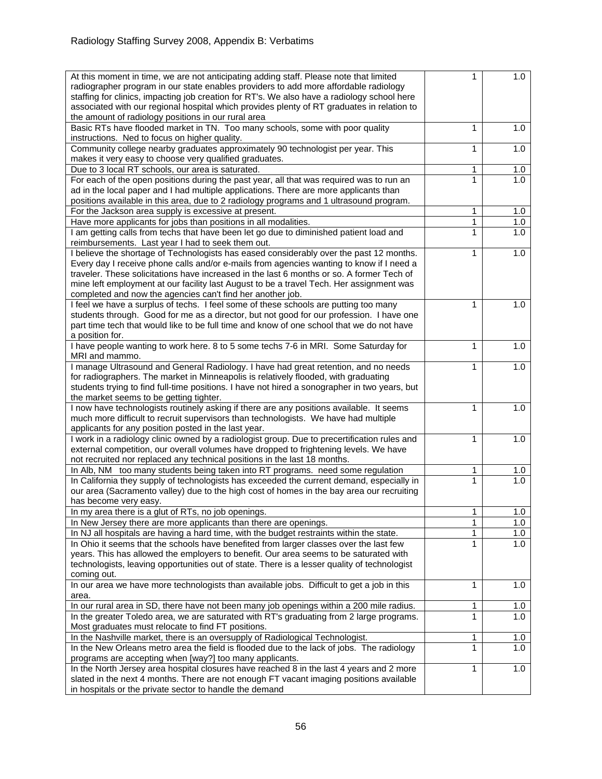| At this moment in time, we are not anticipating adding staff. Please note that limited<br>radiographer program in our state enables providers to add more affordable radiology<br>staffing for clinics, impacting job creation for RT's. We also have a radiology school here<br>associated with our regional hospital which provides plenty of RT graduates in relation to<br>the amount of radiology positions in our rural area         | 1            | 1.0 |
|--------------------------------------------------------------------------------------------------------------------------------------------------------------------------------------------------------------------------------------------------------------------------------------------------------------------------------------------------------------------------------------------------------------------------------------------|--------------|-----|
| Basic RTs have flooded market in TN. Too many schools, some with poor quality<br>instructions. Ned to focus on higher quality.                                                                                                                                                                                                                                                                                                             | 1            | 1.0 |
| Community college nearby graduates approximately 90 technologist per year. This<br>makes it very easy to choose very qualified graduates.                                                                                                                                                                                                                                                                                                  | 1            | 1.0 |
| Due to 3 local RT schools, our area is saturated.                                                                                                                                                                                                                                                                                                                                                                                          | 1            | 1.0 |
| For each of the open positions during the past year, all that was required was to run an<br>ad in the local paper and I had multiple applications. There are more applicants than<br>positions available in this area, due to 2 radiology programs and 1 ultrasound program.                                                                                                                                                               | 1            | 1.0 |
| For the Jackson area supply is excessive at present.                                                                                                                                                                                                                                                                                                                                                                                       | 1            | 1.0 |
| Have more applicants for jobs than positions in all modalities.                                                                                                                                                                                                                                                                                                                                                                            | 1            | 1.0 |
| I am getting calls from techs that have been let go due to diminished patient load and<br>reimbursements. Last year I had to seek them out.                                                                                                                                                                                                                                                                                                | 1            | 1.0 |
| I believe the shortage of Technologists has eased considerably over the past 12 months.<br>Every day I receive phone calls and/or e-mails from agencies wanting to know if I need a<br>traveler. These solicitations have increased in the last 6 months or so. A former Tech of<br>mine left employment at our facility last August to be a travel Tech. Her assignment was<br>completed and now the agencies can't find her another job. | 1            | 1.0 |
| I feel we have a surplus of techs. I feel some of these schools are putting too many<br>students through. Good for me as a director, but not good for our profession. I have one<br>part time tech that would like to be full time and know of one school that we do not have<br>a position for.                                                                                                                                           | 1            | 1.0 |
| I have people wanting to work here. 8 to 5 some techs 7-6 in MRI. Some Saturday for<br>MRI and mammo.                                                                                                                                                                                                                                                                                                                                      | 1            | 1.0 |
| I manage Ultrasound and General Radiology. I have had great retention, and no needs<br>for radiographers. The market in Minneapolis is relatively flooded, with graduating<br>students trying to find full-time positions. I have not hired a sonographer in two years, but<br>the market seems to be getting tighter.                                                                                                                     | 1            | 1.0 |
| I now have technologists routinely asking if there are any positions available. It seems<br>much more difficult to recruit supervisors than technologists. We have had multiple<br>applicants for any position posted in the last year.                                                                                                                                                                                                    | 1            | 1.0 |
| I work in a radiology clinic owned by a radiologist group. Due to precertification rules and<br>external competition, our overall volumes have dropped to frightening levels. We have<br>not recruited nor replaced any technical positions in the last 18 months.                                                                                                                                                                         | $\mathbf{1}$ | 1.0 |
| In Alb, NM too many students being taken into RT programs. need some regulation                                                                                                                                                                                                                                                                                                                                                            | 1            | 1.0 |
| In California they supply of technologists has exceeded the current demand, especially in<br>our area (Sacramento valley) due to the high cost of homes in the bay area our recruiting<br>has become very easy.                                                                                                                                                                                                                            | 1            | 1.0 |
| In my area there is a glut of RTs, no job openings.                                                                                                                                                                                                                                                                                                                                                                                        | 1            | 1.0 |
| In New Jersey there are more applicants than there are openings.                                                                                                                                                                                                                                                                                                                                                                           | 1            | 1.0 |
| In NJ all hospitals are having a hard time, with the budget restraints within the state.                                                                                                                                                                                                                                                                                                                                                   | 1            | 1.0 |
| In Ohio it seems that the schools have benefited from larger classes over the last few<br>years. This has allowed the employers to benefit. Our area seems to be saturated with<br>technologists, leaving opportunities out of state. There is a lesser quality of technologist<br>coming out.                                                                                                                                             | 1            | 1.0 |
| In our area we have more technologists than available jobs. Difficult to get a job in this<br>area.                                                                                                                                                                                                                                                                                                                                        | 1            | 1.0 |
| In our rural area in SD, there have not been many job openings within a 200 mile radius.                                                                                                                                                                                                                                                                                                                                                   | 1            | 1.0 |
| In the greater Toledo area, we are saturated with RT's graduating from 2 large programs.<br>Most graduates must relocate to find FT positions.                                                                                                                                                                                                                                                                                             | 1            | 1.0 |
| In the Nashville market, there is an oversupply of Radiological Technologist.                                                                                                                                                                                                                                                                                                                                                              | 1            | 1.0 |
| In the New Orleans metro area the field is flooded due to the lack of jobs. The radiology<br>programs are accepting when [way?] too many applicants.                                                                                                                                                                                                                                                                                       | 1            | 1.0 |
| In the North Jersey area hospital closures have reached 8 in the last 4 years and 2 more<br>slated in the next 4 months. There are not enough FT vacant imaging positions available<br>in hospitals or the private sector to handle the demand                                                                                                                                                                                             | 1            | 1.0 |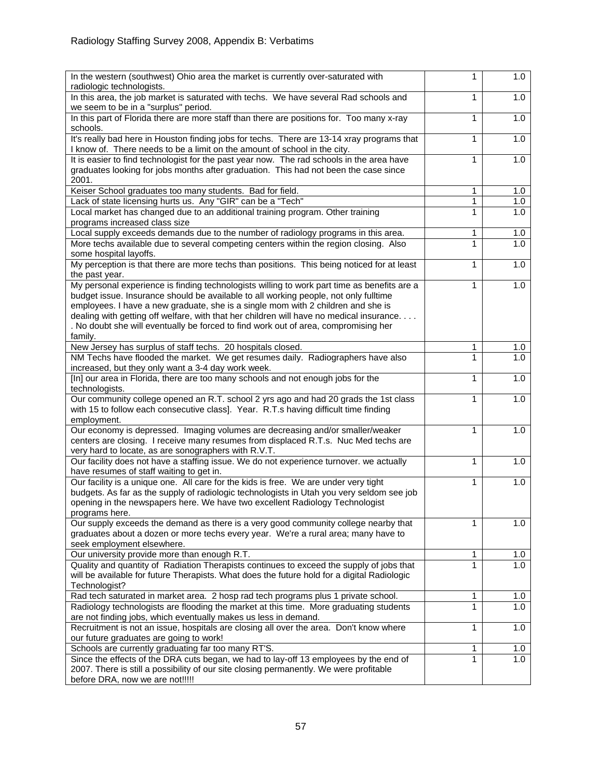| In the western (southwest) Ohio area the market is currently over-saturated with<br>radiologic technologists.                                                                                                                                                                                                                                                                                                                                                         | 1            | 1.0 |
|-----------------------------------------------------------------------------------------------------------------------------------------------------------------------------------------------------------------------------------------------------------------------------------------------------------------------------------------------------------------------------------------------------------------------------------------------------------------------|--------------|-----|
| In this area, the job market is saturated with techs. We have several Rad schools and<br>we seem to be in a "surplus" period.                                                                                                                                                                                                                                                                                                                                         | 1            | 1.0 |
| In this part of Florida there are more staff than there are positions for. Too many x-ray<br>schools.                                                                                                                                                                                                                                                                                                                                                                 | 1            | 1.0 |
| It's really bad here in Houston finding jobs for techs. There are 13-14 xray programs that<br>I know of. There needs to be a limit on the amount of school in the city.                                                                                                                                                                                                                                                                                               | 1            | 1.0 |
| It is easier to find technologist for the past year now. The rad schools in the area have<br>graduates looking for jobs months after graduation. This had not been the case since<br>2001.                                                                                                                                                                                                                                                                            | 1            | 1.0 |
| Keiser School graduates too many students. Bad for field.                                                                                                                                                                                                                                                                                                                                                                                                             | 1            | 1.0 |
| Lack of state licensing hurts us. Any "GIR" can be a "Tech"                                                                                                                                                                                                                                                                                                                                                                                                           | $\mathbf{1}$ | 1.0 |
| Local market has changed due to an additional training program. Other training<br>programs increased class size                                                                                                                                                                                                                                                                                                                                                       | 1            | 1.0 |
| Local supply exceeds demands due to the number of radiology programs in this area.                                                                                                                                                                                                                                                                                                                                                                                    | 1            | 1.0 |
| More techs available due to several competing centers within the region closing. Also<br>some hospital layoffs.                                                                                                                                                                                                                                                                                                                                                       | 1            | 1.0 |
| My perception is that there are more techs than positions. This being noticed for at least<br>the past year.                                                                                                                                                                                                                                                                                                                                                          | 1            | 1.0 |
| My personal experience is finding technologists willing to work part time as benefits are a<br>budget issue. Insurance should be available to all working people, not only fulltime<br>employees. I have a new graduate, she is a single mom with 2 children and she is<br>dealing with getting off welfare, with that her children will have no medical insurance.<br>. No doubt she will eventually be forced to find work out of area, compromising her<br>family. | 1            | 1.0 |
| New Jersey has surplus of staff techs. 20 hospitals closed.                                                                                                                                                                                                                                                                                                                                                                                                           | 1            | 1.0 |
| NM Techs have flooded the market. We get resumes daily. Radiographers have also<br>increased, but they only want a 3-4 day work week.                                                                                                                                                                                                                                                                                                                                 | 1            | 1.0 |
| [In] our area in Florida, there are too many schools and not enough jobs for the<br>technologists.                                                                                                                                                                                                                                                                                                                                                                    | 1            | 1.0 |
| Our community college opened an R.T. school 2 yrs ago and had 20 grads the 1st class<br>with 15 to follow each consecutive class]. Year. R.T.s having difficult time finding<br>employment.                                                                                                                                                                                                                                                                           | 1            | 1.0 |
| Our economy is depressed. Imaging volumes are decreasing and/or smaller/weaker<br>centers are closing. I receive many resumes from displaced R.T.s. Nuc Med techs are<br>very hard to locate, as are sonographers with R.V.T.                                                                                                                                                                                                                                         | 1            | 1.0 |
| Our facility does not have a staffing issue. We do not experience turnover. we actually<br>have resumes of staff waiting to get in.                                                                                                                                                                                                                                                                                                                                   | 1            | 1.0 |
| Our facility is a unique one. All care for the kids is free. We are under very tight<br>budgets. As far as the supply of radiologic technologists in Utah you very seldom see job<br>opening in the newspapers here. We have two excellent Radiology Technologist<br>programs here.                                                                                                                                                                                   | 1            | 1.0 |
| Our supply exceeds the demand as there is a very good community college nearby that<br>graduates about a dozen or more techs every year. We're a rural area; many have to<br>seek employment elsewhere.                                                                                                                                                                                                                                                               | 1            | 1.0 |
| Our university provide more than enough R.T.                                                                                                                                                                                                                                                                                                                                                                                                                          | 1            | 1.0 |
| Quality and quantity of Radiation Therapists continues to exceed the supply of jobs that<br>will be available for future Therapists. What does the future hold for a digital Radiologic<br>Technologist?                                                                                                                                                                                                                                                              | 1            | 1.0 |
| Rad tech saturated in market area. 2 hosp rad tech programs plus 1 private school.                                                                                                                                                                                                                                                                                                                                                                                    | 1            | 1.0 |
| Radiology technologists are flooding the market at this time. More graduating students<br>are not finding jobs, which eventually makes us less in demand.                                                                                                                                                                                                                                                                                                             | 1            | 1.0 |
| Recruitment is not an issue, hospitals are closing all over the area. Don't know where<br>our future graduates are going to work!                                                                                                                                                                                                                                                                                                                                     | 1            | 1.0 |
| Schools are currently graduating far too many RT'S.                                                                                                                                                                                                                                                                                                                                                                                                                   | 1            | 1.0 |
| Since the effects of the DRA cuts began, we had to lay-off 13 employees by the end of<br>2007. There is still a possibility of our site closing permanently. We were profitable<br>before DRA, now we are not!!!!!                                                                                                                                                                                                                                                    | 1            | 1.0 |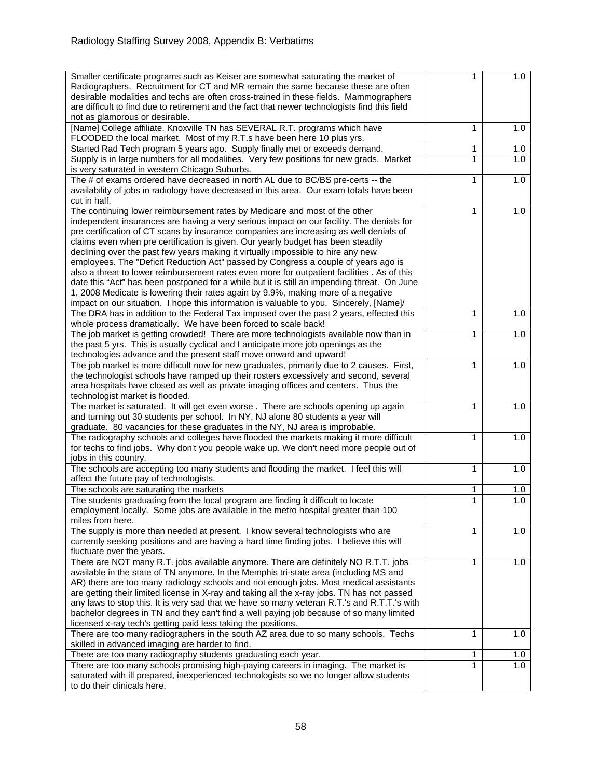| Smaller certificate programs such as Keiser are somewhat saturating the market of<br>Radiographers. Recruitment for CT and MR remain the same because these are often<br>desirable modalities and techs are often cross-trained in these fields. Mammographers<br>are difficult to find due to retirement and the fact that newer technologists find this field<br>not as glamorous or desirable.                                                                                                                                                                                                                                                                                                                                                                                                                                                                                                            | 1 | 1.0        |
|--------------------------------------------------------------------------------------------------------------------------------------------------------------------------------------------------------------------------------------------------------------------------------------------------------------------------------------------------------------------------------------------------------------------------------------------------------------------------------------------------------------------------------------------------------------------------------------------------------------------------------------------------------------------------------------------------------------------------------------------------------------------------------------------------------------------------------------------------------------------------------------------------------------|---|------------|
| [Name] College affiliate. Knoxville TN has SEVERAL R.T. programs which have<br>FLOODED the local market. Most of my R.T.s have been here 10 plus yrs.                                                                                                                                                                                                                                                                                                                                                                                                                                                                                                                                                                                                                                                                                                                                                        | 1 | 1.0        |
| Started Rad Tech program 5 years ago. Supply finally met or exceeds demand.                                                                                                                                                                                                                                                                                                                                                                                                                                                                                                                                                                                                                                                                                                                                                                                                                                  | 1 | 1.0        |
| Supply is in large numbers for all modalities. Very few positions for new grads. Market<br>is very saturated in western Chicago Suburbs.                                                                                                                                                                                                                                                                                                                                                                                                                                                                                                                                                                                                                                                                                                                                                                     | 1 | 1.0        |
| The # of exams ordered have decreased in north AL due to BC/BS pre-certs -- the<br>availability of jobs in radiology have decreased in this area. Our exam totals have been<br>cut in half.                                                                                                                                                                                                                                                                                                                                                                                                                                                                                                                                                                                                                                                                                                                  | 1 | 1.0        |
| The continuing lower reimbursement rates by Medicare and most of the other<br>independent insurances are having a very serious impact on our facility. The denials for<br>pre certification of CT scans by insurance companies are increasing as well denials of<br>claims even when pre certification is given. Our yearly budget has been steadily<br>declining over the past few years making it virtually impossible to hire any new<br>employees. The "Deficit Reduction Act" passed by Congress a couple of years ago is<br>also a threat to lower reimbursement rates even more for outpatient facilities . As of this<br>date this "Act" has been postponed for a while but it is still an impending threat. On June<br>1, 2008 Medicate is lowering their rates again by 9.9%, making more of a negative<br>impact on our situation. I hope this information is valuable to you. Sincerely, [Name]/ | 1 | 1.0        |
| The DRA has in addition to the Federal Tax imposed over the past 2 years, effected this<br>whole process dramatically. We have been forced to scale back!                                                                                                                                                                                                                                                                                                                                                                                                                                                                                                                                                                                                                                                                                                                                                    | 1 | 1.0        |
| The job market is getting crowded! There are more technologists available now than in<br>the past 5 yrs. This is usually cyclical and I anticipate more job openings as the<br>technologies advance and the present staff move onward and upward!                                                                                                                                                                                                                                                                                                                                                                                                                                                                                                                                                                                                                                                            | 1 | 1.0        |
| The job market is more difficult now for new graduates, primarily due to 2 causes. First,<br>the technologist schools have ramped up their rosters excessively and second, several<br>area hospitals have closed as well as private imaging offices and centers. Thus the<br>technologist market is flooded.                                                                                                                                                                                                                                                                                                                                                                                                                                                                                                                                                                                                 | 1 | 1.0        |
| The market is saturated. It will get even worse. There are schools opening up again<br>and turning out 30 students per school. In NY, NJ alone 80 students a year will<br>graduate. 80 vacancies for these graduates in the NY, NJ area is improbable.                                                                                                                                                                                                                                                                                                                                                                                                                                                                                                                                                                                                                                                       | 1 | 1.0        |
| The radiography schools and colleges have flooded the markets making it more difficult<br>for techs to find jobs. Why don't you people wake up. We don't need more people out of<br>jobs in this country.                                                                                                                                                                                                                                                                                                                                                                                                                                                                                                                                                                                                                                                                                                    | 1 | 1.0        |
| The schools are accepting too many students and flooding the market. I feel this will<br>affect the future pay of technologists.                                                                                                                                                                                                                                                                                                                                                                                                                                                                                                                                                                                                                                                                                                                                                                             | 1 | 1.0        |
| The schools are saturating the markets                                                                                                                                                                                                                                                                                                                                                                                                                                                                                                                                                                                                                                                                                                                                                                                                                                                                       | 1 | <u>1.0</u> |
| The students graduating from the local program are finding it difficult to locate<br>employment locally. Some jobs are available in the metro hospital greater than 100<br>miles from here.                                                                                                                                                                                                                                                                                                                                                                                                                                                                                                                                                                                                                                                                                                                  | 1 | 1.0        |
| The supply is more than needed at present. I know several technologists who are<br>currently seeking positions and are having a hard time finding jobs. I believe this will<br>fluctuate over the years.                                                                                                                                                                                                                                                                                                                                                                                                                                                                                                                                                                                                                                                                                                     | 1 | 1.0        |
| There are NOT many R.T. jobs available anymore. There are definitely NO R.T.T. jobs<br>available in the state of TN anymore. In the Memphis tri-state area (including MS and<br>AR) there are too many radiology schools and not enough jobs. Most medical assistants<br>are getting their limited license in X-ray and taking all the x-ray jobs. TN has not passed<br>any laws to stop this. It is very sad that we have so many veteran R.T.'s and R.T.T.'s with<br>bachelor degrees in TN and they can't find a well paying job because of so many limited<br>licensed x-ray tech's getting paid less taking the positions.                                                                                                                                                                                                                                                                              | 1 | 1.0        |
| There are too many radiographers in the south AZ area due to so many schools. Techs<br>skilled in advanced imaging are harder to find.                                                                                                                                                                                                                                                                                                                                                                                                                                                                                                                                                                                                                                                                                                                                                                       | 1 | 1.0        |
| There are too many radiography students graduating each year.                                                                                                                                                                                                                                                                                                                                                                                                                                                                                                                                                                                                                                                                                                                                                                                                                                                | 1 | 1.0        |
| There are too many schools promising high-paying careers in imaging. The market is<br>saturated with ill prepared, inexperienced technologists so we no longer allow students<br>to do their clinicals here.                                                                                                                                                                                                                                                                                                                                                                                                                                                                                                                                                                                                                                                                                                 | 1 | 1.0        |
|                                                                                                                                                                                                                                                                                                                                                                                                                                                                                                                                                                                                                                                                                                                                                                                                                                                                                                              |   |            |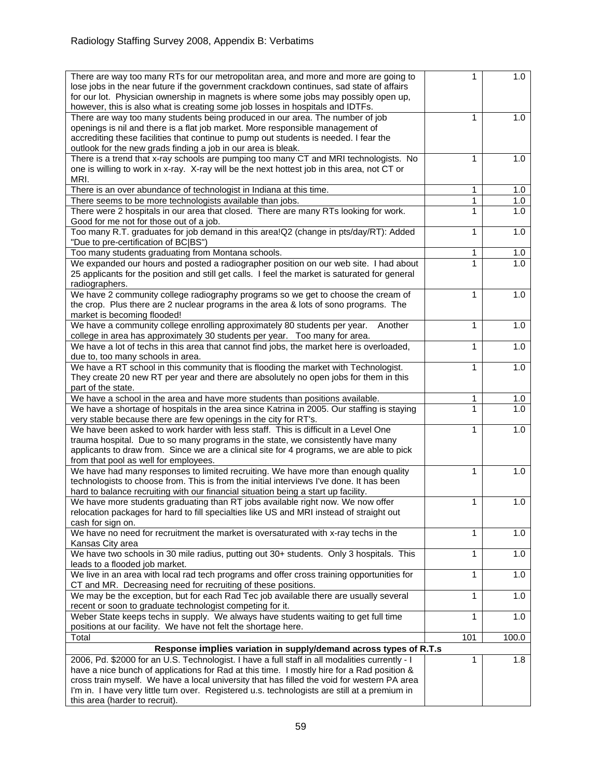| There are way too many RTs for our metropolitan area, and more and more are going to<br>lose jobs in the near future if the government crackdown continues, sad state of affairs<br>for our lot. Physician ownership in magnets is where some jobs may possibly open up,<br>however, this is also what is creating some job losses in hospitals and IDTFs.                                                                     | 1            | 1.0   |
|--------------------------------------------------------------------------------------------------------------------------------------------------------------------------------------------------------------------------------------------------------------------------------------------------------------------------------------------------------------------------------------------------------------------------------|--------------|-------|
| There are way too many students being produced in our area. The number of job<br>openings is nil and there is a flat job market. More responsible management of<br>accrediting these facilities that continue to pump out students is needed. I fear the<br>outlook for the new grads finding a job in our area is bleak.                                                                                                      | 1            | 1.0   |
| There is a trend that x-ray schools are pumping too many CT and MRI technologists. No<br>one is willing to work in x-ray. X-ray will be the next hottest job in this area, not CT or<br>MRI.                                                                                                                                                                                                                                   | $\mathbf{1}$ | 1.0   |
| There is an over abundance of technologist in Indiana at this time.                                                                                                                                                                                                                                                                                                                                                            | 1            | 1.0   |
| There seems to be more technologists available than jobs.                                                                                                                                                                                                                                                                                                                                                                      | 1            | 1.0   |
| There were 2 hospitals in our area that closed. There are many RTs looking for work.<br>Good for me not for those out of a job.                                                                                                                                                                                                                                                                                                | 1            | 1.0   |
| Too many R.T. graduates for job demand in this area!Q2 (change in pts/day/RT): Added<br>"Due to pre-certification of BC BS")                                                                                                                                                                                                                                                                                                   | $\mathbf{1}$ | 1.0   |
| Too many students graduating from Montana schools.                                                                                                                                                                                                                                                                                                                                                                             | 1            | 1.0   |
| We expanded our hours and posted a radiographer position on our web site. I had about<br>25 applicants for the position and still get calls. I feel the market is saturated for general<br>radiographers.                                                                                                                                                                                                                      | $\mathbf{1}$ | 1.0   |
| We have 2 community college radiography programs so we get to choose the cream of<br>the crop. Plus there are 2 nuclear programs in the area & lots of sono programs. The<br>market is becoming flooded!                                                                                                                                                                                                                       | $\mathbf{1}$ | 1.0   |
| We have a community college enrolling approximately 80 students per year.<br>Another<br>college in area has approximately 30 students per year. Too many for area.                                                                                                                                                                                                                                                             | $\mathbf{1}$ | 1.0   |
| We have a lot of techs in this area that cannot find jobs, the market here is overloaded,<br>due to, too many schools in area.                                                                                                                                                                                                                                                                                                 | 1            | 1.0   |
| We have a RT school in this community that is flooding the market with Technologist.<br>They create 20 new RT per year and there are absolutely no open jobs for them in this<br>part of the state.                                                                                                                                                                                                                            | 1            | 1.0   |
| We have a school in the area and have more students than positions available.                                                                                                                                                                                                                                                                                                                                                  | 1            | 1.0   |
| We have a shortage of hospitals in the area since Katrina in 2005. Our staffing is staying<br>very stable because there are few openings in the city for RT's.                                                                                                                                                                                                                                                                 | 1            | 1.0   |
| We have been asked to work harder with less staff. This is difficult in a Level One<br>trauma hospital. Due to so many programs in the state, we consistently have many<br>applicants to draw from. Since we are a clinical site for 4 programs, we are able to pick<br>from that pool as well for employees.                                                                                                                  | 1            | 1.0   |
| We have had many responses to limited recruiting. We have more than enough quality<br>technologists to choose from. This is from the initial interviews I've done. It has been<br>hard to balance recruiting with our financial situation being a start up facility.                                                                                                                                                           | 1            | 1.0   |
| We have more students graduating than RT jobs available right now. We now offer<br>relocation packages for hard to fill specialties like US and MRI instead of straight out<br>cash for sign on.                                                                                                                                                                                                                               | 1            | 1.0   |
| We have no need for recruitment the market is oversaturated with x-ray techs in the<br>Kansas City area                                                                                                                                                                                                                                                                                                                        | $\mathbf{1}$ | 1.0   |
| We have two schools in 30 mile radius, putting out 30+ students. Only 3 hospitals. This<br>leads to a flooded job market.                                                                                                                                                                                                                                                                                                      | 1            | 1.0   |
| We live in an area with local rad tech programs and offer cross training opportunities for<br>CT and MR. Decreasing need for recruiting of these positions.                                                                                                                                                                                                                                                                    | $\mathbf{1}$ | 1.0   |
| We may be the exception, but for each Rad Tec job available there are usually several<br>recent or soon to graduate technologist competing for it.                                                                                                                                                                                                                                                                             | $\mathbf{1}$ | 1.0   |
| Weber State keeps techs in supply. We always have students waiting to get full time<br>positions at our facility. We have not felt the shortage here.                                                                                                                                                                                                                                                                          | 1            | 1.0   |
| Total                                                                                                                                                                                                                                                                                                                                                                                                                          | 101          | 100.0 |
| Response implies variation in supply/demand across types of R.T.s                                                                                                                                                                                                                                                                                                                                                              |              |       |
| 2006, Pd. \$2000 for an U.S. Technologist. I have a full staff in all modalities currently - I<br>have a nice bunch of applications for Rad at this time. I mostly hire for a Rad position &<br>cross train myself. We have a local university that has filled the void for western PA area<br>I'm in. I have very little turn over. Registered u.s. technologists are still at a premium in<br>this area (harder to recruit). | 1            | 1.8   |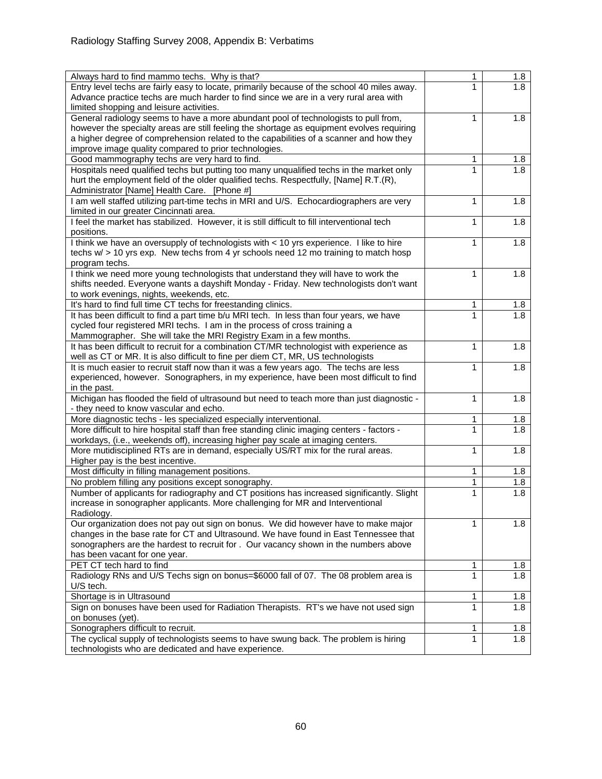| Always hard to find mammo techs. Why is that?                                                | 1 | 1.8              |
|----------------------------------------------------------------------------------------------|---|------------------|
| Entry level techs are fairly easy to locate, primarily because of the school 40 miles away.  | 1 | $\overline{1.8}$ |
| Advance practice techs are much harder to find since we are in a very rural area with        |   |                  |
| limited shopping and leisure activities.                                                     |   |                  |
| General radiology seems to have a more abundant pool of technologists to pull from,          | 1 | 1.8              |
| however the specialty areas are still feeling the shortage as equipment evolves requiring    |   |                  |
| a higher degree of comprehension related to the capabilities of a scanner and how they       |   |                  |
| improve image quality compared to prior technologies.                                        |   |                  |
| Good mammography techs are very hard to find.                                                | 1 | 1.8              |
| Hospitals need qualified techs but putting too many unqualified techs in the market only     | 1 | 1.8              |
| hurt the employment field of the older qualified techs. Respectfully, [Name] R.T.(R),        |   |                  |
| Administrator [Name] Health Care. [Phone #]                                                  |   |                  |
| I am well staffed utilizing part-time techs in MRI and U/S. Echocardiographers are very      | 1 | 1.8              |
| limited in our greater Cincinnati area.                                                      |   |                  |
| I feel the market has stabilized. However, it is still difficult to fill interventional tech | 1 | 1.8              |
| positions.                                                                                   |   |                  |
| I think we have an oversupply of technologists with < 10 yrs experience. I like to hire      | 1 | 1.8              |
| techs w/ > 10 yrs exp. New techs from 4 yr schools need 12 mo training to match hosp         |   |                  |
| program techs.                                                                               |   |                  |
| I think we need more young technologists that understand they will have to work the          | 1 | 1.8              |
| shifts needed. Everyone wants a dayshift Monday - Friday. New technologists don't want       |   |                  |
| to work evenings, nights, weekends, etc.                                                     |   |                  |
| It's hard to find full time CT techs for freestanding clinics.                               | 1 | 1.8              |
| It has been difficult to find a part time b/u MRI tech. In less than four years, we have     | 1 | 1.8              |
| cycled four registered MRI techs. I am in the process of cross training a                    |   |                  |
| Mammographer. She will take the MRI Registry Exam in a few months.                           |   |                  |
| It has been difficult to recruit for a combination CT/MR technologist with experience as     | 1 | 1.8              |
| well as CT or MR. It is also difficult to fine per diem CT, MR, US technologists             |   |                  |
| It is much easier to recruit staff now than it was a few years ago. The techs are less       | 1 | 1.8              |
| experienced, however. Sonographers, in my experience, have been most difficult to find       |   |                  |
| in the past.                                                                                 |   |                  |
| Michigan has flooded the field of ultrasound but need to teach more than just diagnostic -   | 1 | 1.8              |
| - they need to know vascular and echo.                                                       |   |                  |
| More diagnostic techs - les specialized especially interventional.                           | 1 | 1.8              |
| More difficult to hire hospital staff than free standing clinic imaging centers - factors -  | 1 | 1.8              |
| workdays, (i.e., weekends off), increasing higher pay scale at imaging centers.              |   |                  |
| More mutidisciplined RTs are in demand, especially US/RT mix for the rural areas.            | 1 | 1.8              |
| Higher pay is the best incentive.                                                            |   |                  |
| Most difficulty in filling management positions.                                             | 1 | 1.8              |
| No problem filling any positions except sonography.                                          | 1 | 1.8              |
| Number of applicants for radiography and CT positions has increased significantly. Slight    | 1 | $\overline{1.8}$ |
| increase in sonographer applicants. More challenging for MR and Interventional               |   |                  |
| Radiology.                                                                                   |   |                  |
| Our organization does not pay out sign on bonus. We did however have to make major           | 1 | 1.8              |
| changes in the base rate for CT and Ultrasound. We have found in East Tennessee that         |   |                  |
| sonographers are the hardest to recruit for . Our vacancy shown in the numbers above         |   |                  |
| has been vacant for one year.                                                                |   |                  |
| PET CT tech hard to find                                                                     | 1 | 1.8              |
| Radiology RNs and U/S Techs sign on bonus=\$6000 fall of 07. The 08 problem area is          | 1 | 1.8              |
| U/S tech.                                                                                    |   |                  |
| Shortage is in Ultrasound                                                                    | 1 | 1.8              |
| Sign on bonuses have been used for Radiation Therapists. RT's we have not used sign          | 1 | 1.8              |
| on bonuses (yet).                                                                            |   |                  |
| Sonographers difficult to recruit.                                                           | 1 | 1.8              |
| The cyclical supply of technologists seems to have swung back. The problem is hiring         | 1 | 1.8              |
| technologists who are dedicated and have experience.                                         |   |                  |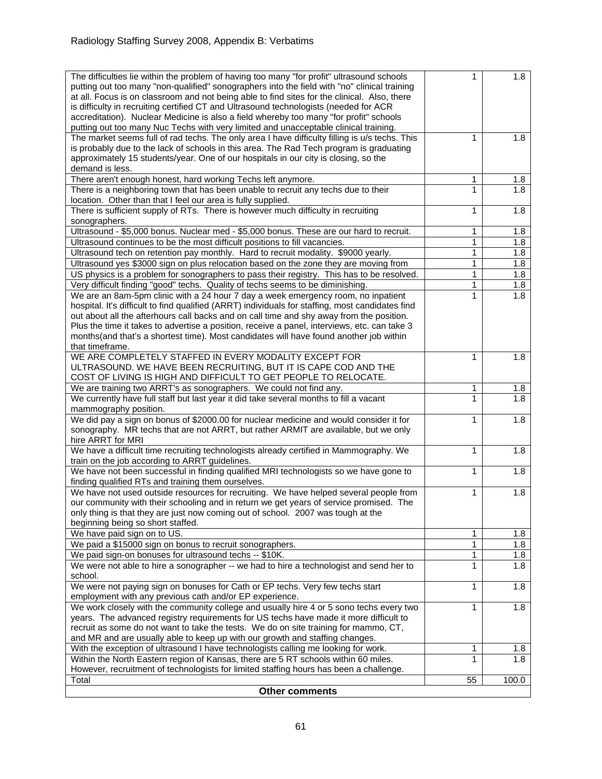| The difficulties lie within the problem of having too many "for profit" ultrasound schools<br>putting out too many "non-qualified" sonographers into the field with "no" clinical training<br>at all. Focus is on classroom and not being able to find sites for the clinical. Also, there<br>is difficulty in recruiting certified CT and Ultrasound technologists (needed for ACR<br>accreditation). Nuclear Medicine is also a field whereby too many "for profit" schools<br>putting out too many Nuc Techs with very limited and unacceptable clinical training. | 1  | 1.8   |
|-----------------------------------------------------------------------------------------------------------------------------------------------------------------------------------------------------------------------------------------------------------------------------------------------------------------------------------------------------------------------------------------------------------------------------------------------------------------------------------------------------------------------------------------------------------------------|----|-------|
| The market seems full of rad techs. The only area I have difficulty filling is u/s techs. This<br>is probably due to the lack of schools in this area. The Rad Tech program is graduating<br>approximately 15 students/year. One of our hospitals in our city is closing, so the<br>demand is less.                                                                                                                                                                                                                                                                   | 1  | 1.8   |
| There aren't enough honest, hard working Techs left anymore.                                                                                                                                                                                                                                                                                                                                                                                                                                                                                                          | 1  | 1.8   |
| There is a neighboring town that has been unable to recruit any techs due to their<br>location. Other than that I feel our area is fully supplied.                                                                                                                                                                                                                                                                                                                                                                                                                    | 1  | 1.8   |
| There is sufficient supply of RTs. There is however much difficulty in recruiting<br>sonographers.                                                                                                                                                                                                                                                                                                                                                                                                                                                                    | 1  | 1.8   |
| Ultrasound - \$5,000 bonus. Nuclear med - \$5,000 bonus. These are our hard to recruit.                                                                                                                                                                                                                                                                                                                                                                                                                                                                               | 1  | 1.8   |
| Ultrasound continues to be the most difficult positions to fill vacancies.                                                                                                                                                                                                                                                                                                                                                                                                                                                                                            | 1  | 1.8   |
| Ultrasound tech on retention pay monthly. Hard to recruit modality. \$9000 yearly.                                                                                                                                                                                                                                                                                                                                                                                                                                                                                    | 1  | 1.8   |
| Ultrasound yes \$3000 sign on plus relocation based on the zone they are moving from                                                                                                                                                                                                                                                                                                                                                                                                                                                                                  | 1  | 1.8   |
| US physics is a problem for sonographers to pass their registry. This has to be resolved.                                                                                                                                                                                                                                                                                                                                                                                                                                                                             | 1  | 1.8   |
| Very difficult finding "good" techs. Quality of techs seems to be diminishing.                                                                                                                                                                                                                                                                                                                                                                                                                                                                                        | 1  | 1.8   |
| We are an 8am-5pm clinic with a 24 hour 7 day a week emergency room, no inpatient                                                                                                                                                                                                                                                                                                                                                                                                                                                                                     | 1  | 1.8   |
| hospital. It's difficult to find qualified (ARRT) individuals for staffing, most candidates find<br>out about all the afterhours call backs and on call time and shy away from the position.<br>Plus the time it takes to advertise a position, receive a panel, interviews, etc. can take 3<br>months(and that's a shortest time). Most candidates will have found another job within<br>that timeframe.                                                                                                                                                             |    |       |
| WE ARE COMPLETELY STAFFED IN EVERY MODALITY EXCEPT FOR<br>ULTRASOUND. WE HAVE BEEN RECRUITING, BUT IT IS CAPE COD AND THE<br>COST OF LIVING IS HIGH AND DIFFICULT TO GET PEOPLE TO RELOCATE.                                                                                                                                                                                                                                                                                                                                                                          | 1  | 1.8   |
| We are training two ARRT's as sonographers. We could not find any.                                                                                                                                                                                                                                                                                                                                                                                                                                                                                                    | 1  | 1.8   |
| We currently have full staff but last year it did take several months to fill a vacant<br>mammography position.                                                                                                                                                                                                                                                                                                                                                                                                                                                       | 1  | 1.8   |
| We did pay a sign on bonus of \$2000.00 for nuclear medicine and would consider it for<br>sonography. MR techs that are not ARRT, but rather ARMIT are available, but we only<br>hire ARRT for MRI                                                                                                                                                                                                                                                                                                                                                                    | 1  | 1.8   |
| We have a difficult time recruiting technologists already certified in Mammography. We<br>train on the job according to ARRT guidelines.                                                                                                                                                                                                                                                                                                                                                                                                                              | 1  | 1.8   |
| We have not been successful in finding qualified MRI technologists so we have gone to<br>finding qualified RTs and training them ourselves.                                                                                                                                                                                                                                                                                                                                                                                                                           | 1  | 1.8   |
| We have not used outside resources for recruiting. We have helped several people from<br>our community with their schooling and in return we get years of service promised. The<br>only thing is that they are just now coming out of school. 2007 was tough at the<br>beginning being so short staffed.                                                                                                                                                                                                                                                              | 1  | 1.8   |
| We have paid sign on to US.                                                                                                                                                                                                                                                                                                                                                                                                                                                                                                                                           | 1  | 1.8   |
| We paid a \$15000 sign on bonus to recruit sonographers.                                                                                                                                                                                                                                                                                                                                                                                                                                                                                                              | 1  | 1.8   |
| We paid sign-on bonuses for ultrasound techs -- \$10K.                                                                                                                                                                                                                                                                                                                                                                                                                                                                                                                | 1  | 1.8   |
| We were not able to hire a sonographer -- we had to hire a technologist and send her to                                                                                                                                                                                                                                                                                                                                                                                                                                                                               | 1  | 1.8   |
| school.                                                                                                                                                                                                                                                                                                                                                                                                                                                                                                                                                               |    |       |
| We were not paying sign on bonuses for Cath or EP techs. Very few techs start<br>employment with any previous cath and/or EP experience.                                                                                                                                                                                                                                                                                                                                                                                                                              | 1  | 1.8   |
| We work closely with the community college and usually hire 4 or 5 sono techs every two<br>years. The advanced registry requirements for US techs have made it more difficult to<br>recruit as some do not want to take the tests. We do on site training for mammo, CT,<br>and MR and are usually able to keep up with our growth and staffing changes.                                                                                                                                                                                                              | 1  | 1.8   |
| With the exception of ultrasound I have technologists calling me looking for work.                                                                                                                                                                                                                                                                                                                                                                                                                                                                                    | 1  | 1.8   |
| Within the North Eastern region of Kansas, there are 5 RT schools within 60 miles.<br>However, recruitment of technologists for limited staffing hours has been a challenge.                                                                                                                                                                                                                                                                                                                                                                                          | 1  | 1.8   |
| Total                                                                                                                                                                                                                                                                                                                                                                                                                                                                                                                                                                 | 55 | 100.0 |
| <b>Other comments</b>                                                                                                                                                                                                                                                                                                                                                                                                                                                                                                                                                 |    |       |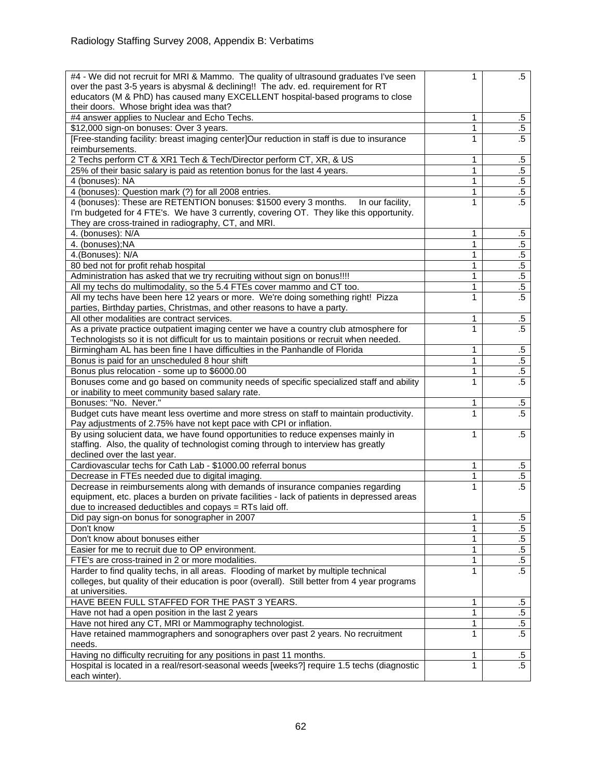| #4 - We did not recruit for MRI & Mammo. The quality of ultrasound graduates I've seen<br>over the past 3-5 years is abysmal & declining!! The adv. ed. requirement for RT<br>educators (M & PhD) has caused many EXCELLENT hospital-based programs to close<br>their doors. Whose bright idea was that? | 1 | $.5\,$           |
|----------------------------------------------------------------------------------------------------------------------------------------------------------------------------------------------------------------------------------------------------------------------------------------------------------|---|------------------|
| #4 answer applies to Nuclear and Echo Techs.                                                                                                                                                                                                                                                             | 1 | $.5\,$           |
| \$12,000 sign-on bonuses: Over 3 years.                                                                                                                                                                                                                                                                  | 1 | $.5\overline{)}$ |
| [Free-standing facility: breast imaging center]Our reduction in staff is due to insurance<br>reimbursements.                                                                                                                                                                                             | 1 | .5               |
| 2 Techs perform CT & XR1 Tech & Tech/Director perform CT, XR, & US                                                                                                                                                                                                                                       | 1 | $.5\,$           |
| 25% of their basic salary is paid as retention bonus for the last 4 years.                                                                                                                                                                                                                               | 1 | $\overline{.5}$  |
| 4 (bonuses): NA                                                                                                                                                                                                                                                                                          | 1 | .5               |
| 4 (bonuses): Question mark (?) for all 2008 entries.                                                                                                                                                                                                                                                     | 1 | .5               |
| 4 (bonuses): These are RETENTION bonuses: \$1500 every 3 months.<br>In our facility,<br>I'm budgeted for 4 FTE's. We have 3 currently, covering OT. They like this opportunity.<br>They are cross-trained in radiography, CT, and MRI.                                                                   | 1 | .5               |
| 4. (bonuses): N/A                                                                                                                                                                                                                                                                                        | 1 | $.5\,$           |
| 4. (bonuses);NA                                                                                                                                                                                                                                                                                          | 1 | $.5\overline{)}$ |
| 4.(Bonuses): N/A                                                                                                                                                                                                                                                                                         | 1 | $\overline{.5}$  |
| 80 bed not for profit rehab hospital                                                                                                                                                                                                                                                                     | 1 | .5               |
| Administration has asked that we try recruiting without sign on bonus !!!!                                                                                                                                                                                                                               | 1 | .5               |
| All my techs do multimodality, so the 5.4 FTEs cover mammo and CT too.                                                                                                                                                                                                                                   | 1 | .5               |
| All my techs have been here 12 years or more. We're doing something right! Pizza                                                                                                                                                                                                                         | 1 | .5               |
| parties, Birthday parties, Christmas, and other reasons to have a party.                                                                                                                                                                                                                                 |   |                  |
| All other modalities are contract services.                                                                                                                                                                                                                                                              | 1 |                  |
| As a private practice outpatient imaging center we have a country club atmosphere for                                                                                                                                                                                                                    | 1 | $.5\,$<br>.5     |
| Technologists so it is not difficult for us to maintain positions or recruit when needed.                                                                                                                                                                                                                |   |                  |
| Birmingham AL has been fine I have difficulties in the Panhandle of Florida                                                                                                                                                                                                                              | 1 | $.5\,$           |
| Bonus is paid for an unscheduled 8 hour shift                                                                                                                                                                                                                                                            | 1 | $.5\phantom{0}$  |
| Bonus plus relocation - some up to \$6000.00                                                                                                                                                                                                                                                             | 1 | $\overline{.5}$  |
| Bonuses come and go based on community needs of specific specialized staff and ability                                                                                                                                                                                                                   | 1 | .5               |
|                                                                                                                                                                                                                                                                                                          |   |                  |
| or inability to meet community based salary rate.<br>Bonuses: "No. Never."                                                                                                                                                                                                                               | 1 |                  |
|                                                                                                                                                                                                                                                                                                          | 1 | $.5\,$<br>.5     |
| Budget cuts have meant less overtime and more stress on staff to maintain productivity.<br>Pay adjustments of 2.75% have not kept pace with CPI or inflation.                                                                                                                                            |   |                  |
| By using solucient data, we have found opportunities to reduce expenses mainly in<br>staffing. Also, the quality of technologist coming through to interview has greatly<br>declined over the last year.                                                                                                 | 1 | $.5\,$           |
| Cardiovascular techs for Cath Lab - \$1000.00 referral bonus                                                                                                                                                                                                                                             | 1 | $.5\,$           |
| Decrease in FTEs needed due to digital imaging.                                                                                                                                                                                                                                                          | 1 | $\overline{.5}$  |
| Decrease in reimbursements along with demands of insurance companies regarding<br>equipment, etc. places a burden on private facilities - lack of patients in depressed areas<br>due to increased deductibles and copays = RTs laid off.                                                                 | 1 | $\overline{.5}$  |
| Did pay sign-on bonus for sonographer in 2007                                                                                                                                                                                                                                                            | 1 | $.5\,$           |
| Don't know                                                                                                                                                                                                                                                                                               | 1 | .5               |
| Don't know about bonuses either                                                                                                                                                                                                                                                                          | 1 | $.5\,$           |
| Easier for me to recruit due to OP environment.                                                                                                                                                                                                                                                          | 1 | .5               |
| FTE's are cross-trained in 2 or more modalities.                                                                                                                                                                                                                                                         | 1 | .5               |
| Harder to find quality techs, in all areas. Flooding of market by multiple technical                                                                                                                                                                                                                     | 1 | .5               |
| colleges, but quality of their education is poor (overall). Still better from 4 year programs<br>at universities.                                                                                                                                                                                        |   |                  |
| HAVE BEEN FULL STAFFED FOR THE PAST 3 YEARS.                                                                                                                                                                                                                                                             | 1 | $.5\,$           |
| Have not had a open position in the last 2 years                                                                                                                                                                                                                                                         | 1 | $.5\,$           |
| Have not hired any CT, MRI or Mammography technologist.                                                                                                                                                                                                                                                  | 1 | $\overline{.5}$  |
| Have retained mammographers and sonographers over past 2 years. No recruitment                                                                                                                                                                                                                           | 1 | $.5\,$           |
| needs.                                                                                                                                                                                                                                                                                                   |   |                  |
| Having no difficulty recruiting for any positions in past 11 months.                                                                                                                                                                                                                                     | 1 | $.5\,$           |
| Hospital is located in a real/resort-seasonal weeds [weeks?] require 1.5 techs (diagnostic<br>each winter).                                                                                                                                                                                              | 1 | .5               |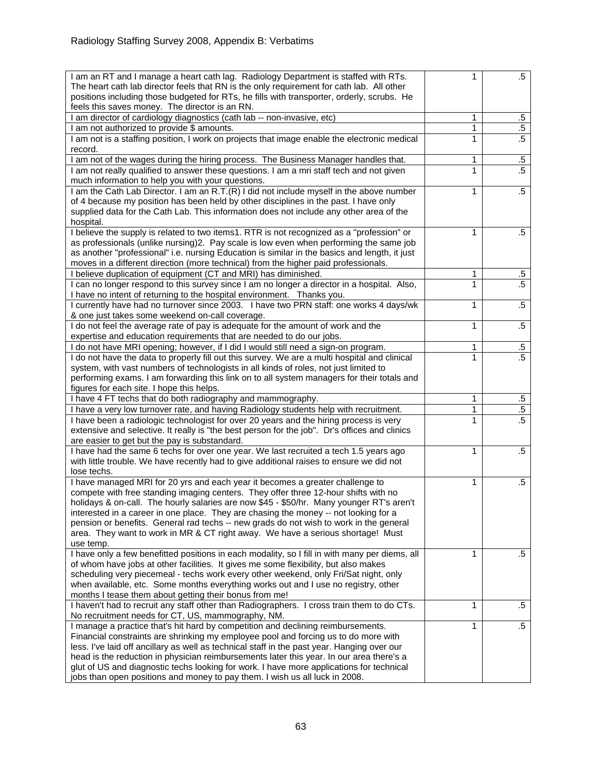| I am an RT and I manage a heart cath lag. Radiology Department is staffed with RTs.                                                                                         |        | $.5\,$                    |
|-----------------------------------------------------------------------------------------------------------------------------------------------------------------------------|--------|---------------------------|
| The heart cath lab director feels that RN is the only requirement for cath lab. All other                                                                                   |        |                           |
| positions including those budgeted for RTs, he fills with transporter, orderly, scrubs. He                                                                                  |        |                           |
| feels this saves money. The director is an RN.                                                                                                                              |        |                           |
| I am director of cardiology diagnostics (cath lab -- non-invasive, etc)<br>I am not authorized to provide \$ amounts.                                                       | 1<br>1 | $.5\,$<br>$\overline{.5}$ |
| I am not is a staffing position, I work on projects that image enable the electronic medical                                                                                | 1      | .5                        |
| record.                                                                                                                                                                     |        |                           |
| I am not of the wages during the hiring process. The Business Manager handles that.                                                                                         | 1      | $.5\phantom{0}$           |
| I am not really qualified to answer these questions. I am a mri staff tech and not given                                                                                    | 1      | $\overline{.5}$           |
| much information to help you with your questions.                                                                                                                           |        |                           |
| I am the Cath Lab Director. I am an R.T.(R) I did not include myself in the above number                                                                                    | 1      | .5                        |
| of 4 because my position has been held by other disciplines in the past. I have only                                                                                        |        |                           |
| supplied data for the Cath Lab. This information does not include any other area of the                                                                                     |        |                           |
| hospital.                                                                                                                                                                   |        |                           |
| I believe the supply is related to two items1. RTR is not recognized as a "profession" or                                                                                   | 1      | $.5\,$                    |
| as professionals (unlike nursing)2. Pay scale is low even when performing the same job                                                                                      |        |                           |
| as another "professional" i.e. nursing Education is similar in the basics and length, it just                                                                               |        |                           |
| moves in a different direction (more technical) from the higher paid professionals.                                                                                         |        |                           |
| I believe duplication of equipment (CT and MRI) has diminished.                                                                                                             | 1      | .5<br>.5                  |
| I can no longer respond to this survey since I am no longer a director in a hospital. Also,<br>I have no intent of returning to the hospital environment. Thanks you.       | 1      |                           |
| I currently have had no turnover since 2003. I have two PRN staff: one works 4 days/wk                                                                                      | 1      | $.5\,$                    |
| & one just takes some weekend on-call coverage.                                                                                                                             |        |                           |
| I do not feel the average rate of pay is adequate for the amount of work and the                                                                                            | 1      | $.5\,$                    |
| expertise and education requirements that are needed to do our jobs.                                                                                                        |        |                           |
| I do not have MRI opening; however, if I did I would still need a sign-on program.                                                                                          | 1      | $.5\,$                    |
| I do not have the data to properly fill out this survey. We are a multi hospital and clinical                                                                               | 1      | .5                        |
| system, with vast numbers of technologists in all kinds of roles, not just limited to                                                                                       |        |                           |
| performing exams. I am forwarding this link on to all system managers for their totals and                                                                                  |        |                           |
| figures for each site. I hope this helps.                                                                                                                                   |        |                           |
| I have 4 FT techs that do both radiography and mammography.                                                                                                                 | 1      | $.5\,$                    |
| I have a very low turnover rate, and having Radiology students help with recruitment.                                                                                       | 1      | .5                        |
| I have been a radiologic technologist for over 20 years and the hiring process is very                                                                                      | 1      | .5                        |
| extensive and selective. It really is "the best person for the job". Dr's offices and clinics                                                                               |        |                           |
| are easier to get but the pay is substandard.<br>I have had the same 6 techs for over one year. We last recruited a tech 1.5 years ago                                      | 1      | $.5\,$                    |
| with little trouble. We have recently had to give additional raises to ensure we did not                                                                                    |        |                           |
| lose techs.                                                                                                                                                                 |        |                           |
| I have managed MRI for 20 yrs and each year it becomes a greater challenge to                                                                                               | 1      | $.5\,$                    |
| compete with free standing imaging centers. They offer three 12-hour shifts with no                                                                                         |        |                           |
| holidays & on-call. The hourly salaries are now \$45 - \$50/hr. Many younger RT's aren't                                                                                    |        |                           |
| interested in a career in one place. They are chasing the money -- not looking for a                                                                                        |        |                           |
| pension or benefits. General rad techs -- new grads do not wish to work in the general                                                                                      |        |                           |
| area. They want to work in MR & CT right away. We have a serious shortage! Must                                                                                             |        |                           |
| use temp.                                                                                                                                                                   |        |                           |
| I have only a few benefitted positions in each modality, so I fill in with many per diems, all                                                                              | 1      | .5                        |
| of whom have jobs at other facilities. It gives me some flexibility, but also makes<br>scheduling very piecemeal - techs work every other weekend, only Fri/Sat night, only |        |                           |
| when available, etc. Some months everything works out and I use no registry, other                                                                                          |        |                           |
| months I tease them about getting their bonus from me!                                                                                                                      |        |                           |
| I haven't had to recruit any staff other than Radiographers. I cross train them to do CTs.                                                                                  | 1      | $.5\,$                    |
| No recruitment needs for CT, US, mammography, NM.                                                                                                                           |        |                           |
| I manage a practice that's hit hard by competition and declining reimbursements.                                                                                            | 1      | $.5\,$                    |
| Financial constraints are shrinking my employee pool and forcing us to do more with                                                                                         |        |                           |
| less. I've laid off ancillary as well as technical staff in the past year. Hanging over our                                                                                 |        |                           |
| head is the reduction in physician reimbursements later this year. In our area there's a                                                                                    |        |                           |
| glut of US and diagnostic techs looking for work. I have more applications for technical                                                                                    |        |                           |
| jobs than open positions and money to pay them. I wish us all luck in 2008.                                                                                                 |        |                           |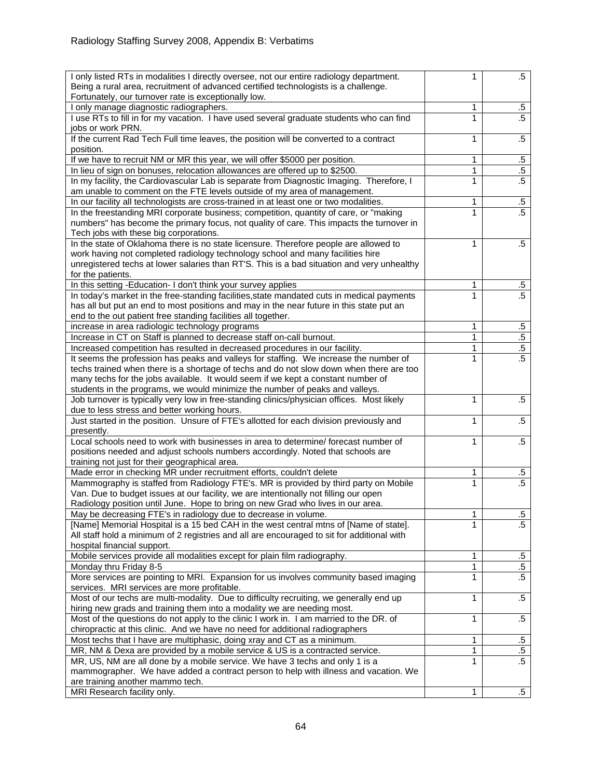| I only listed RTs in modalities I directly oversee, not our entire radiology department.<br>Being a rural area, recruitment of advanced certified technologists is a challenge.<br>Fortunately, our turnover rate is exceptionally low.                              | 1 | $.5\,$          |
|----------------------------------------------------------------------------------------------------------------------------------------------------------------------------------------------------------------------------------------------------------------------|---|-----------------|
| I only manage diagnostic radiographers.                                                                                                                                                                                                                              | 1 | $.5\phantom{0}$ |
| I use RTs to fill in for my vacation. I have used several graduate students who can find<br>jobs or work PRN.                                                                                                                                                        | 1 | $\overline{.5}$ |
| If the current Rad Tech Full time leaves, the position will be converted to a contract<br>position.                                                                                                                                                                  | 1 | $.5\,$          |
| If we have to recruit NM or MR this year, we will offer \$5000 per position.                                                                                                                                                                                         | 1 | $.5\,$          |
| In lieu of sign on bonuses, relocation allowances are offered up to \$2500.                                                                                                                                                                                          | 1 | .5              |
| In my facility, the Cardiovascular Lab is separate from Diagnostic Imaging. Therefore, I<br>am unable to comment on the FTE levels outside of my area of management.                                                                                                 | 1 | $\overline{.5}$ |
| In our facility all technologists are cross-trained in at least one or two modalities.                                                                                                                                                                               | 1 | $.5\phantom{0}$ |
| In the freestanding MRI corporate business; competition, quantity of care, or "making                                                                                                                                                                                | 1 | .5              |
| numbers" has become the primary focus, not quality of care. This impacts the turnover in<br>Tech jobs with these big corporations.                                                                                                                                   |   |                 |
| In the state of Oklahoma there is no state licensure. Therefore people are allowed to                                                                                                                                                                                | 1 | $.5\,$          |
| work having not completed radiology technology school and many facilities hire<br>unregistered techs at lower salaries than RT'S. This is a bad situation and very unhealthy<br>for the patients.                                                                    |   |                 |
| In this setting -Education- I don't think your survey applies                                                                                                                                                                                                        | 1 | $.5\,$          |
| In today's market in the free-standing facilities, state mandated cuts in medical payments                                                                                                                                                                           | 1 | .5              |
| has all but put an end to most positions and may in the near future in this state put an<br>end to the out patient free standing facilities all together.                                                                                                            |   |                 |
| increase in area radiologic technology programs                                                                                                                                                                                                                      | 1 | $.5\,$          |
| Increase in CT on Staff is planned to decrease staff on-call burnout.                                                                                                                                                                                                | 1 | $\overline{.5}$ |
| Increased competition has resulted in decreased procedures in our facility.                                                                                                                                                                                          | 1 | .5              |
| It seems the profession has peaks and valleys for staffing. We increase the number of<br>techs trained when there is a shortage of techs and do not slow down when there are too<br>many techs for the jobs available. It would seem if we kept a constant number of |   | $\overline{.5}$ |
| students in the programs, we would minimize the number of peaks and valleys.                                                                                                                                                                                         |   |                 |
| Job turnover is typically very low in free-standing clinics/physician offices. Most likely                                                                                                                                                                           | 1 | $.5\,$          |
| due to less stress and better working hours.                                                                                                                                                                                                                         |   |                 |
| Just started in the position. Unsure of FTE's allotted for each division previously and<br>presently.                                                                                                                                                                | 1 | $.5\,$          |
| Local schools need to work with businesses in area to determine/ forecast number of<br>positions needed and adjust schools numbers accordingly. Noted that schools are<br>training not just for their geographical area.                                             | 1 | .5              |
| Made error in checking MR under recruitment efforts, couldn't delete                                                                                                                                                                                                 | 1 | $.5\phantom{0}$ |
| Mammography is staffed from Radiology FTE's. MR is provided by third party on Mobile<br>Van. Due to budget issues at our facility, we are intentionally not filling our open<br>Radiology position until June. Hope to bring on new Grad who lives in our area.      | 1 | $\overline{.5}$ |
| May be decreasing FTE's in radiology due to decrease in volume.                                                                                                                                                                                                      | 1 | $.5\,$          |
| [Name] Memorial Hospital is a 15 bed CAH in the west central mtns of [Name of state].<br>All staff hold a minimum of 2 registries and all are encouraged to sit for additional with<br>hospital financial support.                                                   | 1 | .5              |
| Mobile services provide all modalities except for plain film radiography.                                                                                                                                                                                            | 1 | $.5\,$          |
| Monday thru Friday 8-5                                                                                                                                                                                                                                               | 1 | $.5\,$          |
| More services are pointing to MRI. Expansion for us involves community based imaging<br>services. MRI services are more profitable.                                                                                                                                  | 1 | .5              |
| Most of our techs are multi-modality. Due to difficulty recruiting, we generally end up<br>hiring new grads and training them into a modality we are needing most.                                                                                                   | 1 | $.5\,$          |
| Most of the questions do not apply to the clinic I work in. I am married to the DR. of<br>chiropractic at this clinic. And we have no need for additional radiographers                                                                                              | 1 | $.5\,$          |
| Most techs that I have are multiphasic, doing xray and CT as a minimum.                                                                                                                                                                                              | 1 | $.5\,$          |
| MR, NM & Dexa are provided by a mobile service & US is a contracted service.                                                                                                                                                                                         | 1 | $.5\phantom{0}$ |
| MR, US, NM are all done by a mobile service. We have 3 techs and only 1 is a<br>mammographer. We have added a contract person to help with illness and vacation. We                                                                                                  | 1 | .5              |
| are training another mammo tech.<br>MRI Research facility only.                                                                                                                                                                                                      | 1 | $.5\,$          |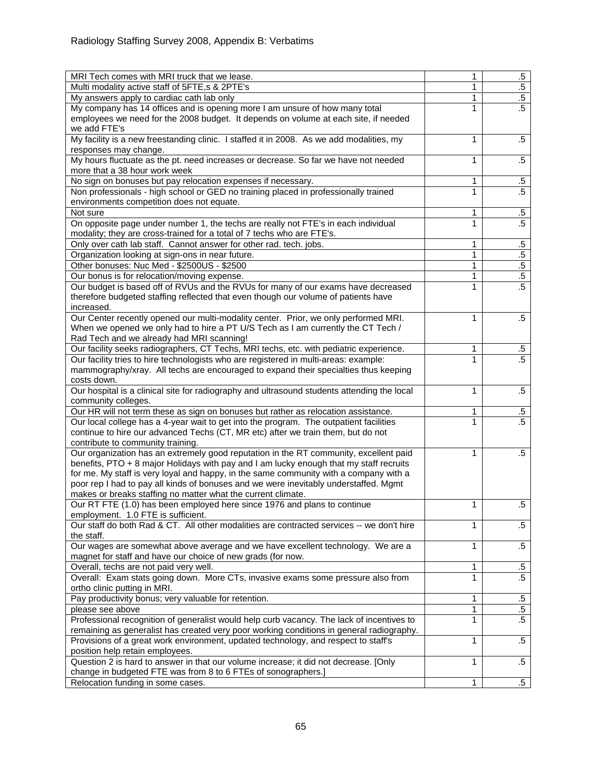| MRI Tech comes with MRI truck that we lease.                                                | 1 | $.5\,$          |
|---------------------------------------------------------------------------------------------|---|-----------------|
| Multi modality active staff of 5FTE,s & 2PTE's                                              | 1 | .5              |
| My answers apply to cardiac cath lab only                                                   | 1 | .5              |
| My company has 14 offices and is opening more I am unsure of how many total                 | 1 | $\overline{.5}$ |
| employees we need for the 2008 budget. It depends on volume at each site, if needed         |   |                 |
| we add FTE's                                                                                |   |                 |
| My facility is a new freestanding clinic. I staffed it in 2008. As we add modalities, my    | 1 | $.5\,$          |
| responses may change.                                                                       |   |                 |
| My hours fluctuate as the pt. need increases or decrease. So far we have not needed         | 1 | $.5\,$          |
| more that a 38 hour work week                                                               |   |                 |
| No sign on bonuses but pay relocation expenses if necessary.                                | 1 | $.5\,$          |
| Non professionals - high school or GED no training placed in professionally trained         | 1 | $\overline{.5}$ |
| environments competition does not equate.                                                   |   |                 |
| Not sure                                                                                    | 1 | $.5\phantom{0}$ |
| On opposite page under number 1, the techs are really not FTE's in each individual          | 1 | $\overline{.5}$ |
| modality; they are cross-trained for a total of 7 techs who are FTE's.                      |   |                 |
| Only over cath lab staff. Cannot answer for other rad. tech. jobs.                          | 1 | .5              |
| Organization looking at sign-ons in near future.                                            | 1 | .5              |
| Other bonuses: Nuc Med - \$2500US - \$2500                                                  | 1 | $.5\,$          |
| Our bonus is for relocation/moving expense.                                                 | 1 | .5              |
| Our budget is based off of RVUs and the RVUs for many of our exams have decreased           | 1 | .5              |
| therefore budgeted staffing reflected that even though our volume of patients have          |   |                 |
| increased.                                                                                  |   |                 |
| Our Center recently opened our multi-modality center. Prior, we only performed MRI.         | 1 | $.5\,$          |
| When we opened we only had to hire a PT U/S Tech as I am currently the CT Tech /            |   |                 |
| Rad Tech and we already had MRI scanning!                                                   |   |                 |
| Our facility seeks radiographers, CT Techs, MRI techs, etc. with pediatric experience.      | 1 | $.5\phantom{0}$ |
| Our facility tries to hire technologists who are registered in multi-areas: example:        |   | .5              |
| mammography/xray. All techs are encouraged to expand their specialties thus keeping         |   |                 |
| costs down.                                                                                 |   |                 |
| Our hospital is a clinical site for radiography and ultrasound students attending the local | 1 | $.5\,$          |
| community colleges.                                                                         |   |                 |
| Our HR will not term these as sign on bonuses but rather as relocation assistance.          | 1 | $.5\,$          |
| Our local college has a 4-year wait to get into the program. The outpatient facilities      | 1 | $\overline{.5}$ |
| continue to hire our advanced Techs (CT, MR etc) after we train them, but do not            |   |                 |
| contribute to community training.                                                           |   |                 |
| Our organization has an extremely good reputation in the RT community, excellent paid       | 1 | $.5\,$          |
| benefits, PTO + 8 major Holidays with pay and I am lucky enough that my staff recruits      |   |                 |
| for me. My staff is very loyal and happy, in the same community with a company with a       |   |                 |
| poor rep I had to pay all kinds of bonuses and we were inevitably understaffed. Mgmt        |   |                 |
| makes or breaks staffing no matter what the current climate.                                |   |                 |
| Our RT FTE (1.0) has been employed here since 1976 and plans to continue                    | 1 | .5              |
| employment. 1.0 FTE is sufficient.                                                          |   |                 |
| Our staff do both Rad & CT. All other modalities are contracted services -- we don't hire   | 1 | $.5\,$          |
| the staff.                                                                                  |   |                 |
| Our wages are somewhat above average and we have excellent technology. We are a             | 1 | .5              |
| magnet for staff and have our choice of new grads (for now.                                 |   |                 |
| Overall, techs are not paid very well.                                                      | 1 | $.5\phantom{0}$ |
| Overall: Exam stats going down. More CTs, invasive exams some pressure also from            | 1 | $.5\,$          |
| ortho clinic putting in MRI.                                                                |   |                 |
| Pay productivity bonus; very valuable for retention.                                        | 1 | $.5\,$          |
| please see above                                                                            | 1 | $.5\,$          |
| Professional recognition of generalist would help curb vacancy. The lack of incentives to   | 1 | $.5\,$          |
| remaining as generalist has created very poor working conditions in general radiography.    |   |                 |
| Provisions of a great work environment, updated technology, and respect to staff's          | 1 | $.5\,$          |
| position help retain employees.                                                             |   |                 |
| Question 2 is hard to answer in that our volume increase; it did not decrease. [Only        | 1 | $.5\,$          |
| change in budgeted FTE was from 8 to 6 FTEs of sonographers.]                               |   |                 |
| Relocation funding in some cases.                                                           | 1 | $.5\,$          |
|                                                                                             |   |                 |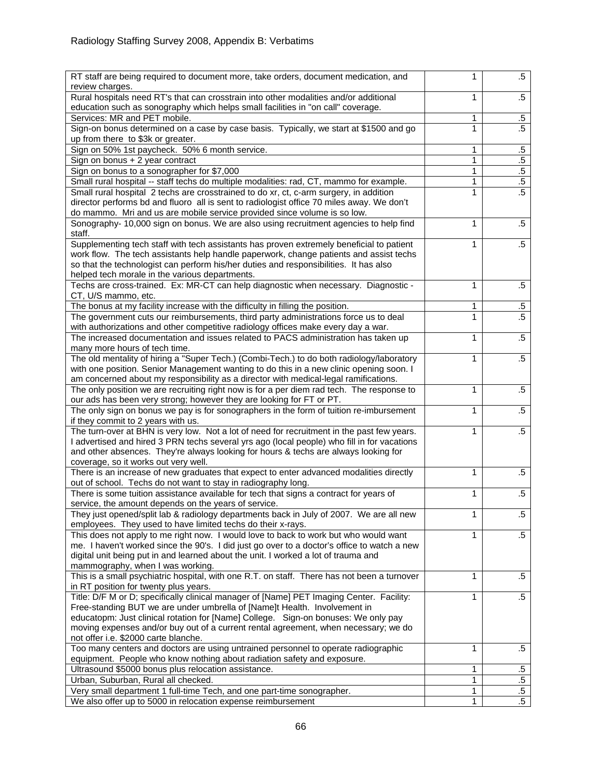| RT staff are being required to document more, take orders, document medication, and                                              | 1      | $.5\,$          |
|----------------------------------------------------------------------------------------------------------------------------------|--------|-----------------|
| review charges.                                                                                                                  |        |                 |
| Rural hospitals need RT's that can crosstrain into other modalities and/or additional                                            | 1      | $.5\,$          |
| education such as sonography which helps small facilities in "on call" coverage.                                                 |        |                 |
| Services: MR and PET mobile.                                                                                                     | 1      | $.5\phantom{0}$ |
| Sign-on bonus determined on a case by case basis. Typically, we start at \$1500 and go<br>up from there to \$3k or greater.      | 1      | .5              |
| Sign on 50% 1st paycheck. 50% 6 month service.                                                                                   | 1      | $.5\,$          |
| Sign on bonus + 2 year contract                                                                                                  | 1      | $.5\,$          |
| Sign on bonus to a sonographer for \$7,000                                                                                       | 1      | $\overline{.5}$ |
| Small rural hospital -- staff techs do multiple modalities: rad, CT, mammo for example.                                          | 1      | .5              |
| Small rural hospital 2 techs are crosstrained to do xr, ct, c-arm surgery, in addition                                           | 1      | $\overline{.5}$ |
| director performs bd and fluoro all is sent to radiologist office 70 miles away. We don't                                        |        |                 |
| do mammo. Mri and us are mobile service provided since volume is so low.                                                         |        |                 |
| Sonography-10,000 sign on bonus. We are also using recruitment agencies to help find                                             | 1      | $.5\,$          |
| staff.                                                                                                                           |        |                 |
| Supplementing tech staff with tech assistants has proven extremely beneficial to patient                                         | 1      | .5              |
| work flow. The tech assistants help handle paperwork, change patients and assist techs                                           |        |                 |
| so that the technologist can perform his/her duties and responsibilities. It has also                                            |        |                 |
| helped tech morale in the various departments.                                                                                   |        |                 |
| Techs are cross-trained. Ex: MR-CT can help diagnostic when necessary. Diagnostic -                                              | 1      | $.5\,$          |
| CT, U/S mammo, etc.                                                                                                              |        |                 |
| The bonus at my facility increase with the difficulty in filling the position.                                                   | 1      | $.5\,$          |
| The government cuts our reimbursements, third party administrations force us to deal                                             | 1      | .5              |
| with authorizations and other competitive radiology offices make every day a war.                                                |        |                 |
| The increased documentation and issues related to PACS administration has taken up                                               | 1      | $.5\,$          |
| many more hours of tech time.                                                                                                    |        |                 |
| The old mentality of hiring a "Super Tech.) (Combi-Tech.) to do both radiology/laboratory                                        | 1      | $.5\,$          |
| with one position. Senior Management wanting to do this in a new clinic opening soon. I                                          |        |                 |
| am concerned about my responsibility as a director with medical-legal ramifications.                                             |        |                 |
| The only position we are recruiting right now is for a per diem rad tech. The response to                                        | 1      | $.5\,$          |
| our ads has been very strong; however they are looking for FT or PT.                                                             |        |                 |
| The only sign on bonus we pay is for sonographers in the form of tuition re-imbursement                                          | 1      | $.5\,$          |
| if they commit to 2 years with us.<br>The turn-over at BHN is very low. Not a lot of need for recruitment in the past few years. | 1      |                 |
| I advertised and hired 3 PRN techs several yrs ago (local people) who fill in for vacations                                      |        | $.5\,$          |
| and other absences. They're always looking for hours & techs are always looking for                                              |        |                 |
| coverage, so it works out very well.                                                                                             |        |                 |
| There is an increase of new graduates that expect to enter advanced modalities directly                                          | 1      | $.5\,$          |
| out of school. Techs do not want to stay in radiography long.                                                                    |        |                 |
| There is some tuition assistance available for tech that signs a contract for years of                                           | 1      | $.5\,$          |
| service, the amount depends on the years of service.                                                                             |        |                 |
| They just opened/split lab & radiology departments back in July of 2007. We are all new                                          | 1      | .5              |
| employees. They used to have limited techs do their x-rays.                                                                      |        |                 |
| This does not apply to me right now. I would love to back to work but who would want                                             | 1      | $.5\,$          |
| me. I haven't worked since the 90's. I did just go over to a doctor's office to watch a new                                      |        |                 |
| digital unit being put in and learned about the unit. I worked a lot of trauma and                                               |        |                 |
| mammography, when I was working.                                                                                                 |        |                 |
| This is a small psychiatric hospital, with one R.T. on staff. There has not been a turnover                                      | 1      | $.5\,$          |
| in RT position for twenty plus years.                                                                                            |        |                 |
| Title: D/F M or D; specifically clinical manager of [Name] PET Imaging Center. Facility:                                         | 1      | $.5\,$          |
| Free-standing BUT we are under umbrella of [Name]t Health. Involvement in                                                        |        |                 |
| educatopm: Just clinical rotation for [Name] College. Sign-on bonuses: We only pay                                               |        |                 |
| moving expenses and/or buy out of a current rental agreement, when necessary; we do                                              |        |                 |
| not offer i.e. \$2000 carte blanche.                                                                                             |        |                 |
| Too many centers and doctors are using untrained personnel to operate radiographic                                               | 1      | $.5\,$          |
| equipment. People who know nothing about radiation safety and exposure.                                                          |        |                 |
| Ultrasound \$5000 bonus plus relocation assistance.                                                                              | 1      | $.5\,$          |
| Urban, Suburban, Rural all checked.                                                                                              | 1      | $.5\,$          |
| Very small department 1 full-time Tech, and one part-time sonographer.                                                           | 1<br>1 | .5<br>.5        |
| We also offer up to 5000 in relocation expense reimbursement                                                                     |        |                 |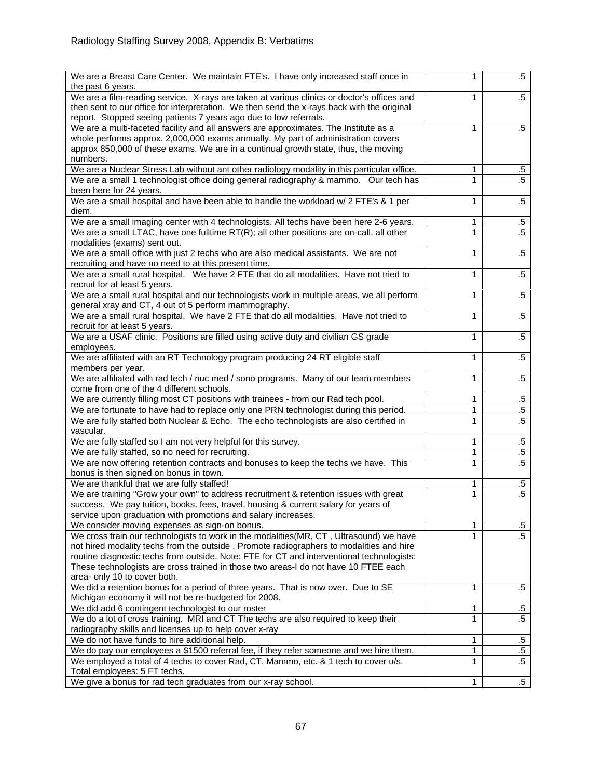| We are a Breast Care Center. We maintain FTE's. I have only increased staff once in         | 1            | $.5\,$          |
|---------------------------------------------------------------------------------------------|--------------|-----------------|
| the past 6 years.                                                                           |              |                 |
| We are a film-reading service. X-rays are taken at various clinics or doctor's offices and  | 1            | $.5\,$          |
| then sent to our office for interpretation. We then send the x-rays back with the original  |              |                 |
| report. Stopped seeing patients 7 years ago due to low referrals.                           |              |                 |
| We are a multi-faceted facility and all answers are approximates. The Institute as a        | 1            | .5              |
| whole performs approx. 2,000,000 exams annually. My part of administration covers           |              |                 |
| approx 850,000 of these exams. We are in a continual growth state, thus, the moving         |              |                 |
| numbers.                                                                                    |              |                 |
| We are a Nuclear Stress Lab without ant other radiology modality in this particular office. | 1            | $.5\,$          |
| We are a small 1 technologist office doing general radiography & mammo. Our tech has        | 1            | $\overline{.5}$ |
| been here for 24 years.                                                                     |              |                 |
| We are a small hospital and have been able to handle the workload w/ 2 FTE's & 1 per        | 1            | $.5\,$          |
| diem.                                                                                       |              |                 |
| We are a small imaging center with 4 technologists. All techs have been here 2-6 years.     | 1            | $.5\,$          |
| We are a small LTAC, have one fulltime RT(R); all other positions are on-call, all other    | $\mathbf{1}$ | .5              |
| modalities (exams) sent out.                                                                |              |                 |
| We are a small office with just 2 techs who are also medical assistants. We are not         | 1            | $.5\,$          |
| recruiting and have no need to at this present time.                                        |              |                 |
| We are a small rural hospital. We have 2 FTE that do all modalities. Have not tried to      | 1            | .5              |
|                                                                                             |              |                 |
| recruit for at least 5 years.                                                               |              |                 |
| We are a small rural hospital and our technologists work in multiple areas, we all perform  | 1            | .5              |
| general xray and CT, 4 out of 5 perform mammography.                                        |              |                 |
| We are a small rural hospital. We have 2 FTE that do all modalities. Have not tried to      | 1            | .5              |
| recruit for at least 5 years.                                                               |              |                 |
| We are a USAF clinic. Positions are filled using active duty and civilian GS grade          | 1            | $.5\,$          |
| employees.                                                                                  |              |                 |
| We are affiliated with an RT Technology program producing 24 RT eligible staff              | 1            | $.5\,$          |
| members per year.                                                                           |              |                 |
| We are affiliated with rad tech / nuc med / sono programs. Many of our team members         | 1            | $.5\,$          |
| come from one of the 4 different schools.                                                   |              |                 |
| We are currently filling most CT positions with trainees - from our Rad tech pool.          | 1            | $.5\,$          |
| We are fortunate to have had to replace only one PRN technologist during this period.       | 1            | .5              |
| We are fully staffed both Nuclear & Echo. The echo technologists are also certified in      | 1            | .5              |
| vascular.                                                                                   |              |                 |
| We are fully staffed so I am not very helpful for this survey.                              | 1            | $.5\,$          |
| We are fully staffed, so no need for recruiting.                                            | $\mathbf{1}$ | .5              |
| We are now offering retention contracts and bonuses to keep the techs we have. This         | $\mathbf{1}$ | .5              |
|                                                                                             |              |                 |
| bonus is then signed on bonus in town.                                                      |              |                 |
| We are thankful that we are fully staffed!                                                  | 1            | $\frac{.5}{.}$  |
| We are training "Grow your own" to address recruitment & retention issues with great        | 1            | .5              |
| success. We pay tuition, books, fees, travel, housing & current salary for years of         |              |                 |
| service upon graduation with promotions and salary increases.                               |              |                 |
| We consider moving expenses as sign-on bonus.                                               | 1            | $.5\phantom{0}$ |
| We cross train our technologists to work in the modalities (MR, CT, Ultrasound) we have     | 1            | .5              |
| not hired modality techs from the outside . Promote radiographers to modalities and hire    |              |                 |
| routine diagnostic techs from outside. Note: FTE for CT and interventional technologists:   |              |                 |
| These technologists are cross trained in those two areas-I do not have 10 FTEE each         |              |                 |
| area- only 10 to cover both.                                                                |              |                 |
| We did a retention bonus for a period of three years. That is now over. Due to SE           | 1            | $.5\,$          |
| Michigan economy it will not be re-budgeted for 2008.                                       |              |                 |
| We did add 6 contingent technologist to our roster                                          | 1            | $.5\,$          |
| We do a lot of cross training. MRI and CT The techs are also required to keep their         | 1            | .5              |
| radiography skills and licenses up to help cover x-ray                                      |              |                 |
| We do not have funds to hire additional help.                                               | 1            | $.5\,$          |
| We do pay our employees a \$1500 referral fee, if they refer someone and we hire them.      | 1            | $.5\phantom{0}$ |
| We employed a total of 4 techs to cover Rad, CT, Mammo, etc. & 1 tech to cover u/s.         | 1            | .5              |
|                                                                                             |              |                 |
| Total employees: 5 FT techs.                                                                |              |                 |
| We give a bonus for rad tech graduates from our x-ray school.                               | 1            | $.5\,$          |